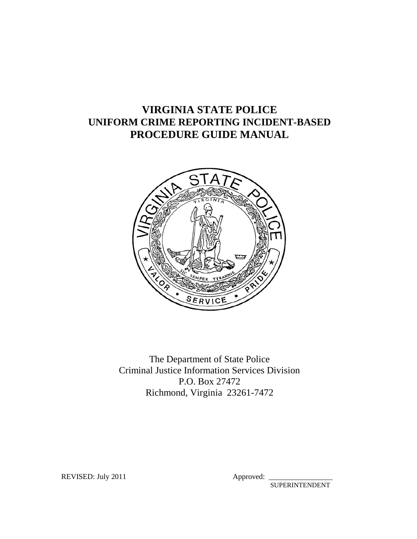# **VIRGINIA STATE POLICE UNIFORM CRIME REPORTING INCIDENT-BASED PROCEDURE GUIDE MANUAL**



The Department of State Police Criminal Justice Information Services Division P.O. Box 27472 Richmond, Virginia 23261-7472

REVISED: July 2011 Approved: \_\_\_\_\_\_\_\_\_\_\_\_\_\_\_\_\_

SUPERINTENDENT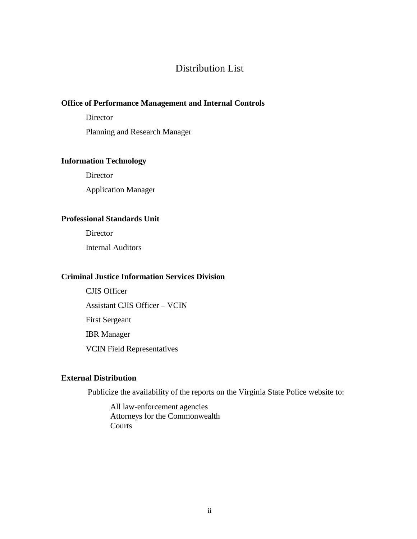## Distribution List

## **Office of Performance Management and Internal Controls**

Director

Planning and Research Manager

## **Information Technology**

**Director** 

Application Manager

## **Professional Standards Unit**

Director

Internal Auditors

## **Criminal Justice Information Services Division**

CJIS Officer Assistant CJIS Officer – VCIN First Sergeant IBR Manager VCIN Field Representatives

### **External Distribution**

Publicize the availability of the reports on the Virginia State Police website to:

All law-enforcement agencies Attorneys for the Commonwealth Courts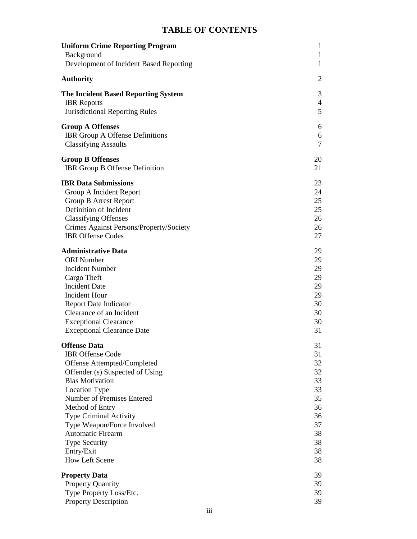## **TABLE OF CONTENTS**

| <b>Uniform Crime Reporting Program</b>     | 1              |
|--------------------------------------------|----------------|
| Background                                 | 1              |
| Development of Incident Based Reporting    | 1              |
| <b>Authority</b>                           | $\overline{2}$ |
| <b>The Incident Based Reporting System</b> | 3              |
| <b>IBR</b> Reports                         | $\overline{4}$ |
| <b>Jurisdictional Reporting Rules</b>      | 5              |
| <b>Group A Offenses</b>                    | 6              |
| IBR Group A Offense Definitions            | 6              |
| <b>Classifying Assaults</b>                | $\overline{7}$ |
| <b>Group B Offenses</b>                    | 20             |
| <b>IBR</b> Group B Offense Definition      | 21             |
| <b>IBR</b> Data Submissions                | 23             |
| Group A Incident Report                    | 24             |
| Group B Arrest Report                      | 25             |
| Definition of Incident                     | 25             |
| <b>Classifying Offenses</b>                | 26             |
| Crimes Against Persons/Property/Society    | 26             |
| <b>IBR</b> Offense Codes                   | 27             |
| <b>Administrative Data</b>                 | 29             |
| <b>ORI</b> Number                          | 29             |
| <b>Incident Number</b>                     | 29             |
| Cargo Theft                                | 29             |
| <b>Incident Date</b>                       | 29             |
| Incident Hour                              | 29             |
| <b>Report Date Indicator</b>               | 30             |
| Clearance of an Incident                   | 30             |
| <b>Exceptional Clearance</b>               | 30             |
| <b>Exceptional Clearance Date</b>          | 31             |
| <b>Offense Data</b>                        | 31             |
| <b>IBR</b> Offense Code                    | 31             |
| Offense Attempted/Completed                | 32             |
| Offender (s) Suspected of Using            | 32             |
| <b>Bias Motivation</b>                     | 33             |
| <b>Location Type</b>                       | 33             |
| Number of Premises Entered                 | 35             |
| Method of Entry                            | 36             |
| Type Criminal Activity                     | 36             |
| Type Weapon/Force Involved                 | 37             |
| <b>Automatic Firearm</b>                   | 38             |
| <b>Type Security</b>                       | 38             |
| Entry/Exit                                 | 38             |
| <b>How Left Scene</b>                      | 38             |
| <b>Property Data</b>                       | 39             |
| <b>Property Quantity</b>                   | 39             |
| Type Property Loss/Etc.                    | 39             |
| <b>Property Description</b>                | 39             |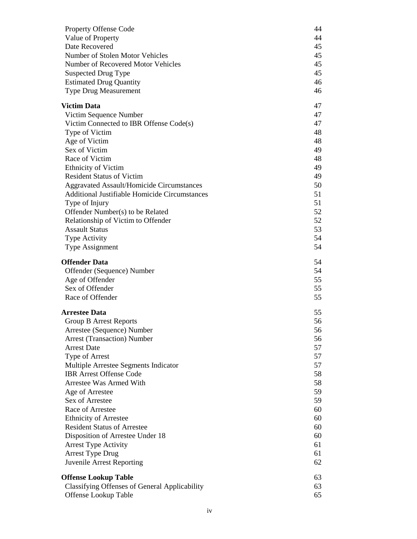| <b>Property Offense Code</b>                         | 44 |
|------------------------------------------------------|----|
| Value of Property                                    | 44 |
| Date Recovered                                       | 45 |
| Number of Stolen Motor Vehicles                      | 45 |
| Number of Recovered Motor Vehicles                   | 45 |
| <b>Suspected Drug Type</b>                           | 45 |
| <b>Estimated Drug Quantity</b>                       | 46 |
| <b>Type Drug Measurement</b>                         | 46 |
| Victim Data                                          | 47 |
| Victim Sequence Number                               | 47 |
| Victim Connected to IBR Offense Code(s)              | 47 |
| Type of Victim                                       | 48 |
| Age of Victim                                        | 48 |
| Sex of Victim                                        | 49 |
| Race of Victim                                       | 48 |
| <b>Ethnicity of Victim</b>                           | 49 |
| <b>Resident Status of Victim</b>                     | 49 |
| <b>Aggravated Assault/Homicide Circumstances</b>     | 50 |
| <b>Additional Justifiable Homicide Circumstances</b> | 51 |
| Type of Injury                                       | 51 |
| Offender Number(s) to be Related                     | 52 |
| Relationship of Victim to Offender                   | 52 |
| <b>Assault Status</b>                                | 53 |
| Type Activity                                        | 54 |
| Type Assignment                                      | 54 |
| <b>Offender Data</b>                                 | 54 |
| Offender (Sequence) Number                           | 54 |
| Age of Offender                                      | 55 |
| Sex of Offender                                      | 55 |
| Race of Offender                                     | 55 |
|                                                      |    |
| <b>Arrestee Data</b>                                 | 55 |
| <b>Group B Arrest Reports</b>                        | 56 |
| Arrestee (Sequence) Number                           | 56 |
| <b>Arrest (Transaction) Number</b>                   | 56 |
| <b>Arrest Date</b>                                   | 57 |
| Type of Arrest                                       | 57 |
| Multiple Arrestee Segments Indicator                 | 57 |
| <b>IBR Arrest Offense Code</b>                       | 58 |
| Arrestee Was Armed With                              | 58 |
| Age of Arrestee                                      | 59 |
| Sex of Arrestee                                      | 59 |
| Race of Arrestee                                     | 60 |
| <b>Ethnicity of Arrestee</b>                         | 60 |
| <b>Resident Status of Arrestee</b>                   | 60 |
| Disposition of Arrestee Under 18                     | 60 |
| <b>Arrest Type Activity</b>                          | 61 |
| <b>Arrest Type Drug</b>                              | 61 |
| Juvenile Arrest Reporting                            | 62 |
| <b>Offense Lookup Table</b>                          | 63 |
| <b>Classifying Offenses of General Applicability</b> | 63 |
| Offense Lookup Table                                 | 65 |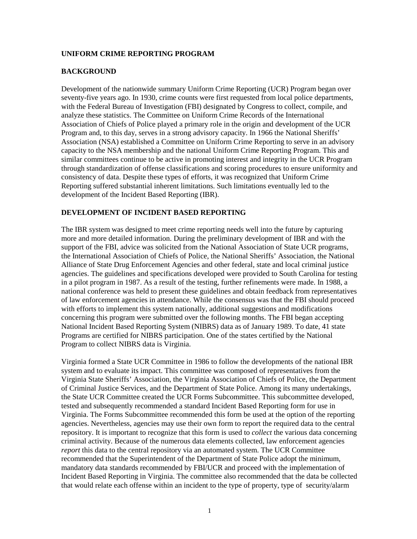#### **UNIFORM CRIME REPORTING PROGRAM**

#### **BACKGROUND**

Development of the nationwide summary Uniform Crime Reporting (UCR) Program began over seventy-five years ago. In 1930, crime counts were first requested from local police departments, with the Federal Bureau of Investigation (FBI) designated by Congress to collect, compile, and analyze these statistics. The Committee on Uniform Crime Records of the International Association of Chiefs of Police played a primary role in the origin and development of the UCR Program and, to this day, serves in a strong advisory capacity. In 1966 the National Sheriffs' Association (NSA) established a Committee on Uniform Crime Reporting to serve in an advisory capacity to the NSA membership and the national Uniform Crime Reporting Program. This and similar committees continue to be active in promoting interest and integrity in the UCR Program through standardization of offense classifications and scoring procedures to ensure uniformity and consistency of data. Despite these types of efforts, it was recognized that Uniform Crime Reporting suffered substantial inherent limitations. Such limitations eventually led to the development of the Incident Based Reporting (IBR).

#### **DEVELOPMENT OF INCIDENT BASED REPORTING**

The IBR system was designed to meet crime reporting needs well into the future by capturing more and more detailed information. During the preliminary development of IBR and with the support of the FBI, advice was solicited from the National Association of State UCR programs, the International Association of Chiefs of Police, the National Sheriffs' Association, the National Alliance of State Drug Enforcement Agencies and other federal, state and local criminal justice agencies. The guidelines and specifications developed were provided to South Carolina for testing in a pilot program in 1987. As a result of the testing, further refinements were made. In 1988, a national conference was held to present these guidelines and obtain feedback from representatives of law enforcement agencies in attendance. While the consensus was that the FBI should proceed with efforts to implement this system nationally, additional suggestions and modifications concerning this program were submitted over the following months. The FBI began accepting National Incident Based Reporting System (NIBRS) data as of January 1989. To date, 41 state Programs are certified for NIBRS participation. One of the states certified by the National Program to collect NIBRS data is Virginia.

Virginia formed a State UCR Committee in 1986 to follow the developments of the national IBR system and to evaluate its impact. This committee was composed of representatives from the Virginia State Sheriffs' Association, the Virginia Association of Chiefs of Police, the Department of Criminal Justice Services, and the Department of State Police. Among its many undertakings, the State UCR Committee created the UCR Forms Subcommittee. This subcommittee developed, tested and subsequently recommended a standard Incident Based Reporting form for use in Virginia. The Forms Subcommittee recommended this form be used at the option of the reporting agencies. Nevertheless, agencies may use their own form to report the required data to the central repository. It is important to recognize that this form is used to *collect* the various data concerning criminal activity. Because of the numerous data elements collected, law enforcement agencies *report* this data to the central repository via an automated system. The UCR Committee recommended that the Superintendent of the Department of State Police adopt the minimum, mandatory data standards recommended by FBI/UCR and proceed with the implementation of Incident Based Reporting in Virginia. The committee also recommended that the data be collected that would relate each offense within an incident to the type of property, type of security/alarm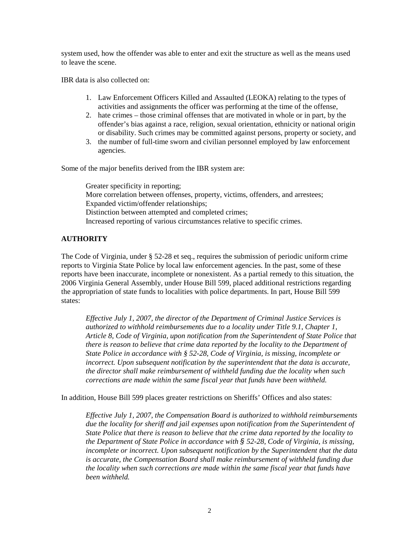system used, how the offender was able to enter and exit the structure as well as the means used to leave the scene.

IBR data is also collected on:

- 1. Law Enforcement Officers Killed and Assaulted (LEOKA) relating to the types of activities and assignments the officer was performing at the time of the offense,
- 2. hate crimes those criminal offenses that are motivated in whole or in part, by the offender's bias against a race, religion, sexual orientation, ethnicity or national origin or disability. Such crimes may be committed against persons, property or society, and
- 3. the number of full-time sworn and civilian personnel employed by law enforcement agencies.

Some of the major benefits derived from the IBR system are:

Greater specificity in reporting; More correlation between offenses, property, victims, offenders, and arrestees; Expanded victim/offender relationships; Distinction between attempted and completed crimes; Increased reporting of various circumstances relative to specific crimes.

#### **AUTHORITY**

The Code of Virginia, under § 52-28 et seq., requires the submission of periodic uniform crime reports to Virginia State Police by local law enforcement agencies. In the past, some of these reports have been inaccurate, incomplete or nonexistent. As a partial remedy to this situation, the 2006 Virginia General Assembly, under House Bill 599, placed additional restrictions regarding the appropriation of state funds to localities with police departments. In part, House Bill 599 states:

*Effective July 1, 2007, the director of the Department of Criminal Justice Services is authorized to withhold reimbursements due to a locality under Title 9.1, Chapter 1, Article 8, Code of Virginia, upon notification from the Superintendent of State Police that there is reason to believe that crime data reported by the locality to the Department of State Police in accordance with § 52-28, Code of Virginia, is missing, incomplete or incorrect. Upon subsequent notification by the superintendent that the data is accurate, the director shall make reimbursement of withheld funding due the locality when such corrections are made within the same fiscal year that funds have been withheld.* 

In addition, House Bill 599 places greater restrictions on Sheriffs' Offices and also states:

*Effective July 1, 2007, the Compensation Board is authorized to withhold reimbursements due the locality for sheriff and jail expenses upon notification from the Superintendent of State Police that there is reason to believe that the crime data reported by the locality to the Department of State Police in accordance with § 52-28, Code of Virginia, is missing, incomplete or incorrect. Upon subsequent notification by the Superintendent that the data is accurate, the Compensation Board shall make reimbursement of withheld funding due the locality when such corrections are made within the same fiscal year that funds have been withheld.*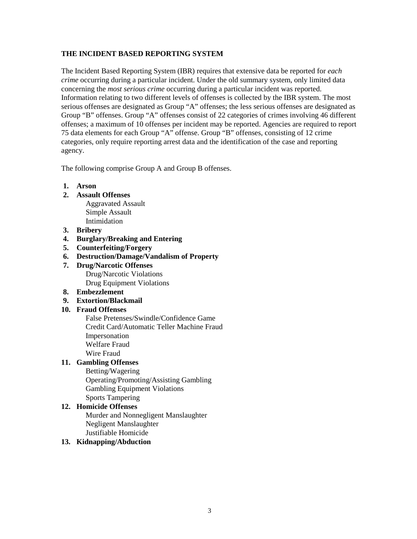#### **THE INCIDENT BASED REPORTING SYSTEM**

The Incident Based Reporting System (IBR) requires that extensive data be reported for *each crime* occurring during a particular incident. Under the old summary system, only limited data concerning the *most serious crime* occurring during a particular incident was reported. Information relating to two different levels of offenses is collected by the IBR system. The most serious offenses are designated as Group "A" offenses; the less serious offenses are designated as Group "B" offenses. Group "A" offenses consist of 22 categories of crimes involving 46 different offenses; a maximum of 10 offenses per incident may be reported. Agencies are required to report 75 data elements for each Group "A" offense. Group "B" offenses, consisting of 12 crime categories, only require reporting arrest data and the identification of the case and reporting agency.

The following comprise Group A and Group B offenses.

- **1. Arson**
- **2. Assault Offenses**

 Aggravated Assault Simple Assault Intimidation

- **3. Bribery**
- **4. Burglary/Breaking and Entering**
- **5. Counterfeiting/Forgery**
- **6. Destruction/Damage/Vandalism of Property**
- **7. Drug/Narcotic Offenses** Drug/Narcotic Violations Drug Equipment Violations
- **8. Embezzlement**
- **9. Extortion/Blackmail**

## **10. Fraud Offenses**

 False Pretenses/Swindle/Confidence Game Credit Card/Automatic Teller Machine Fraud Impersonation Welfare Fraud Wire Fraud

#### **11. Gambling Offenses**

 Betting/Wagering Operating/Promoting/Assisting Gambling Gambling Equipment Violations Sports Tampering

## **12. Homicide Offenses**

 Murder and Nonnegligent Manslaughter Negligent Manslaughter Justifiable Homicide

#### **13. Kidnapping/Abduction**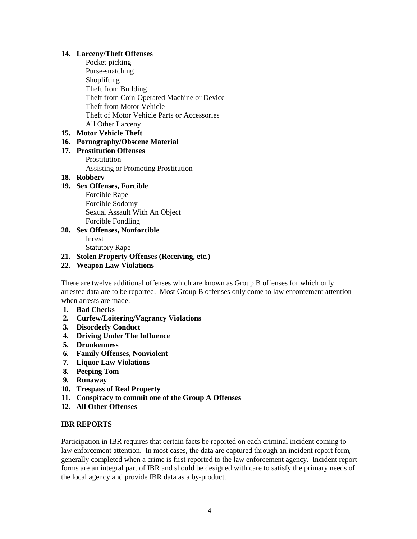#### **14. Larceny/Theft Offenses**

- Pocket-picking Purse-snatching Shoplifting Theft from Building Theft from Coin-Operated Machine or Device Theft from Motor Vehicle Theft of Motor Vehicle Parts or Accessories All Other Larceny
- **15. Motor Vehicle Theft**

#### **16. Pornography/Obscene Material**

#### **17. Prostitution Offenses**

Prostitution

Assisting or Promoting Prostitution

#### **18. Robbery**

#### **19. Sex Offenses, Forcible**

 Forcible Rape Forcible Sodomy Sexual Assault With An Object Forcible Fondling

**20. Sex Offenses, Nonforcible** Incest Statutory Rape

#### **21. Stolen Property Offenses (Receiving, etc.)**

#### **22. Weapon Law Violations**

There are twelve additional offenses which are known as Group B offenses for which only arrestee data are to be reported. Most Group B offenses only come to law enforcement attention when arrests are made.

- **1. Bad Checks**
- **2. Curfew/Loitering/Vagrancy Violations**
- **3. Disorderly Conduct**
- **4. Driving Under The Influence**
- **5. Drunkenness**
- **6. Family Offenses, Nonviolent**
- **7. Liquor Law Violations**
- **8. Peeping Tom**
- **9. Runaway**
- **10. Trespass of Real Property**
- **11. Conspiracy to commit one of the Group A Offenses**
- **12. All Other Offenses**

#### **IBR REPORTS**

Participation in IBR requires that certain facts be reported on each criminal incident coming to law enforcement attention. In most cases, the data are captured through an incident report form, generally completed when a crime is first reported to the law enforcement agency. Incident report forms are an integral part of IBR and should be designed with care to satisfy the primary needs of the local agency and provide IBR data as a by-product.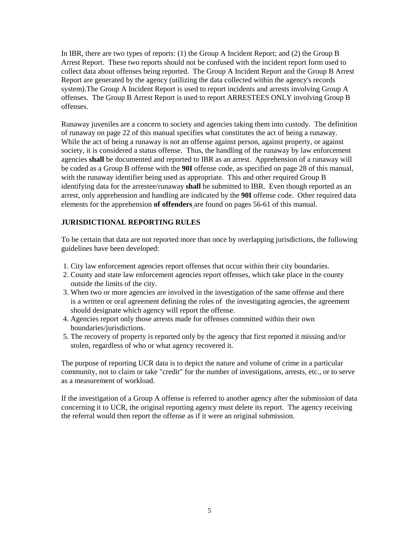In IBR, there are two types of reports: (1) the Group A Incident Report; and (2) the Group B Arrest Report. These two reports should not be confused with the incident report form used to collect data about offenses being reported. The Group A Incident Report and the Group B Arrest Report are generated by the agency (utilizing the data collected within the agency's records system).The Group A Incident Report is used to report incidents and arrests involving Group A offenses. The Group B Arrest Report is used to report ARRESTEES ONLY involving Group B offenses.

Runaway juveniles are a concern to society and agencies taking them into custody. The definition of runaway on page 22 of this manual specifies what constitutes the act of being a runaway. While the act of being a runaway is not an offense against person, against property, or against society, it is considered a status offense. Thus, the handling of the runaway by law enforcement agencies **shall** be documented and reported to IBR as an arrest. Apprehension of a runaway will be coded as a Group B offense with the **90I** offense code, as specified on page 28 of this manual, with the runaway identifier being used as appropriate. This and other required Group B identifying data for the arrestee/runaway **shall** be submitted to IBR. Even though reported as an arrest, only apprehension and handling are indicated by the **90I** offense code. Other required data elements for the apprehension **of offenders** are found on pages 56-61 of this manual.

#### **JURISDICTIONAL REPORTING RULES**

To be certain that data are not reported more than once by overlapping jurisdictions, the following guidelines have been developed:

- 1. City law enforcement agencies report offenses that occur within their city boundaries.
- 2. County and state law enforcement agencies report offenses, which take place in the county outside the limits of the city.
- 3. When two or more agencies are involved in the investigation of the same offense and there is a written or oral agreement defining the roles of the investigating agencies, the agreement should designate which agency will report the offense.
- 4. Agencies report only those arrests made for offenses committed within their own boundaries/jurisdictions.
- 5. The recovery of property is reported only by the agency that first reported it missing and/or stolen, regardless of who or what agency recovered it.

The purpose of reporting UCR data is to depict the nature and volume of crime in a particular community, not to claim or take "credit" for the number of investigations, arrests, etc., or to serve as a measurement of workload.

If the investigation of a Group A offense is referred to another agency after the submission of data concerning it to UCR, the original reporting agency must delete its report. The agency receiving the referral would then report the offense as if it were an original submission.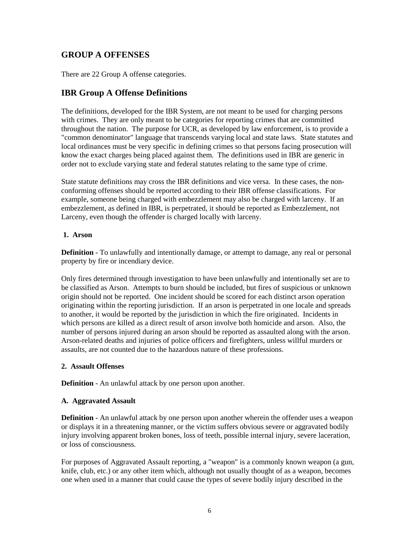## **GROUP A OFFENSES**

There are 22 Group A offense categories.

## **IBR Group A Offense Definitions**

The definitions, developed for the IBR System, are not meant to be used for charging persons with crimes. They are only meant to be categories for reporting crimes that are committed throughout the nation. The purpose for UCR, as developed by law enforcement, is to provide a "common denominator" language that transcends varying local and state laws. State statutes and local ordinances must be very specific in defining crimes so that persons facing prosecution will know the exact charges being placed against them. The definitions used in IBR are generic in order not to exclude varying state and federal statutes relating to the same type of crime.

State statute definitions may cross the IBR definitions and vice versa. In these cases, the nonconforming offenses should be reported according to their IBR offense classifications. For example, someone being charged with embezzlement may also be charged with larceny. If an embezzlement, as defined in IBR, is perpetrated, it should be reported as Embezzlement, not Larceny, even though the offender is charged locally with larceny.

#### **1. Arson**

**Definition** - To unlawfully and intentionally damage, or attempt to damage, any real or personal property by fire or incendiary device.

Only fires determined through investigation to have been unlawfully and intentionally set are to be classified as Arson. Attempts to burn should be included, but fires of suspicious or unknown origin should not be reported. One incident should be scored for each distinct arson operation originating within the reporting jurisdiction. If an arson is perpetrated in one locale and spreads to another, it would be reported by the jurisdiction in which the fire originated. Incidents in which persons are killed as a direct result of arson involve both homicide and arson. Also, the number of persons injured during an arson should be reported as assaulted along with the arson. Arson-related deaths and injuries of police officers and firefighters, unless willful murders or assaults, are not counted due to the hazardous nature of these professions.

#### **2. Assault Offenses**

**Definition** - An unlawful attack by one person upon another.

#### **A. Aggravated Assault**

**Definition** - An unlawful attack by one person upon another wherein the offender uses a weapon or displays it in a threatening manner, or the victim suffers obvious severe or aggravated bodily injury involving apparent broken bones, loss of teeth, possible internal injury, severe laceration, or loss of consciousness.

For purposes of Aggravated Assault reporting, a "weapon" is a commonly known weapon (a gun, knife, club, etc.) or any other item which, although not usually thought of as a weapon, becomes one when used in a manner that could cause the types of severe bodily injury described in the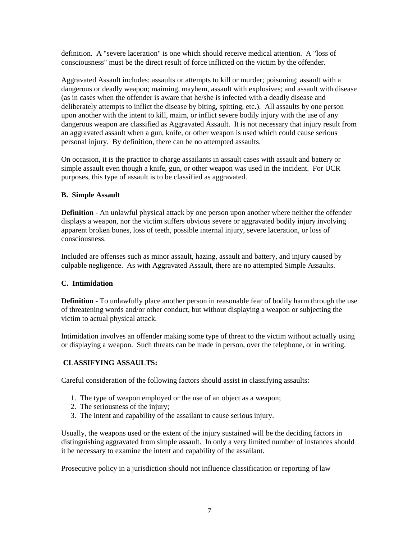definition. A "severe laceration" is one which should receive medical attention. A "loss of consciousness" must be the direct result of force inflicted on the victim by the offender.

Aggravated Assault includes: assaults or attempts to kill or murder; poisoning; assault with a dangerous or deadly weapon; maiming, mayhem, assault with explosives; and assault with disease (as in cases when the offender is aware that he/she is infected with a deadly disease and deliberately attempts to inflict the disease by biting, spitting, etc.). All assaults by one person upon another with the intent to kill, maim, or inflict severe bodily injury with the use of any dangerous weapon are classified as Aggravated Assault. It is not necessary that injury result from an aggravated assault when a gun, knife, or other weapon is used which could cause serious personal injury. By definition, there can be no attempted assaults.

On occasion, it is the practice to charge assailants in assault cases with assault and battery or simple assault even though a knife, gun, or other weapon was used in the incident. For UCR purposes, this type of assault is to be classified as aggravated.

#### **B. Simple Assault**

**Definition** - An unlawful physical attack by one person upon another where neither the offender displays a weapon, nor the victim suffers obvious severe or aggravated bodily injury involving apparent broken bones, loss of teeth, possible internal injury, severe laceration, or loss of consciousness.

Included are offenses such as minor assault, hazing, assault and battery, and injury caused by culpable negligence. As with Aggravated Assault, there are no attempted Simple Assaults.

#### **C. Intimidation**

**Definition** - To unlawfully place another person in reasonable fear of bodily harm through the use of threatening words and/or other conduct, but without displaying a weapon or subjecting the victim to actual physical attack.

Intimidation involves an offender making some type of threat to the victim without actually using or displaying a weapon. Such threats can be made in person, over the telephone, or in writing.

## **CLASSIFYING ASSAULTS:**

Careful consideration of the following factors should assist in classifying assaults:

- 1. The type of weapon employed or the use of an object as a weapon;
- 2. The seriousness of the injury;
- 3. The intent and capability of the assailant to cause serious injury.

Usually, the weapons used or the extent of the injury sustained will be the deciding factors in distinguishing aggravated from simple assault. In only a very limited number of instances should it be necessary to examine the intent and capability of the assailant.

Prosecutive policy in a jurisdiction should not influence classification or reporting of law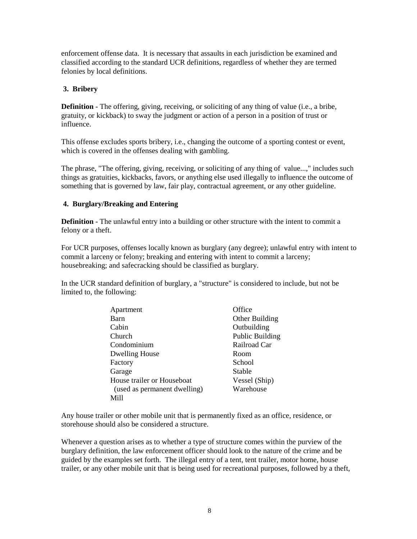enforcement offense data. It is necessary that assaults in each jurisdiction be examined and classified according to the standard UCR definitions, regardless of whether they are termed felonies by local definitions.

#### **3. Bribery**

**Definition** - The offering, giving, receiving, or soliciting of any thing of value (i.e., a bribe, gratuity, or kickback) to sway the judgment or action of a person in a position of trust or influence.

This offense excludes sports bribery, i.e., changing the outcome of a sporting contest or event, which is covered in the offenses dealing with gambling.

The phrase, "The offering, giving, receiving, or soliciting of any thing of value...," includes such things as gratuities, kickbacks, favors, or anything else used illegally to influence the outcome of something that is governed by law, fair play, contractual agreement, or any other guideline.

#### **4. Burglary/Breaking and Entering**

**Definition** - The unlawful entry into a building or other structure with the intent to commit a felony or a theft.

For UCR purposes, offenses locally known as burglary (any degree); unlawful entry with intent to commit a larceny or felony; breaking and entering with intent to commit a larceny; housebreaking; and safecracking should be classified as burglary.

In the UCR standard definition of burglary, a "structure" is considered to include, but not be limited to, the following:

| Apartment                    | Office                 |
|------------------------------|------------------------|
| Barn                         | Other Building         |
| Cabin                        | Outbuilding            |
| <b>Church</b>                | <b>Public Building</b> |
| Condominium                  | Railroad Car           |
| Dwelling House               | Room                   |
| Factory                      | School                 |
| Garage                       | Stable                 |
| House trailer or Houseboat   | Vessel (Ship)          |
| (used as permanent dwelling) | Warehouse              |
| Mill                         |                        |

Any house trailer or other mobile unit that is permanently fixed as an office, residence, or storehouse should also be considered a structure.

Whenever a question arises as to whether a type of structure comes within the purview of the burglary definition, the law enforcement officer should look to the nature of the crime and be guided by the examples set forth. The illegal entry of a tent, tent trailer, motor home, house trailer, or any other mobile unit that is being used for recreational purposes, followed by a theft,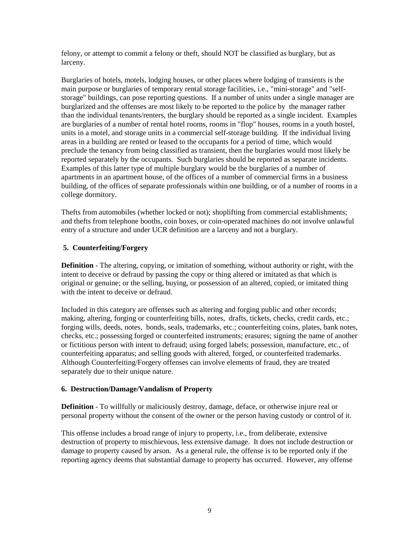felony, or attempt to commit a felony or theft, should NOT be classified as burglary, but as larceny.

Burglaries of hotels, motels, lodging houses, or other places where lodging of transients is the main purpose or burglaries of temporary rental storage facilities, i.e., "mini-storage" and "selfstorage" buildings, can pose reporting questions. If a number of units under a single manager are burglarized and the offenses are most likely to be reported to the police by the manager rather than the individual tenants/renters, the burglary should be reported as a single incident. Examples are burglaries of a number of rental hotel rooms, rooms in "flop" houses, rooms in a youth hostel, units in a motel, and storage units in a commercial self-storage building. If the individual living areas in a building are rented or leased to the occupants for a period of time, which would preclude the tenancy from being classified as transient, then the burglaries would most likely be reported separately by the occupants. Such burglaries should be reported as separate incidents. Examples of this latter type of multiple burglary would be the burglaries of a number of apartments in an apartment house, of the offices of a number of commercial firms in a business building, of the offices of separate professionals within one building, or of a number of rooms in a college dormitory.

Thefts from automobiles (whether locked or not); shoplifting from commercial establishments; and thefts from telephone booths, coin boxes, or coin-operated machines do not involve unlawful entry of a structure and under UCR definition are a larceny and not a burglary.

#### **5. Counterfeiting/Forgery**

**Definition** - The altering, copying, or imitation of something, without authority or right, with the intent to deceive or defraud by passing the copy or thing altered or imitated as that which is original or genuine; or the selling, buying, or possession of an altered, copied, or imitated thing with the intent to deceive or defraud.

Included in this category are offenses such as altering and forging public and other records; making, altering, forging or counterfeiting bills, notes, drafts, tickets, checks, credit cards, etc.; forging wills, deeds, notes, bonds, seals, trademarks, etc.; counterfeiting coins, plates, bank notes, checks, etc.; possessing forged or counterfeited instruments; erasures; signing the name of another or fictitious person with intent to defraud; using forged labels; possession, manufacture, etc., of counterfeiting apparatus; and selling goods with altered, forged, or counterfeited trademarks. Although Counterfeiting/Forgery offenses can involve elements of fraud, they are treated separately due to their unique nature.

#### **6. Destruction/Damage/Vandalism of Property**

**Definition** - To willfully or maliciously destroy, damage, deface, or otherwise injure real or personal property without the consent of the owner or the person having custody or control of it.

This offense includes a broad range of injury to property, i.e., from deliberate, extensive destruction of property to mischievous, less extensive damage. It does not include destruction or damage to property caused by arson. As a general rule, the offense is to be reported only if the reporting agency deems that substantial damage to property has occurred. However, any offense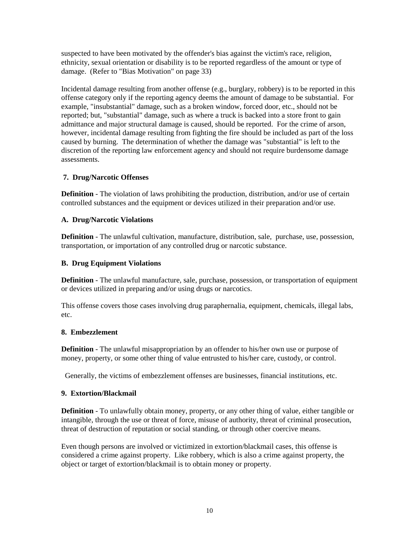suspected to have been motivated by the offender's bias against the victim's race, religion, ethnicity, sexual orientation or disability is to be reported regardless of the amount or type of damage. (Refer to "Bias Motivation" on page 33)

Incidental damage resulting from another offense (e.g., burglary, robbery) is to be reported in this offense category only if the reporting agency deems the amount of damage to be substantial. For example, "insubstantial" damage, such as a broken window, forced door, etc., should not be reported; but, "substantial" damage, such as where a truck is backed into a store front to gain admittance and major structural damage is caused, should be reported. For the crime of arson, however, incidental damage resulting from fighting the fire should be included as part of the loss caused by burning. The determination of whether the damage was "substantial" is left to the discretion of the reporting law enforcement agency and should not require burdensome damage assessments.

#### **7. Drug/Narcotic Offenses**

**Definition** - The violation of laws prohibiting the production, distribution, and/or use of certain controlled substances and the equipment or devices utilized in their preparation and/or use.

#### **A. Drug/Narcotic Violations**

**Definition** - The unlawful cultivation, manufacture, distribution, sale, purchase, use, possession, transportation, or importation of any controlled drug or narcotic substance.

#### **B. Drug Equipment Violations**

**Definition** - The unlawful manufacture, sale, purchase, possession, or transportation of equipment or devices utilized in preparing and/or using drugs or narcotics.

This offense covers those cases involving drug paraphernalia, equipment, chemicals, illegal labs, etc.

#### **8. Embezzlement**

**Definition** - The unlawful misappropriation by an offender to his/her own use or purpose of money, property, or some other thing of value entrusted to his/her care, custody, or control.

Generally, the victims of embezzlement offenses are businesses, financial institutions, etc.

#### **9. Extortion/Blackmail**

**Definition** - To unlawfully obtain money, property, or any other thing of value, either tangible or intangible, through the use or threat of force, misuse of authority, threat of criminal prosecution, threat of destruction of reputation or social standing, or through other coercive means.

Even though persons are involved or victimized in extortion/blackmail cases, this offense is considered a crime against property. Like robbery, which is also a crime against property, the object or target of extortion/blackmail is to obtain money or property.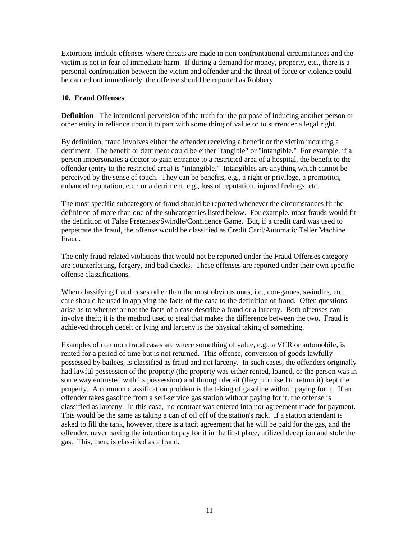Extortions include offenses where threats are made in non-confrontational circumstances and the victim is not in fear of immediate harm. If during a demand for money, property, etc., there is a personal confrontation between the victim and offender and the threat of force or violence could be carried out immediately, the offense should be reported as Robbery.

#### **10. Fraud Offenses**

**Definition** - The intentional perversion of the truth for the purpose of inducing another person or other entity in reliance upon it to part with some thing of value or to surrender a legal right.

By definition, fraud involves either the offender receiving a benefit or the victim incurring a detriment. The benefit or detriment could be either "tangible" or "intangible." For example, if a person impersonates a doctor to gain entrance to a restricted area of a hospital, the benefit to the offender (entry to the restricted area) is "intangible." Intangibles are anything which cannot be perceived by the sense of touch. They can be benefits, e.g., a right or privilege, a promotion, enhanced reputation, etc.; or a detriment, e.g., loss of reputation, injured feelings, etc.

The most specific subcategory of fraud should be reported whenever the circumstances fit the definition of more than one of the subcategories listed below. For example, most frauds would fit the definition of False Pretenses/Swindle/Confidence Game. But, if a credit card was used to perpetrate the fraud, the offense would be classified as Credit Card/Automatic Teller Machine Fraud.

The only fraud-related violations that would not be reported under the Fraud Offenses category are counterfeiting, forgery, and bad checks. These offenses are reported under their own specific offense classifications.

When classifying fraud cases other than the most obvious ones, i.e., con-games, swindles, etc., care should be used in applying the facts of the case to the definition of fraud. Often questions arise as to whether or not the facts of a case describe a fraud or a larceny. Both offenses can involve theft; it is the method used to steal that makes the difference between the two. Fraud is achieved through deceit or lying and larceny is the physical taking of something.

Examples of common fraud cases are where something of value, e.g., a VCR or automobile, is rented for a period of time but is not returned. This offense, conversion of goods lawfully possessed by bailees, is classified as fraud and not larceny. In such cases, the offenders originally had lawful possession of the property (the property was either rented, loaned, or the person was in some way entrusted with its possession) and through deceit (they promised to return it) kept the property. A common classification problem is the taking of gasoline without paying for it. If an offender takes gasoline from a self-service gas station without paying for it, the offense is classified as larceny. In this case, no contract was entered into nor agreement made for payment. This would be the same as taking a can of oil off of the station's rack. If a station attendant is asked to fill the tank, however, there is a tacit agreement that he will be paid for the gas, and the offender, never having the intention to pay for it in the first place, utilized deception and stole the gas. This, then, is classified as a fraud.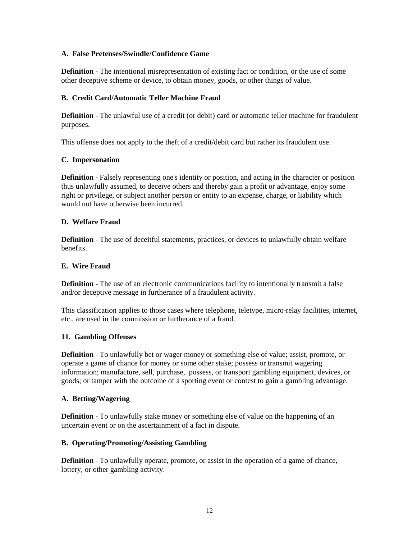#### **A. False Pretenses/Swindle/Confidence Game**

**Definition** - The intentional misrepresentation of existing fact or condition, or the use of some other deceptive scheme or device, to obtain money, goods, or other things of value.

#### **B. Credit Card/Automatic Teller Machine Fraud**

**Definition** - The unlawful use of a credit (or debit) card or automatic teller machine for fraudulent purposes.

This offense does not apply to the theft of a credit/debit card but rather its fraudulent use.

#### **C. Impersonation**

**Definition** - Falsely representing one's identity or position, and acting in the character or position thus unlawfully assumed, to deceive others and thereby gain a profit or advantage, enjoy some right or privilege, or subject another person or entity to an expense, charge, or liability which would not have otherwise been incurred.

#### **D. Welfare Fraud**

**Definition** - The use of deceitful statements, practices, or devices to unlawfully obtain welfare benefits.

#### **E. Wire Fraud**

**Definition** - The use of an electronic communications facility to intentionally transmit a false and/or deceptive message in furtherance of a fraudulent activity.

This classification applies to those cases where telephone, teletype, micro-relay facilities, internet, etc., are used in the commission or furtherance of a fraud.

#### **11. Gambling Offenses**

**Definition** - To unlawfully bet or wager money or something else of value; assist, promote, or operate a game of chance for money or some other stake; possess or transmit wagering information; manufacture, sell, purchase, possess, or transport gambling equipment, devices, or goods; or tamper with the outcome of a sporting event or contest to gain a gambling advantage.

#### **A. Betting/Wagering**

**Definition** - To unlawfully stake money or something else of value on the happening of an uncertain event or on the ascertainment of a fact in dispute.

#### **B. Operating/Promoting/Assisting Gambling**

**Definition** - To unlawfully operate, promote, or assist in the operation of a game of chance, lottery, or other gambling activity.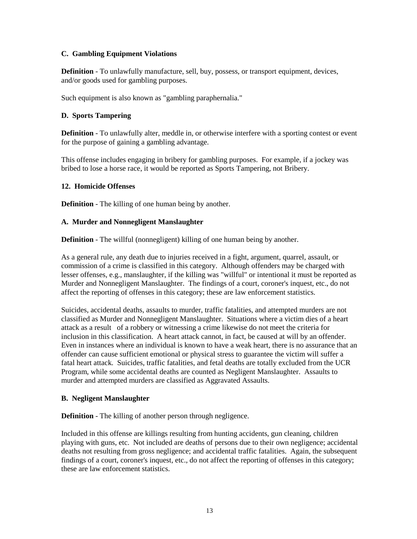#### **C. Gambling Equipment Violations**

**Definition** - To unlawfully manufacture, sell, buy, possess, or transport equipment, devices, and/or goods used for gambling purposes.

Such equipment is also known as "gambling paraphernalia."

#### **D. Sports Tampering**

**Definition** - To unlawfully alter, meddle in, or otherwise interfere with a sporting contest or event for the purpose of gaining a gambling advantage.

This offense includes engaging in bribery for gambling purposes. For example, if a jockey was bribed to lose a horse race, it would be reported as Sports Tampering, not Bribery.

#### **12. Homicide Offenses**

**Definition** - The killing of one human being by another.

#### **A. Murder and Nonnegligent Manslaughter**

**Definition** - The willful (nonnegligent) killing of one human being by another.

As a general rule, any death due to injuries received in a fight, argument, quarrel, assault, or commission of a crime is classified in this category. Although offenders may be charged with lesser offenses, e.g., manslaughter, if the killing was "willful" or intentional it must be reported as Murder and Nonnegligent Manslaughter. The findings of a court, coroner's inquest, etc., do not affect the reporting of offenses in this category; these are law enforcement statistics.

Suicides, accidental deaths, assaults to murder, traffic fatalities, and attempted murders are not classified as Murder and Nonnegligent Manslaughter. Situations where a victim dies of a heart attack as a result of a robbery or witnessing a crime likewise do not meet the criteria for inclusion in this classification. A heart attack cannot, in fact, be caused at will by an offender. Even in instances where an individual is known to have a weak heart, there is no assurance that an offender can cause sufficient emotional or physical stress to guarantee the victim will suffer a fatal heart attack. Suicides, traffic fatalities, and fetal deaths are totally excluded from the UCR Program, while some accidental deaths are counted as Negligent Manslaughter. Assaults to murder and attempted murders are classified as Aggravated Assaults.

## **B. Negligent Manslaughter**

**Definition** - The killing of another person through negligence.

Included in this offense are killings resulting from hunting accidents, gun cleaning, children playing with guns, etc. Not included are deaths of persons due to their own negligence; accidental deaths not resulting from gross negligence; and accidental traffic fatalities. Again, the subsequent findings of a court, coroner's inquest, etc., do not affect the reporting of offenses in this category; these are law enforcement statistics.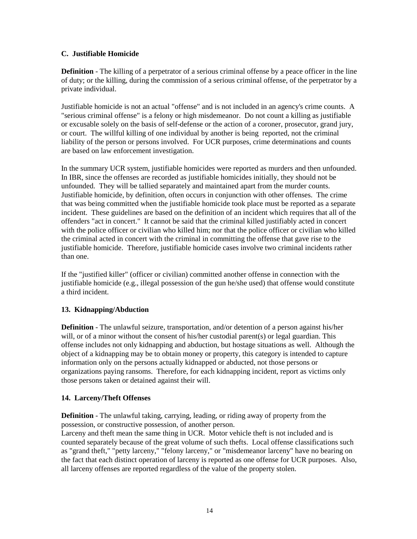#### **C. Justifiable Homicide**

**Definition** - The killing of a perpetrator of a serious criminal offense by a peace officer in the line of duty; or the killing, during the commission of a serious criminal offense, of the perpetrator by a private individual.

Justifiable homicide is not an actual "offense" and is not included in an agency's crime counts. A "serious criminal offense" is a felony or high misdemeanor. Do not count a killing as justifiable or excusable solely on the basis of self-defense or the action of a coroner, prosecutor, grand jury, or court. The willful killing of one individual by another is being reported, not the criminal liability of the person or persons involved. For UCR purposes, crime determinations and counts are based on law enforcement investigation.

In the summary UCR system, justifiable homicides were reported as murders and then unfounded. In IBR, since the offenses are recorded as justifiable homicides initially, they should not be unfounded. They will be tallied separately and maintained apart from the murder counts. Justifiable homicide, by definition, often occurs in conjunction with other offenses. The crime that was being committed when the justifiable homicide took place must be reported as a separate incident. These guidelines are based on the definition of an incident which requires that all of the offenders "act in concert." It cannot be said that the criminal killed justifiably acted in concert with the police officer or civilian who killed him; nor that the police officer or civilian who killed the criminal acted in concert with the criminal in committing the offense that gave rise to the justifiable homicide. Therefore, justifiable homicide cases involve two criminal incidents rather than one.

If the "justified killer" (officer or civilian) committed another offense in connection with the justifiable homicide (e.g., illegal possession of the gun he/she used) that offense would constitute a third incident.

## **13. Kidnapping/Abduction**

**Definition** - The unlawful seizure, transportation, and/or detention of a person against his/her will, or of a minor without the consent of his/her custodial parent(s) or legal guardian. This offense includes not only kidnapping and abduction, but hostage situations as well. Although the object of a kidnapping may be to obtain money or property, this category is intended to capture information only on the persons actually kidnapped or abducted, not those persons or organizations paying ransoms. Therefore, for each kidnapping incident, report as victims only those persons taken or detained against their will.

## **14. Larceny/Theft Offenses**

**Definition** - The unlawful taking, carrying, leading, or riding away of property from the possession, or constructive possession, of another person.

Larceny and theft mean the same thing in UCR. Motor vehicle theft is not included and is counted separately because of the great volume of such thefts. Local offense classifications such as "grand theft," "petty larceny," "felony larceny," or "misdemeanor larceny" have no bearing on the fact that each distinct operation of larceny is reported as one offense for UCR purposes. Also, all larceny offenses are reported regardless of the value of the property stolen.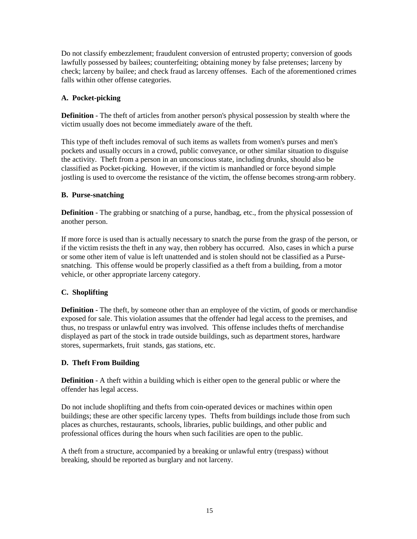Do not classify embezzlement; fraudulent conversion of entrusted property; conversion of goods lawfully possessed by bailees; counterfeiting; obtaining money by false pretenses; larceny by check; larceny by bailee; and check fraud as larceny offenses. Each of the aforementioned crimes falls within other offense categories.

## **A. Pocket-picking**

**Definition** - The theft of articles from another person's physical possession by stealth where the victim usually does not become immediately aware of the theft.

This type of theft includes removal of such items as wallets from women's purses and men's pockets and usually occurs in a crowd, public conveyance, or other similar situation to disguise the activity. Theft from a person in an unconscious state, including drunks, should also be classified as Pocket-picking. However, if the victim is manhandled or force beyond simple jostling is used to overcome the resistance of the victim, the offense becomes strong-arm robbery.

#### **B. Purse-snatching**

**Definition** - The grabbing or snatching of a purse, handbag, etc., from the physical possession of another person.

If more force is used than is actually necessary to snatch the purse from the grasp of the person, or if the victim resists the theft in any way, then robbery has occurred. Also, cases in which a purse or some other item of value is left unattended and is stolen should not be classified as a Pursesnatching. This offense would be properly classified as a theft from a building, from a motor vehicle, or other appropriate larceny category.

## **C. Shoplifting**

**Definition** - The theft, by someone other than an employee of the victim, of goods or merchandise exposed for sale. This violation assumes that the offender had legal access to the premises, and thus, no trespass or unlawful entry was involved. This offense includes thefts of merchandise displayed as part of the stock in trade outside buildings, such as department stores, hardware stores, supermarkets, fruit stands, gas stations, etc.

## **D. Theft From Building**

**Definition** - A theft within a building which is either open to the general public or where the offender has legal access.

Do not include shoplifting and thefts from coin-operated devices or machines within open buildings; these are other specific larceny types. Thefts from buildings include those from such places as churches, restaurants, schools, libraries, public buildings, and other public and professional offices during the hours when such facilities are open to the public.

A theft from a structure, accompanied by a breaking or unlawful entry (trespass) without breaking, should be reported as burglary and not larceny.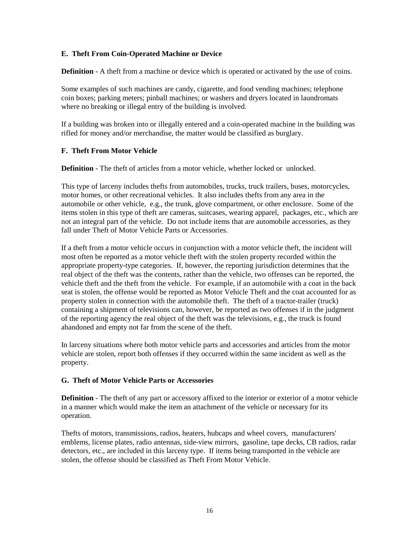#### **E. Theft From Coin-Operated Machine or Device**

**Definition** - A theft from a machine or device which is operated or activated by the use of coins.

Some examples of such machines are candy, cigarette, and food vending machines; telephone coin boxes; parking meters; pinball machines; or washers and dryers located in laundromats where no breaking or illegal entry of the building is involved.

If a building was broken into or illegally entered and a coin-operated machine in the building was rifled for money and/or merchandise, the matter would be classified as burglary.

#### **F. Theft From Motor Vehicle**

**Definition** - The theft of articles from a motor vehicle, whether locked or unlocked.

This type of larceny includes thefts from automobiles, trucks, truck trailers, buses, motorcycles, motor homes, or other recreational vehicles. It also includes thefts from any area in the automobile or other vehicle, e.g., the trunk, glove compartment, or other enclosure. Some of the items stolen in this type of theft are cameras, suitcases, wearing apparel, packages, etc., which are not an integral part of the vehicle. Do not include items that are automobile accessories, as they fall under Theft of Motor Vehicle Parts or Accessories.

If a theft from a motor vehicle occurs in conjunction with a motor vehicle theft, the incident will most often be reported as a motor vehicle theft with the stolen property recorded within the appropriate property-type categories. If, however, the reporting jurisdiction determines that the real object of the theft was the contents, rather than the vehicle, two offenses can be reported, the vehicle theft and the theft from the vehicle. For example, if an automobile with a coat in the back seat is stolen, the offense would be reported as Motor Vehicle Theft and the coat accounted for as property stolen in connection with the automobile theft. The theft of a tractor-trailer (truck) containing a shipment of televisions can, however, be reported as two offenses if in the judgment of the reporting agency the real object of the theft was the televisions, e.g., the truck is found abandoned and empty not far from the scene of the theft.

In larceny situations where both motor vehicle parts and accessories and articles from the motor vehicle are stolen, report both offenses if they occurred within the same incident as well as the property.

#### **G. Theft of Motor Vehicle Parts or Accessories**

**Definition** - The theft of any part or accessory affixed to the interior or exterior of a motor vehicle in a manner which would make the item an attachment of the vehicle or necessary for its operation.

Thefts of motors, transmissions, radios, heaters, hubcaps and wheel covers, manufacturers' emblems, license plates, radio antennas, side-view mirrors, gasoline, tape decks, CB radios, radar detectors, etc., are included in this larceny type. If items being transported in the vehicle are stolen, the offense should be classified as Theft From Motor Vehicle.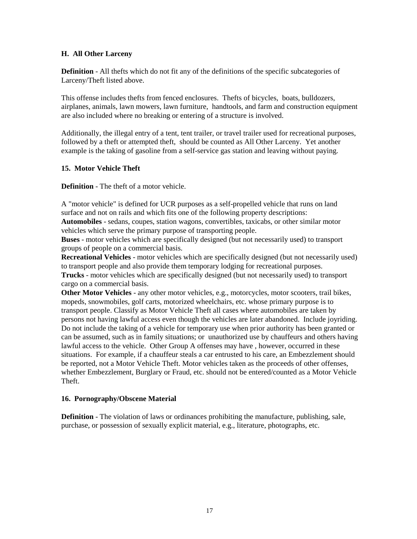#### **H. All Other Larceny**

**Definition** - All thefts which do not fit any of the definitions of the specific subcategories of Larceny/Theft listed above.

This offense includes thefts from fenced enclosures. Thefts of bicycles, boats, bulldozers, airplanes, animals, lawn mowers, lawn furniture, handtools, and farm and construction equipment are also included where no breaking or entering of a structure is involved.

Additionally, the illegal entry of a tent, tent trailer, or travel trailer used for recreational purposes, followed by a theft or attempted theft, should be counted as All Other Larceny. Yet another example is the taking of gasoline from a self-service gas station and leaving without paying.

#### **15. Motor Vehicle Theft**

**Definition** - The theft of a motor vehicle.

A "motor vehicle" is defined for UCR purposes as a self-propelled vehicle that runs on land surface and not on rails and which fits one of the following property descriptions: **Automobiles** - sedans, coupes, station wagons, convertibles, taxicabs, or other similar motor vehicles which serve the primary purpose of transporting people.

**Buses** - motor vehicles which are specifically designed (but not necessarily used) to transport groups of people on a commercial basis.

**Recreational Vehicles** - motor vehicles which are specifically designed (but not necessarily used) to transport people and also provide them temporary lodging for recreational purposes. **Trucks** - motor vehicles which are specifically designed (but not necessarily used) to transport cargo on a commercial basis.

**Other Motor Vehicles** - any other motor vehicles, e.g., motorcycles, motor scooters, trail bikes, mopeds, snowmobiles, golf carts, motorized wheelchairs, etc. whose primary purpose is to transport people. Classify as Motor Vehicle Theft all cases where automobiles are taken by persons not having lawful access even though the vehicles are later abandoned. Include joyriding. Do not include the taking of a vehicle for temporary use when prior authority has been granted or can be assumed, such as in family situations; or unauthorized use by chauffeurs and others having lawful access to the vehicle. Other Group A offenses may have , however, occurred in these situations. For example, if a chauffeur steals a car entrusted to his care, an Embezzlement should be reported, not a Motor Vehicle Theft. Motor vehicles taken as the proceeds of other offenses, whether Embezzlement, Burglary or Fraud, etc. should not be entered/counted as a Motor Vehicle Theft.

#### **16. Pornography/Obscene Material**

**Definition** - The violation of laws or ordinances prohibiting the manufacture, publishing, sale, purchase, or possession of sexually explicit material, e.g., literature, photographs, etc.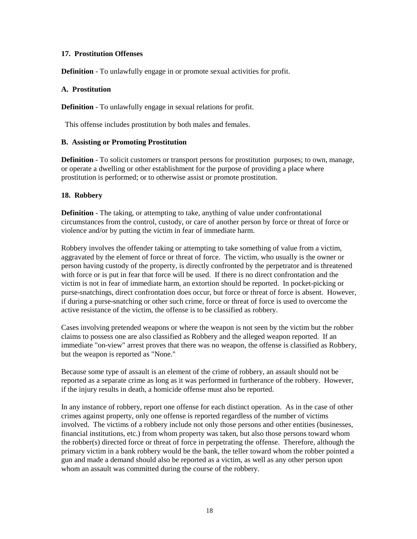#### **17. Prostitution Offenses**

**Definition** - To unlawfully engage in or promote sexual activities for profit.

#### **A. Prostitution**

**Definition** - To unlawfully engage in sexual relations for profit.

This offense includes prostitution by both males and females.

#### **B. Assisting or Promoting Prostitution**

**Definition** - To solicit customers or transport persons for prostitution purposes; to own, manage, or operate a dwelling or other establishment for the purpose of providing a place where prostitution is performed; or to otherwise assist or promote prostitution.

#### **18. Robbery**

**Definition** - The taking, or attempting to take, anything of value under confrontational circumstances from the control, custody, or care of another person by force or threat of force or violence and/or by putting the victim in fear of immediate harm.

Robbery involves the offender taking or attempting to take something of value from a victim, aggravated by the element of force or threat of force. The victim, who usually is the owner or person having custody of the property, is directly confronted by the perpetrator and is threatened with force or is put in fear that force will be used. If there is no direct confrontation and the victim is not in fear of immediate harm, an extortion should be reported. In pocket-picking or purse-snatchings, direct confrontation does occur, but force or threat of force is absent. However, if during a purse-snatching or other such crime, force or threat of force is used to overcome the active resistance of the victim, the offense is to be classified as robbery.

Cases involving pretended weapons or where the weapon is not seen by the victim but the robber claims to possess one are also classified as Robbery and the alleged weapon reported. If an immediate "on-view" arrest proves that there was no weapon, the offense is classified as Robbery, but the weapon is reported as "None."

Because some type of assault is an element of the crime of robbery, an assault should not be reported as a separate crime as long as it was performed in furtherance of the robbery. However, if the injury results in death, a homicide offense must also be reported.

In any instance of robbery, report one offense for each distinct operation. As in the case of other crimes against property, only one offense is reported regardless of the number of victims involved. The victims of a robbery include not only those persons and other entities (businesses, financial institutions, etc.) from whom property was taken, but also those persons toward whom the robber(s) directed force or threat of force in perpetrating the offense. Therefore, although the primary victim in a bank robbery would be the bank, the teller toward whom the robber pointed a gun and made a demand should also be reported as a victim, as well as any other person upon whom an assault was committed during the course of the robbery.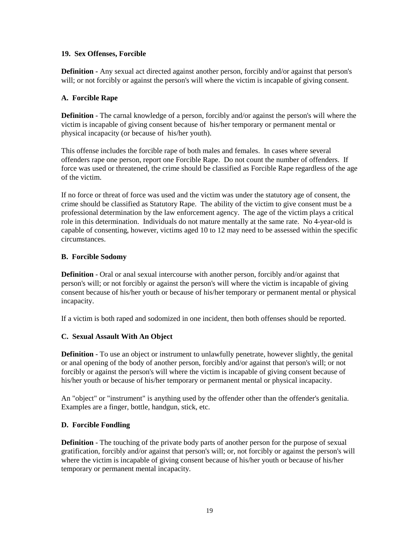#### **19. Sex Offenses, Forcible**

**Definition -** Any sexual act directed against another person, forcibly and/or against that person's will; or not forcibly or against the person's will where the victim is incapable of giving consent.

### **A. Forcible Rape**

**Definition** - The carnal knowledge of a person, forcibly and/or against the person's will where the victim is incapable of giving consent because of his/her temporary or permanent mental or physical incapacity (or because of his/her youth).

This offense includes the forcible rape of both males and females. In cases where several offenders rape one person, report one Forcible Rape. Do not count the number of offenders. If force was used or threatened, the crime should be classified as Forcible Rape regardless of the age of the victim.

If no force or threat of force was used and the victim was under the statutory age of consent, the crime should be classified as Statutory Rape. The ability of the victim to give consent must be a professional determination by the law enforcement agency. The age of the victim plays a critical role in this determination. Individuals do not mature mentally at the same rate. No 4-year-old is capable of consenting, however, victims aged 10 to 12 may need to be assessed within the specific circumstances.

#### **B. Forcible Sodomy**

**Definition** - Oral or anal sexual intercourse with another person, forcibly and/or against that person's will; or not forcibly or against the person's will where the victim is incapable of giving consent because of his/her youth or because of his/her temporary or permanent mental or physical incapacity.

If a victim is both raped and sodomized in one incident, then both offenses should be reported.

## **C. Sexual Assault With An Object**

**Definition** - To use an object or instrument to unlawfully penetrate, however slightly, the genital or anal opening of the body of another person, forcibly and/or against that person's will; or not forcibly or against the person's will where the victim is incapable of giving consent because of his/her youth or because of his/her temporary or permanent mental or physical incapacity.

An "object" or "instrument" is anything used by the offender other than the offender's genitalia. Examples are a finger, bottle, handgun, stick, etc.

## **D. Forcible Fondling**

**Definition** - The touching of the private body parts of another person for the purpose of sexual gratification, forcibly and/or against that person's will; or, not forcibly or against the person's will where the victim is incapable of giving consent because of his/her youth or because of his/her temporary or permanent mental incapacity.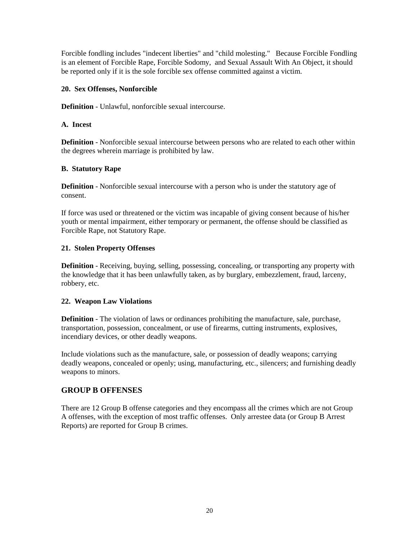Forcible fondling includes "indecent liberties" and "child molesting." Because Forcible Fondling is an element of Forcible Rape, Forcible Sodomy, and Sexual Assault With An Object, it should be reported only if it is the sole forcible sex offense committed against a victim.

### **20. Sex Offenses, Nonforcible**

**Definition** - Unlawful, nonforcible sexual intercourse.

#### **A. Incest**

**Definition** - Nonforcible sexual intercourse between persons who are related to each other within the degrees wherein marriage is prohibited by law.

## **B. Statutory Rape**

**Definition** - Nonforcible sexual intercourse with a person who is under the statutory age of consent.

If force was used or threatened or the victim was incapable of giving consent because of his/her youth or mental impairment, either temporary or permanent, the offense should be classified as Forcible Rape, not Statutory Rape.

#### **21. Stolen Property Offenses**

**Definition** - Receiving, buying, selling, possessing, concealing, or transporting any property with the knowledge that it has been unlawfully taken, as by burglary, embezzlement, fraud, larceny, robbery, etc.

## **22. Weapon Law Violations**

**Definition** - The violation of laws or ordinances prohibiting the manufacture, sale, purchase, transportation, possession, concealment, or use of firearms, cutting instruments, explosives, incendiary devices, or other deadly weapons.

Include violations such as the manufacture, sale, or possession of deadly weapons; carrying deadly weapons, concealed or openly; using, manufacturing, etc., silencers; and furnishing deadly weapons to minors.

## **GROUP B OFFENSES**

There are 12 Group B offense categories and they encompass all the crimes which are not Group A offenses, with the exception of most traffic offenses. Only arrestee data (or Group B Arrest Reports) are reported for Group B crimes.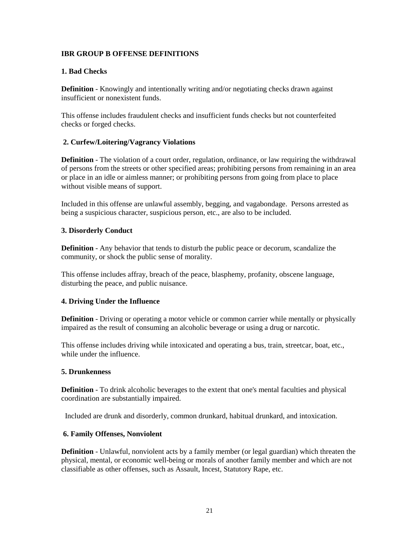#### **IBR GROUP B OFFENSE DEFINITIONS**

#### **1. Bad Checks**

**Definition** - Knowingly and intentionally writing and/or negotiating checks drawn against insufficient or nonexistent funds.

This offense includes fraudulent checks and insufficient funds checks but not counterfeited checks or forged checks.

#### **2. Curfew/Loitering/Vagrancy Violations**

**Definition** - The violation of a court order, regulation, ordinance, or law requiring the withdrawal of persons from the streets or other specified areas; prohibiting persons from remaining in an area or place in an idle or aimless manner; or prohibiting persons from going from place to place without visible means of support.

Included in this offense are unlawful assembly, begging, and vagabondage. Persons arrested as being a suspicious character, suspicious person, etc., are also to be included.

#### **3. Disorderly Conduct**

**Definition** - Any behavior that tends to disturb the public peace or decorum, scandalize the community, or shock the public sense of morality.

This offense includes affray, breach of the peace, blasphemy, profanity, obscene language, disturbing the peace, and public nuisance.

#### **4. Driving Under the Influence**

**Definition** - Driving or operating a motor vehicle or common carrier while mentally or physically impaired as the result of consuming an alcoholic beverage or using a drug or narcotic.

This offense includes driving while intoxicated and operating a bus, train, streetcar, boat, etc., while under the influence.

#### **5. Drunkenness**

**Definition** - To drink alcoholic beverages to the extent that one's mental faculties and physical coordination are substantially impaired.

Included are drunk and disorderly, common drunkard, habitual drunkard, and intoxication.

#### **6. Family Offenses, Nonviolent**

**Definition** - Unlawful, nonviolent acts by a family member (or legal guardian) which threaten the physical, mental, or economic well-being or morals of another family member and which are not classifiable as other offenses, such as Assault, Incest, Statutory Rape, etc.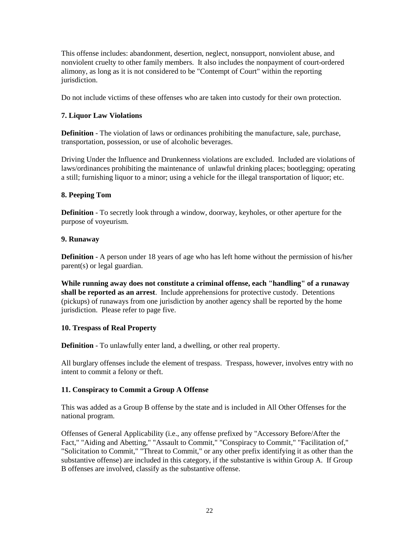This offense includes: abandonment, desertion, neglect, nonsupport, nonviolent abuse, and nonviolent cruelty to other family members. It also includes the nonpayment of court-ordered alimony, as long as it is not considered to be "Contempt of Court" within the reporting jurisdiction.

Do not include victims of these offenses who are taken into custody for their own protection.

### **7. Liquor Law Violations**

**Definition** - The violation of laws or ordinances prohibiting the manufacture, sale, purchase, transportation, possession, or use of alcoholic beverages.

Driving Under the Influence and Drunkenness violations are excluded. Included are violations of laws/ordinances prohibiting the maintenance of unlawful drinking places; bootlegging; operating a still; furnishing liquor to a minor; using a vehicle for the illegal transportation of liquor; etc.

#### **8. Peeping Tom**

**Definition** - To secretly look through a window, doorway, keyholes, or other aperture for the purpose of voyeurism.

#### **9. Runaway**

**Definition** - A person under 18 years of age who has left home without the permission of his/her parent(s) or legal guardian.

**While running away does not constitute a criminal offense, each "handling" of a runaway shall be reported as an arrest**. Include apprehensions for protective custody. Detentions (pickups) of runaways from one jurisdiction by another agency shall be reported by the home jurisdiction. Please refer to page five.

## **10. Trespass of Real Property**

**Definition** - To unlawfully enter land, a dwelling, or other real property.

All burglary offenses include the element of trespass. Trespass, however, involves entry with no intent to commit a felony or theft.

## **11. Conspiracy to Commit a Group A Offense**

This was added as a Group B offense by the state and is included in All Other Offenses for the national program.

Offenses of General Applicability (i.e., any offense prefixed by "Accessory Before/After the Fact," "Aiding and Abetting," "Assault to Commit," "Conspiracy to Commit," "Facilitation of," "Solicitation to Commit," "Threat to Commit," or any other prefix identifying it as other than the substantive offense) are included in this category, if the substantive is within Group A. If Group B offenses are involved, classify as the substantive offense.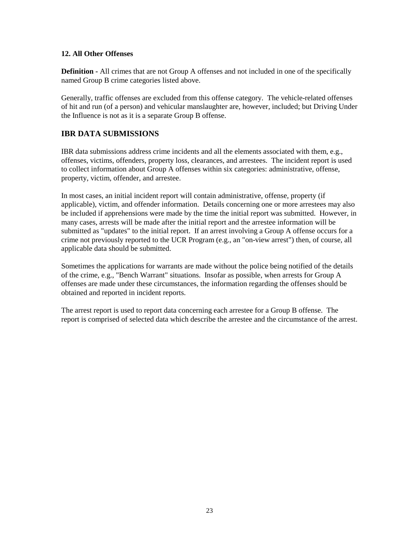#### **12. All Other Offenses**

**Definition -** All crimes that are not Group A offenses and not included in one of the specifically named Group B crime categories listed above.

Generally, traffic offenses are excluded from this offense category. The vehicle-related offenses of hit and run (of a person) and vehicular manslaughter are, however, included; but Driving Under the Influence is not as it is a separate Group B offense.

## **IBR DATA SUBMISSIONS**

IBR data submissions address crime incidents and all the elements associated with them, e.g., offenses, victims, offenders, property loss, clearances, and arrestees. The incident report is used to collect information about Group A offenses within six categories: administrative, offense, property, victim, offender, and arrestee.

In most cases, an initial incident report will contain administrative, offense, property (if applicable), victim, and offender information. Details concerning one or more arrestees may also be included if apprehensions were made by the time the initial report was submitted. However, in many cases, arrests will be made after the initial report and the arrestee information will be submitted as "updates" to the initial report. If an arrest involving a Group A offense occurs for a crime not previously reported to the UCR Program (e.g., an "on-view arrest") then, of course, all applicable data should be submitted.

Sometimes the applications for warrants are made without the police being notified of the details of the crime, e.g., "Bench Warrant" situations. Insofar as possible, when arrests for Group A offenses are made under these circumstances, the information regarding the offenses should be obtained and reported in incident reports.

The arrest report is used to report data concerning each arrestee for a Group B offense. The report is comprised of selected data which describe the arrestee and the circumstance of the arrest.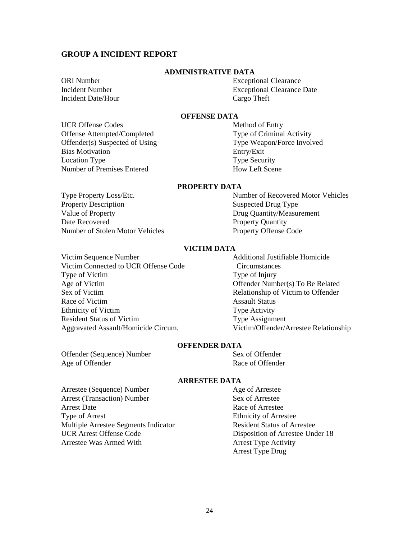#### **GROUP A INCIDENT REPORT**

#### **ADMINISTRATIVE DATA**

Incident Date/Hour Cargo Theft

ORI Number Exceptional Clearance Incident Number Exceptional Clearance Date

#### **OFFENSE DATA**

UCR Offense Codes Method of Entry Offense Attempted/Completed Type of Criminal Activity Offender(s) Suspected of Using Type Weapon/Force Involved Bias Motivation Entry/Exit Location Type<br>
Number of Premises Entered<br>
How Left Scene Number of Premises Entered

#### **PROPERTY DATA**

Property Description Suspected Drug Type Value of Property **Drug Quantity/Measurement** Date Recovered Property Quantity Number of Stolen Motor Vehicles Property Offense Code

Type Property Loss/Etc. Number of Recovered Motor Vehicles

#### **VICTIM DATA**

Victim Sequence Number Additional Justifiable Homicide Victim Connected to UCR Offense Code Circumstances Type of Victim Type of Injury Age of Victim Offender Number(s) To Be Related<br>Sex of Victim Relationship of Victim to Offender Race of Victim Assault Status Ethnicity of Victim Type Activity Resident Status of Victim Type Assignment Aggravated Assault/Homicide Circum. Victim/Offender/Arrestee Relationship

Relationship of Victim to Offender

#### **OFFENDER DATA**

Offender (Sequence) Number Sex of Offender Age of Offender Race of Offender

#### **ARRESTEE DATA**

Arrestee (Sequence) Number Age of Arrestee Arrest (Transaction) Number Sex of Arrestee Arrest Date **Race of Arrested** Race of Arrestee Type of Arrest Ethnicity of Arrestee Multiple Arrestee Segments Indicator Resident Status of Arrestee UCR Arrest Offense Code Disposition of Arrestee Under 18 Arrestee Was Armed With Arrest Type Activity

Arrest Type Drug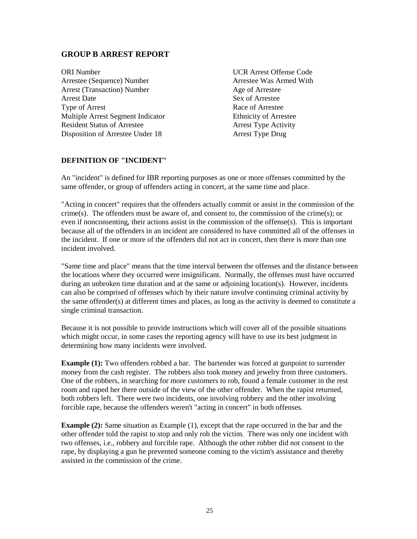### **GROUP B ARREST REPORT**

ORI Number<br>
Arrestee (Sequence) Number<br>
Arrestee Was Armed With Arrestee (Sequence) Number Arrest (Transaction) Number Age of Arrestee Arrest Date Sex of Arrestee Type of Arrest Race of Arrestee Multiple Arrest Segment Indicator Ethnicity of Arrestee Resident Status of Arrestee Arrest Type Activity Disposition of Arrestee Under 18 Arrest Type Drug

#### **DEFINITION OF "INCIDENT"**

An "incident" is defined for IBR reporting purposes as one or more offenses committed by the same offender, or group of offenders acting in concert, at the same time and place.

"Acting in concert" requires that the offenders actually commit or assist in the commission of the crime(s). The offenders must be aware of, and consent to, the commission of the crime(s); or even if nonconsenting, their actions assist in the commission of the offense(s). This is important because all of the offenders in an incident are considered to have committed all of the offenses in the incident. If one or more of the offenders did not act in concert, then there is more than one incident involved.

"Same time and place" means that the time interval between the offenses and the distance between the locations where they occurred were insignificant. Normally, the offenses must have occurred during an unbroken time duration and at the same or adjoining location(s). However, incidents can also be comprised of offenses which by their nature involve continuing criminal activity by the same offender(s) at different times and places, as long as the activity is deemed to constitute a single criminal transaction.

Because it is not possible to provide instructions which will cover all of the possible situations which might occur, in some cases the reporting agency will have to use its best judgment in determining how many incidents were involved.

**Example (1):** Two offenders robbed a bar. The bartender was forced at gunpoint to surrender money from the cash register. The robbers also took money and jewelry from three customers. One of the robbers, in searching for more customers to rob, found a female customer in the rest room and raped her there outside of the view of the other offender. When the rapist returned, both robbers left. There were two incidents, one involving robbery and the other involving forcible rape, because the offenders weren't "acting in concert" in both offenses.

**Example (2):** Same situation as Example (1), except that the rape occurred in the bar and the other offender told the rapist to stop and only rob the victim. There was only one incident with two offenses, i.e., robbery and forcible rape. Although the other robber did not consent to the rape, by displaying a gun he prevented someone coming to the victim's assistance and thereby assisted in the commission of the crime.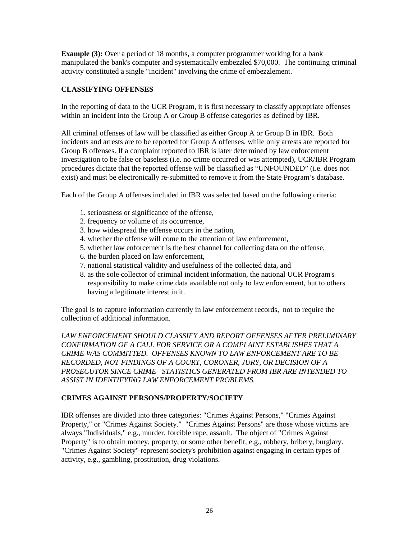**Example (3):** Over a period of 18 months, a computer programmer working for a bank manipulated the bank's computer and systematically embezzled \$70,000. The continuing criminal activity constituted a single "incident" involving the crime of embezzlement.

## **CLASSIFYING OFFENSES**

In the reporting of data to the UCR Program, it is first necessary to classify appropriate offenses within an incident into the Group A or Group B offense categories as defined by IBR.

All criminal offenses of law will be classified as either Group A or Group B in IBR. Both incidents and arrests are to be reported for Group A offenses, while only arrests are reported for Group B offenses. If a complaint reported to IBR is later determined by law enforcement investigation to be false or baseless (i.e. no crime occurred or was attempted), UCR/IBR Program procedures dictate that the reported offense will be classified as "UNFOUNDED" (i.e. does not exist) and must be electronically re-submitted to remove it from the State Program's database.

Each of the Group A offenses included in IBR was selected based on the following criteria:

- 1. seriousness or significance of the offense,
- 2. frequency or volume of its occurrence,
- 3. how widespread the offense occurs in the nation,
- 4. whether the offense will come to the attention of law enforcement,
- 5. whether law enforcement is the best channel for collecting data on the offense,
- 6. the burden placed on law enforcement,
- 7. national statistical validity and usefulness of the collected data, and
- 8. as the sole collector of criminal incident information, the national UCR Program's responsibility to make crime data available not only to law enforcement, but to others having a legitimate interest in it.

The goal is to capture information currently in law enforcement records, not to require the collection of additional information.

*LAW ENFORCEMENT SHOULD CLASSIFY AND REPORT OFFENSES AFTER PRELIMINARY CONFIRMATION OF A CALL FOR SERVICE OR A COMPLAINT ESTABLISHES THAT A CRIME WAS COMMITTED. OFFENSES KNOWN TO LAW ENFORCEMENT ARE TO BE RECORDED, NOT FINDINGS OF A COURT, CORONER, JURY, OR DECISION OF A PROSECUTOR SINCE CRIME STATISTICS GENERATED FROM IBR ARE INTENDED TO ASSIST IN IDENTIFYING LAW ENFORCEMENT PROBLEMS.*

## **CRIMES AGAINST PERSONS/PROPERTY/SOCIETY**

IBR offenses are divided into three categories: "Crimes Against Persons," "Crimes Against Property," or "Crimes Against Society." "Crimes Against Persons" are those whose victims are always "Individuals," e.g., murder, forcible rape, assault. The object of "Crimes Against Property" is to obtain money, property, or some other benefit, e.g., robbery, bribery, burglary. "Crimes Against Society" represent society's prohibition against engaging in certain types of activity, e.g., gambling, prostitution, drug violations.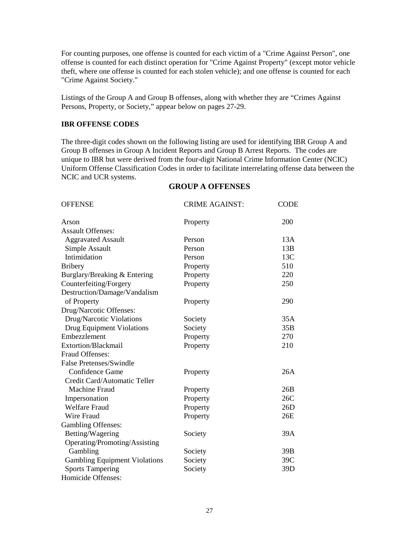For counting purposes, one offense is counted for each victim of a "Crime Against Person", one offense is counted for each distinct operation for "Crime Against Property" (except motor vehicle theft, where one offense is counted for each stolen vehicle); and one offense is counted for each "Crime Against Society."

Listings of the Group A and Group B offenses, along with whether they are "Crimes Against Persons, Property, or Society," appear below on pages 27-29.

#### **IBR OFFENSE CODES**

The three-digit codes shown on the following listing are used for identifying IBR Group A and Group B offenses in Group A Incident Reports and Group B Arrest Reports. The codes are unique to IBR but were derived from the four-digit National Crime Information Center (NCIC) Uniform Offense Classification Codes in order to facilitate interrelating offense data between the NCIC and UCR systems.

| <b>OFFENSE</b>                       | <b>CRIME AGAINST:</b> | <b>CODE</b>     |
|--------------------------------------|-----------------------|-----------------|
| Arson                                | Property              | 200             |
| <b>Assault Offenses:</b>             |                       |                 |
| <b>Aggravated Assault</b>            | Person                | 13A             |
| Simple Assault                       | Person                | 13B             |
| Intimidation                         | Person                | 13C             |
| <b>Bribery</b>                       | Property              | 510             |
| Burglary/Breaking & Entering         | Property              | 220             |
| Counterfeiting/Forgery               | Property              | 250             |
| Destruction/Damage/Vandalism         |                       |                 |
| of Property                          | Property              | 290             |
| Drug/Narcotic Offenses:              |                       |                 |
| Drug/Narcotic Violations             | Society               | 35A             |
| Drug Equipment Violations            | Society               | 35B             |
| Embezzlement                         | Property              | 270             |
| Extortion/Blackmail                  | Property              | 210             |
| Fraud Offenses:                      |                       |                 |
| <b>False Pretenses/Swindle</b>       |                       |                 |
| Confidence Game                      | Property              | 26A             |
| Credit Card/Automatic Teller         |                       |                 |
| Machine Fraud                        | Property              | 26B             |
| Impersonation                        | Property              | 26C             |
| <b>Welfare Fraud</b>                 | Property              | 26D             |
| <b>Wire Fraud</b>                    | Property              | 26E             |
| <b>Gambling Offenses:</b>            |                       |                 |
| Betting/Wagering                     | Society               | 39A             |
| Operating/Promoting/Assisting        |                       |                 |
| Gambling                             | Society               | 39B             |
| <b>Gambling Equipment Violations</b> | Society               | 39C             |
| <b>Sports Tampering</b>              | Society               | 39 <sub>D</sub> |
| Homicide Offenses:                   |                       |                 |

#### **GROUP A OFFENSES**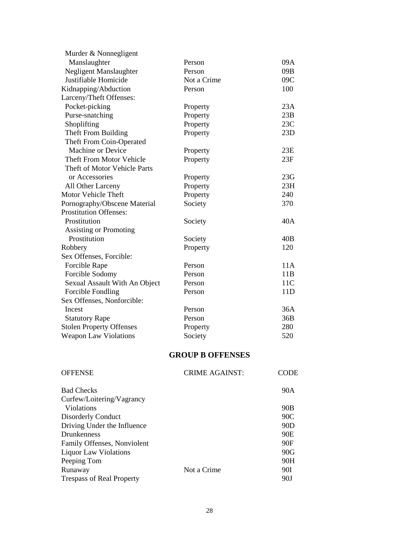| Murder & Nonnegligent           |             |     |
|---------------------------------|-------------|-----|
| Manslaughter                    | Person      | 09A |
| Negligent Manslaughter          | Person      | 09B |
| Justifiable Homicide            | Not a Crime | 09C |
| Kidnapping/Abduction            | Person      | 100 |
| Larceny/Theft Offenses:         |             |     |
| Pocket-picking                  | Property    | 23A |
| Purse-snatching                 | Property    | 23B |
| Shoplifting                     | Property    | 23C |
| Theft From Building             | Property    | 23D |
| Theft From Coin-Operated        |             |     |
| <b>Machine or Device</b>        | Property    | 23E |
| Theft From Motor Vehicle        | Property    | 23F |
| Theft of Motor Vehicle Parts    |             |     |
| or Accessories                  | Property    | 23G |
| <b>All Other Larceny</b>        | Property    | 23H |
| Motor Vehicle Theft             | Property    | 240 |
| Pornography/Obscene Material    | Society     | 370 |
| <b>Prostitution Offenses:</b>   |             |     |
| Prostitution                    | Society     | 40A |
| <b>Assisting or Promoting</b>   |             |     |
| Prostitution                    | Society     | 40B |
| Robbery                         | Property    | 120 |
| Sex Offenses, Forcible:         |             |     |
| Forcible Rape                   | Person      | 11A |
| Forcible Sodomy                 | Person      | 11B |
| Sexual Assault With An Object   | Person      | 11C |
| Forcible Fondling               | Person      | 11D |
| Sex Offenses, Nonforcible:      |             |     |
| Incest                          | Person      | 36A |
| <b>Statutory Rape</b>           | Person      | 36B |
| <b>Stolen Property Offenses</b> | Property    | 280 |
| <b>Weapon Law Violations</b>    | Society     | 520 |

## **GROUP B OFFENSES**

| 90A<br><b>Bad Checks</b><br>Curfew/Loitering/Vagrancy<br>90B<br><b>Violations</b><br>90C<br><b>Disorderly Conduct</b> | CODE |
|-----------------------------------------------------------------------------------------------------------------------|------|
|                                                                                                                       |      |
|                                                                                                                       |      |
|                                                                                                                       |      |
|                                                                                                                       |      |
| Driving Under the Influence<br>90D                                                                                    |      |
| 90 <sub>E</sub><br><b>Drunkenness</b>                                                                                 |      |
| 90F<br>Family Offenses, Nonviolent                                                                                    |      |
| <b>Liquor Law Violations</b><br>90G                                                                                   |      |
| 90H<br>Peeping Tom                                                                                                    |      |
| Not a Crime<br>90I<br>Runaway                                                                                         |      |
| <b>Trespass of Real Property</b><br>90J                                                                               |      |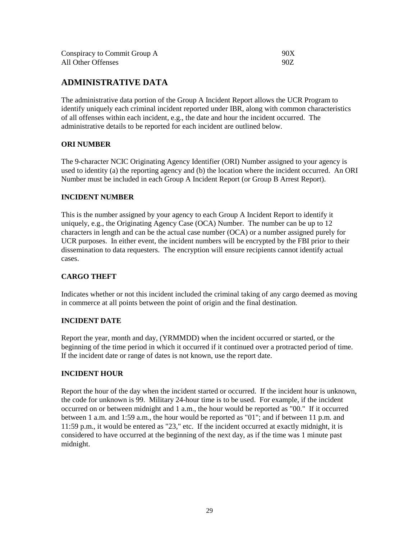| Conspiracy to Commit Group A | 90X |
|------------------------------|-----|
| All Other Offenses           | 90Z |

## **ADMINISTRATIVE DATA**

The administrative data portion of the Group A Incident Report allows the UCR Program to identify uniquely each criminal incident reported under IBR, along with common characteristics of all offenses within each incident, e.g., the date and hour the incident occurred. The administrative details to be reported for each incident are outlined below.

## **ORI NUMBER**

The 9-character NCIC Originating Agency Identifier (ORI) Number assigned to your agency is used to identity (a) the reporting agency and (b) the location where the incident occurred. An ORI Number must be included in each Group A Incident Report (or Group B Arrest Report).

#### **INCIDENT NUMBER**

This is the number assigned by your agency to each Group A Incident Report to identify it uniquely, e.g., the Originating Agency Case (OCA) Number. The number can be up to 12 characters in length and can be the actual case number (OCA) or a number assigned purely for UCR purposes. In either event, the incident numbers will be encrypted by the FBI prior to their dissemination to data requesters. The encryption will ensure recipients cannot identify actual cases.

## **CARGO THEFT**

Indicates whether or not this incident included the criminal taking of any cargo deemed as moving in commerce at all points between the point of origin and the final destination.

#### **INCIDENT DATE**

Report the year, month and day, (YRMMDD) when the incident occurred or started, or the beginning of the time period in which it occurred if it continued over a protracted period of time. If the incident date or range of dates is not known, use the report date.

#### **INCIDENT HOUR**

Report the hour of the day when the incident started or occurred. If the incident hour is unknown, the code for unknown is 99. Military 24-hour time is to be used. For example, if the incident occurred on or between midnight and 1 a.m., the hour would be reported as "00." If it occurred between 1 a.m. and 1:59 a.m., the hour would be reported as "01"; and if between 11 p.m. and 11:59 p.m., it would be entered as "23," etc. If the incident occurred at exactly midnight, it is considered to have occurred at the beginning of the next day, as if the time was 1 minute past midnight.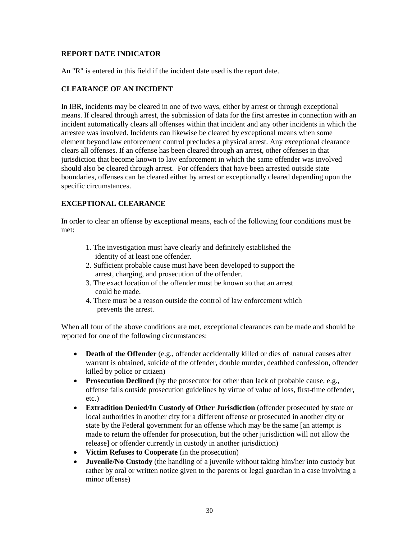#### **REPORT DATE INDICATOR**

An "R" is entered in this field if the incident date used is the report date.

#### **CLEARANCE OF AN INCIDENT**

In IBR, incidents may be cleared in one of two ways, either by arrest or through exceptional means. If cleared through arrest, the submission of data for the first arrestee in connection with an incident automatically clears all offenses within that incident and any other incidents in which the arrestee was involved. Incidents can likewise be cleared by exceptional means when some element beyond law enforcement control precludes a physical arrest. Any exceptional clearance clears all offenses. If an offense has been cleared through an arrest, other offenses in that jurisdiction that become known to law enforcement in which the same offender was involved should also be cleared through arrest. For offenders that have been arrested outside state boundaries, offenses can be cleared either by arrest or exceptionally cleared depending upon the specific circumstances.

## **EXCEPTIONAL CLEARANCE**

In order to clear an offense by exceptional means, each of the following four conditions must be met:

- 1. The investigation must have clearly and definitely established the identity of at least one offender.
- 2. Sufficient probable cause must have been developed to support the arrest, charging, and prosecution of the offender.
- 3. The exact location of the offender must be known so that an arrest could be made.
- 4. There must be a reason outside the control of law enforcement which prevents the arrest.

When all four of the above conditions are met, exceptional clearances can be made and should be reported for one of the following circumstances:

- **Death of the Offender** (e.g., offender accidentally killed or dies of natural causes after warrant is obtained, suicide of the offender, double murder, deathbed confession, offender killed by police or citizen)
- **Prosecution Declined** (by the prosecutor for other than lack of probable cause, e.g., offense falls outside prosecution guidelines by virtue of value of loss, first-time offender, etc.)
- **Extradition Denied/In Custody of Other Jurisdiction** (offender prosecuted by state or local authorities in another city for a different offense or prosecuted in another city or state by the Federal government for an offense which may be the same [an attempt is made to return the offender for prosecution, but the other jurisdiction will not allow the release] or offender currently in custody in another jurisdiction)
- **Victim Refuses to Cooperate** (in the prosecution)
- **Juvenile/No Custody** (the handling of a juvenile without taking him/her into custody but rather by oral or written notice given to the parents or legal guardian in a case involving a minor offense)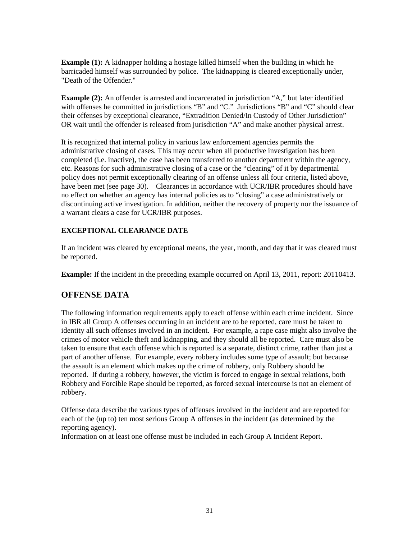**Example (1):** A kidnapper holding a hostage killed himself when the building in which he barricaded himself was surrounded by police. The kidnapping is cleared exceptionally under, "Death of the Offender."

**Example (2):** An offender is arrested and incarcerated in jurisdiction "A," but later identified with offenses he committed in jurisdictions "B" and "C." Jurisdictions "B" and "C" should clear their offenses by exceptional clearance, "Extradition Denied/In Custody of Other Jurisdiction" OR wait until the offender is released from jurisdiction "A" and make another physical arrest.

It is recognized that internal policy in various law enforcement agencies permits the administrative closing of cases. This may occur when all productive investigation has been completed (i.e. inactive), the case has been transferred to another department within the agency, etc. Reasons for such administrative closing of a case or the "clearing" of it by departmental policy does not permit exceptionally clearing of an offense unless all four criteria, listed above, have been met (see page 30). Clearances in accordance with UCR/IBR procedures should have no effect on whether an agency has internal policies as to "closing" a case administratively or discontinuing active investigation. In addition, neither the recovery of property nor the issuance of a warrant clears a case for UCR/IBR purposes.

## **EXCEPTIONAL CLEARANCE DATE**

If an incident was cleared by exceptional means, the year, month, and day that it was cleared must be reported.

**Example:** If the incident in the preceding example occurred on April 13, 2011, report: 20110413.

## **OFFENSE DATA**

The following information requirements apply to each offense within each crime incident. Since in IBR all Group A offenses occurring in an incident are to be reported, care must be taken to identity all such offenses involved in an incident. For example, a rape case might also involve the crimes of motor vehicle theft and kidnapping, and they should all be reported. Care must also be taken to ensure that each offense which is reported is a separate, distinct crime, rather than just a part of another offense. For example, every robbery includes some type of assault; but because the assault is an element which makes up the crime of robbery, only Robbery should be reported. If during a robbery, however, the victim is forced to engage in sexual relations, both Robbery and Forcible Rape should be reported, as forced sexual intercourse is not an element of robbery.

Offense data describe the various types of offenses involved in the incident and are reported for each of the (up to) ten most serious Group A offenses in the incident (as determined by the reporting agency).

Information on at least one offense must be included in each Group A Incident Report.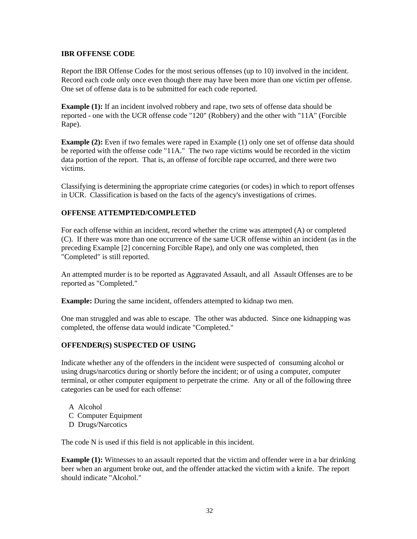#### **IBR OFFENSE CODE**

Report the IBR Offense Codes for the most serious offenses (up to 10) involved in the incident. Record each code only once even though there may have been more than one victim per offense. One set of offense data is to be submitted for each code reported.

**Example (1):** If an incident involved robbery and rape, two sets of offense data should be reported - one with the UCR offense code "120" (Robbery) and the other with "11A" (Forcible Rape).

**Example (2):** Even if two females were raped in Example (1) only one set of offense data should be reported with the offense code "11A." The two rape victims would be recorded in the victim data portion of the report. That is, an offense of forcible rape occurred, and there were two victims.

Classifying is determining the appropriate crime categories (or codes) in which to report offenses in UCR. Classification is based on the facts of the agency's investigations of crimes.

#### **OFFENSE ATTEMPTED/COMPLETED**

For each offense within an incident, record whether the crime was attempted (A) or completed (C). If there was more than one occurrence of the same UCR offense within an incident (as in the preceding Example [2] concerning Forcible Rape), and only one was completed, then "Completed" is still reported.

An attempted murder is to be reported as Aggravated Assault, and all Assault Offenses are to be reported as "Completed."

**Example:** During the same incident, offenders attempted to kidnap two men.

One man struggled and was able to escape. The other was abducted. Since one kidnapping was completed, the offense data would indicate "Completed."

#### **OFFENDER(S) SUSPECTED OF USING**

Indicate whether any of the offenders in the incident were suspected of consuming alcohol or using drugs/narcotics during or shortly before the incident; or of using a computer, computer terminal, or other computer equipment to perpetrate the crime. Any or all of the following three categories can be used for each offense:

- A Alcohol
- C Computer Equipment
- D Drugs/Narcotics

The code N is used if this field is not applicable in this incident.

**Example (1):** Witnesses to an assault reported that the victim and offender were in a bar drinking beer when an argument broke out, and the offender attacked the victim with a knife. The report should indicate "Alcohol."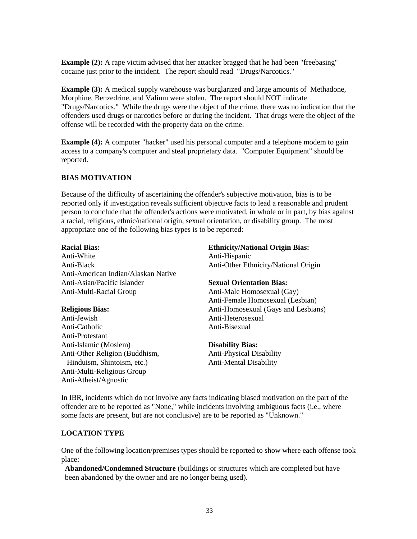**Example (2):** A rape victim advised that her attacker bragged that he had been "freebasing" cocaine just prior to the incident. The report should read "Drugs/Narcotics."

**Example (3):** A medical supply warehouse was burglarized and large amounts of Methadone, Morphine, Benzedrine, and Valium were stolen. The report should NOT indicate "Drugs/Narcotics." While the drugs were the object of the crime, there was no indication that the offenders used drugs or narcotics before or during the incident. That drugs were the object of the offense will be recorded with the property data on the crime.

**Example (4):** A computer "hacker" used his personal computer and a telephone modem to gain access to a company's computer and steal proprietary data. "Computer Equipment" should be reported.

#### **BIAS MOTIVATION**

Because of the difficulty of ascertaining the offender's subjective motivation, bias is to be reported only if investigation reveals sufficient objective facts to lead a reasonable and prudent person to conclude that the offender's actions were motivated, in whole or in part, by bias against a racial, religious, ethnic/national origin, sexual orientation, or disability group. The most appropriate one of the following bias types is to be reported:

Anti-White Anti-Hispanic Anti-Black Anti-Other Ethnicity/National Origin Anti-American Indian/Alaskan Native Anti-Asian/Pacific Islander **Sexual Orientation Bias:** Anti-Multi-Racial Group Anti-Male Homosexual (Gay)

Anti-Jewish Anti-Heterosexual Anti-Catholic Anti-Bisexual Anti-Protestant Anti-Islamic (Moslem) **Disability Bias:** Anti-Other Religion (Buddhism, Anti-Physical Disability Hinduism, Shintoism, etc.) Anti-Mental Disability Anti-Multi-Religious Group Anti-Atheist/Agnostic

**Racial Bias: Ethnicity/National Origin Bias:**

 Anti-Female Homosexual (Lesbian) **Religious Bias:** Anti-Homosexual (Gays and Lesbians)

In IBR, incidents which do not involve any facts indicating biased motivation on the part of the offender are to be reported as "None," while incidents involving ambiguous facts (i.e., where some facts are present, but are not conclusive) are to be reported as "Unknown."

#### **LOCATION TYPE**

One of the following location/premises types should be reported to show where each offense took place:

**Abandoned/Condemned Structure** (buildings or structures which are completed but have been abandoned by the owner and are no longer being used).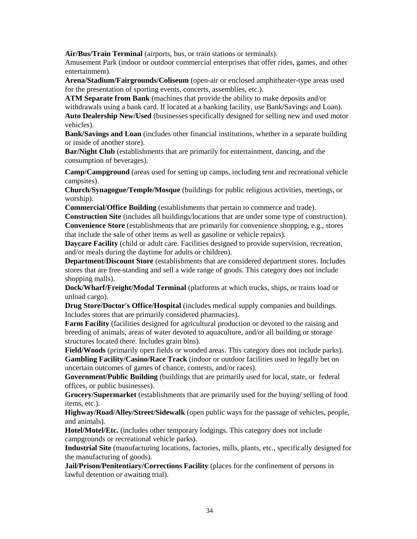**Air/Bus/Train Terminal** (airports, bus, or train stations or terminals).

Amusement Park (indoor or outdoor commercial enterprises that offer rides, games, and other entertainment).

**Arena/Stadium/Fairgrounds/Coliseum** (open-air or enclosed amphitheater-type areas used for the presentation of sporting events, concerts, assemblies, etc.).

**ATM Separate from Bank** (machines that provide the ability to make deposits and/or withdrawals using a bank card. If located at a banking facility, use Bank/Savings and Loan).

**Auto Dealership New/Used** (businesses specifically designed for selling new and used motor vehicles).

**Bank/Savings and Loan** (includes other financial institutions, whether in a separate building or inside of another store).

**Bar/Night Club** (establishments that are primarily for entertainment, dancing, and the consumption of beverages).

**Camp/Campground** (areas used for setting up camps, including tent and recreational vehicle campsites).

**Church/Synagogue/Temple/Mosque** (buildings for public religious activities, meetings, or worship).

**Commercial/Office Building** (establishments that pertain to commerce and trade).

**Construction Site** (includes all buildings/locations that are under some type of construction). **Convenience Store** (establishments that are primarily for convenience shopping, e.g., stores that include the sale of other items as well as gasoline or vehicle repairs).

**Daycare Facility** (child or adult care. Facilities designed to provide supervision, recreation, and/or meals during the daytime for adults or children).

**Department/Discount Store** (establishments that are considered department stores. Includes stores that are free-standing and sell a wide range of goods. This category does not include shopping malls).

**Dock/Wharf/Freight/Modal Terminal** (platforms at which trucks, ships, or trains load or unload cargo).

**Drug Store/Doctor's Office/Hospital** (includes medical supply companies and buildings. Includes stores that are primarily considered pharmacies).

**Farm Facility** (facilities designed for agricultural production or devoted to the raising and breeding of animals, areas of water devoted to aquaculture, and/or all building or storage structures located there. Includes grain bins).

**Field/Woods** (primarily open fields or wooded areas. This category does not include parks). **Gambling Facility/Casino/Race Track** (indoor or outdoor facilities used to legally bet on uncertain outcomes of games of chance, contests, and/or races).

**Government/Public Building** (buildings that are primarily used for local, state, or federal offices, or public businesses).

**Grocery/Supermarket** (establishments that are primarily used for the buying/ selling of food items, etc.).

**Highway/Road/Alley/Street/Sidewalk** (open public ways for the passage of vehicles, people, and animals).

**Hotel/Motel/Etc.** (includes other temporary lodgings. This category does not include campgrounds or recreational vehicle parks).

**Industrial Site** (manufacturing locations, factories, mills, plants, etc., specifically designed for the manufacturing of goods).

**Jail/Prison/Penitentiary/Corrections Facility** (places for the confinement of persons in lawful detention or awaiting trial).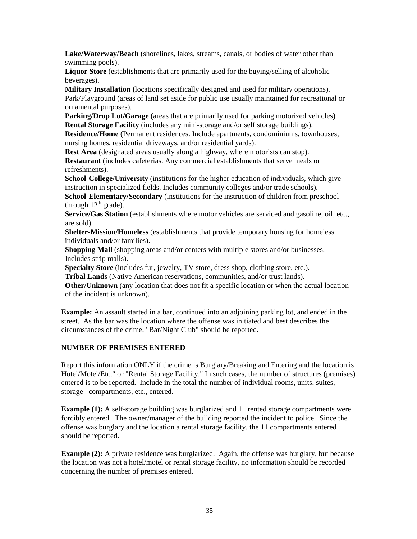**Lake/Waterway/Beach** (shorelines, lakes, streams, canals, or bodies of water other than swimming pools).

**Liquor Store** (establishments that are primarily used for the buying/selling of alcoholic beverages).

**Military Installation (**locations specifically designed and used for military operations). Park/Playground (areas of land set aside for public use usually maintained for recreational or ornamental purposes).

**Parking/Drop Lot/Garage** (areas that are primarily used for parking motorized vehicles). **Rental Storage Facility** (includes any mini-storage and/or self storage buildings).

**Residence/Home** (Permanent residences. Include apartments, condominiums, townhouses, nursing homes, residential driveways, and/or residential yards).

**Rest Area** (designated areas usually along a highway, where motorists can stop).

**Restaurant** (includes cafeterias. Any commercial establishments that serve meals or refreshments).

**School-College/University** (institutions for the higher education of individuals, which give instruction in specialized fields. Includes community colleges and/or trade schools).

**School-Elementary/Secondary** (institutions for the instruction of children from preschool through  $12<sup>th</sup>$  grade).

**Service/Gas Station** (establishments where motor vehicles are serviced and gasoline, oil, etc., are sold).

**Shelter-Mission/Homeless** (establishments that provide temporary housing for homeless individuals and/or families).

**Shopping Mall** (shopping areas and/or centers with multiple stores and/or businesses. Includes strip malls).

**Specialty Store** (includes fur, jewelry, TV store, dress shop, clothing store, etc.).

**Tribal Lands** (Native American reservations, communities, and/or trust lands).

**Other/Unknown** (any location that does not fit a specific location or when the actual location of the incident is unknown).

**Example:** An assault started in a bar, continued into an adjoining parking lot, and ended in the street. As the bar was the location where the offense was initiated and best describes the circumstances of the crime, "Bar/Night Club" should be reported.

#### **NUMBER OF PREMISES ENTERED**

Report this information ONLY if the crime is Burglary/Breaking and Entering and the location is Hotel/Motel/Etc." or "Rental Storage Facility." In such cases, the number of structures (premises) entered is to be reported. Include in the total the number of individual rooms, units, suites, storage compartments, etc., entered.

**Example (1):** A self-storage building was burglarized and 11 rented storage compartments were forcibly entered. The owner/manager of the building reported the incident to police. Since the offense was burglary and the location a rental storage facility, the 11 compartments entered should be reported.

**Example (2):** A private residence was burglarized. Again, the offense was burglary, but because the location was not a hotel/motel or rental storage facility, no information should be recorded concerning the number of premises entered.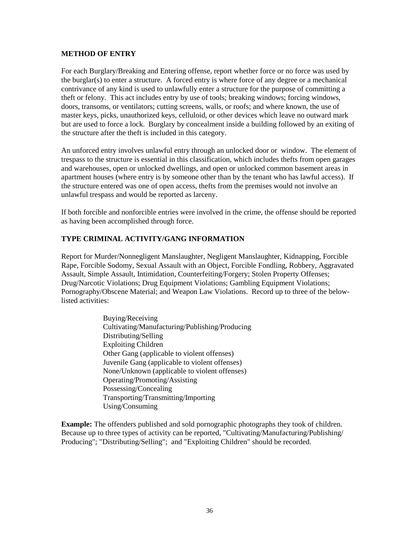#### **METHOD OF ENTRY**

For each Burglary/Breaking and Entering offense, report whether force or no force was used by the burglar(s) to enter a structure. A forced entry is where force of any degree or a mechanical contrivance of any kind is used to unlawfully enter a structure for the purpose of committing a theft or felony. This act includes entry by use of tools; breaking windows; forcing windows, doors, transoms, or ventilators; cutting screens, walls, or roofs; and where known, the use of master keys, picks, unauthorized keys, celluloid, or other devices which leave no outward mark but are used to force a lock. Burglary by concealment inside a building followed by an exiting of the structure after the theft is included in this category.

An unforced entry involves unlawful entry through an unlocked door or window. The element of trespass to the structure is essential in this classification, which includes thefts from open garages and warehouses, open or unlocked dwellings, and open or unlocked common basement areas in apartment houses (where entry is by someone other than by the tenant who has lawful access). If the structure entered was one of open access, thefts from the premises would not involve an unlawful trespass and would be reported as larceny.

If both forcible and nonforcible entries were involved in the crime, the offense should be reported as having been accomplished through force.

#### **TYPE CRIMINAL ACTIVITY/GANG INFORMATION**

Report for Murder/Nonnegligent Manslaughter, Negligent Manslaughter, Kidnapping, Forcible Rape, Forcible Sodomy, Sexual Assault with an Object, Forcible Fondling, Robbery, Aggravated Assault, Simple Assault, Intimidation, Counterfeiting/Forgery; Stolen Property Offenses; Drug/Narcotic Violations; Drug Equipment Violations; Gambling Equipment Violations; Pornography/Obscene Material; and Weapon Law Violations. Record up to three of the belowlisted activities:

> Buying/Receiving Cultivating/Manufacturing/Publishing/Producing Distributing/Selling Exploiting Children Other Gang (applicable to violent offenses) Juvenile Gang (applicable to violent offenses) None/Unknown (applicable to violent offenses) Operating/Promoting/Assisting Possessing/Concealing Transporting/Transmitting/Importing Using/Consuming

**Example:** The offenders published and sold pornographic photographs they took of children. Because up to three types of activity can be reported, "Cultivating/Manufacturing/Publishing/ Producing"; "Distributing/Selling"; and "Exploiting Children" should be recorded.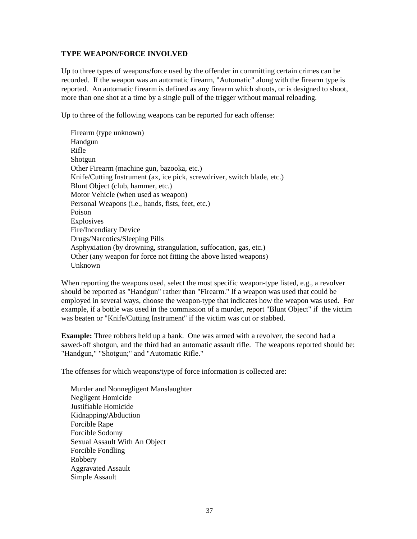#### **TYPE WEAPON/FORCE INVOLVED**

Up to three types of weapons/force used by the offender in committing certain crimes can be recorded. If the weapon was an automatic firearm, "Automatic" along with the firearm type is reported. An automatic firearm is defined as any firearm which shoots, or is designed to shoot, more than one shot at a time by a single pull of the trigger without manual reloading.

Up to three of the following weapons can be reported for each offense:

 Firearm (type unknown) Handgun Rifle Shotgun Other Firearm (machine gun, bazooka, etc.) Knife/Cutting Instrument (ax, ice pick, screwdriver, switch blade, etc.) Blunt Object (club, hammer, etc.) Motor Vehicle (when used as weapon) Personal Weapons (i.e., hands, fists, feet, etc.) Poison **Explosives**  Fire/Incendiary Device Drugs/Narcotics/Sleeping Pills Asphyxiation (by drowning, strangulation, suffocation, gas, etc.) Other (any weapon for force not fitting the above listed weapons) Unknown

When reporting the weapons used, select the most specific weapon-type listed, e.g., a revolver should be reported as "Handgun" rather than "Firearm." If a weapon was used that could be employed in several ways, choose the weapon-type that indicates how the weapon was used. For example, if a bottle was used in the commission of a murder, report "Blunt Object" if the victim was beaten or "Knife/Cutting Instrument" if the victim was cut or stabbed.

**Example:** Three robbers held up a bank. One was armed with a revolver, the second had a sawed-off shotgun, and the third had an automatic assault rifle. The weapons reported should be: "Handgun," "Shotgun;" and "Automatic Rifle."

The offenses for which weapons/type of force information is collected are:

 Murder and Nonnegligent Manslaughter Negligent Homicide Justifiable Homicide Kidnapping/Abduction Forcible Rape Forcible Sodomy Sexual Assault With An Object Forcible Fondling Robbery Aggravated Assault Simple Assault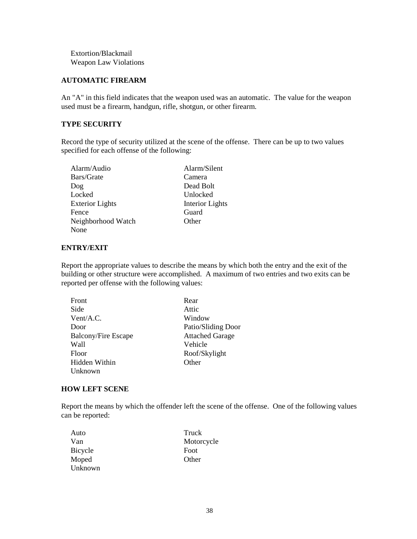Extortion/Blackmail Weapon Law Violations

# **AUTOMATIC FIREARM**

An "A" in this field indicates that the weapon used was an automatic. The value for the weapon used must be a firearm, handgun, rifle, shotgun, or other firearm.

#### **TYPE SECURITY**

Record the type of security utilized at the scene of the offense. There can be up to two values specified for each offense of the following:

| Alarm/Audio            | Alarm/Silent    |
|------------------------|-----------------|
| Bars/Grate             | Camera          |
| Dog                    | Dead Bolt       |
| Locked                 | Unlocked        |
| <b>Exterior Lights</b> | Interior Lights |
| Fence                  | Guard           |
| Neighborhood Watch     | Other           |
| <b>None</b>            |                 |

# **ENTRY/EXIT**

Report the appropriate values to describe the means by which both the entry and the exit of the building or other structure were accomplished. A maximum of two entries and two exits can be reported per offense with the following values:

| Front                      | Rear                   |
|----------------------------|------------------------|
| Side                       | Attic                  |
| Vent/A.C.                  | Window                 |
| Door                       | Patio/Sliding Door     |
| <b>Balcony/Fire Escape</b> | <b>Attached Garage</b> |
| Wall                       | Vehicle                |
| Floor                      | Roof/Skylight          |
| Hidden Within              | Other                  |
| Unknown                    |                        |

#### **HOW LEFT SCENE**

Report the means by which the offender left the scene of the offense. One of the following values can be reported:

| Auto    | Truck      |
|---------|------------|
| Van     | Motorcycle |
| Bicycle | Foot       |
| Moped   | Other      |
| Unknown |            |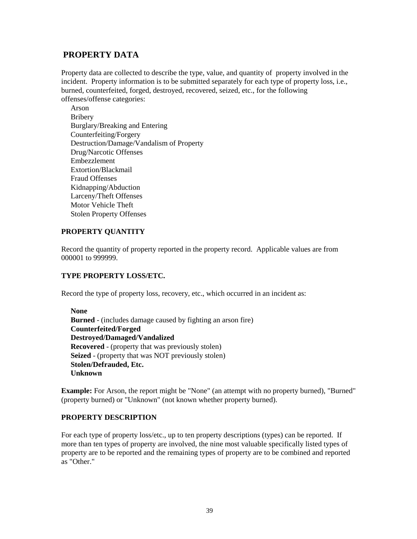# **PROPERTY DATA**

Property data are collected to describe the type, value, and quantity of property involved in the incident. Property information is to be submitted separately for each type of property loss, i.e., burned, counterfeited, forged, destroyed, recovered, seized, etc., for the following offenses/offense categories:

 Arson Bribery Burglary/Breaking and Entering Counterfeiting/Forgery Destruction/Damage/Vandalism of Property Drug/Narcotic Offenses Embezzlement Extortion/Blackmail Fraud Offenses Kidnapping/Abduction Larceny/Theft Offenses Motor Vehicle Theft Stolen Property Offenses

# **PROPERTY QUANTITY**

Record the quantity of property reported in the property record. Applicable values are from 000001 to 999999.

#### **TYPE PROPERTY LOSS/ETC.**

Record the type of property loss, recovery, etc., which occurred in an incident as:

 **None Burned** - (includes damage caused by fighting an arson fire) **Counterfeited/Forged Destroyed/Damaged/Vandalized Recovered** - (property that was previously stolen) **Seized** - (property that was NOT previously stolen) **Stolen/Defrauded, Etc. Unknown**

**Example:** For Arson, the report might be "None" (an attempt with no property burned), "Burned" (property burned) or "Unknown" (not known whether property burned).

#### **PROPERTY DESCRIPTION**

For each type of property loss/etc., up to ten property descriptions (types) can be reported. If more than ten types of property are involved, the nine most valuable specifically listed types of property are to be reported and the remaining types of property are to be combined and reported as "Other."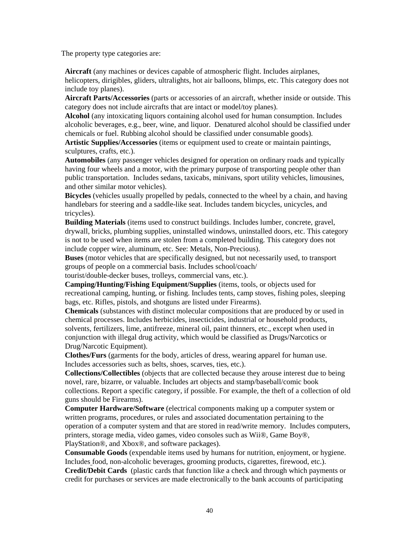The property type categories are:

**Aircraft** (any machines or devices capable of atmospheric flight. Includes airplanes, helicopters, dirigibles, gliders, ultralights, hot air balloons, blimps, etc. This category does not include toy planes).

**Aircraft Parts/Accessories** (parts or accessories of an aircraft, whether inside or outside. This category does not include aircrafts that are intact or model/toy planes).

**Alcohol** (any intoxicating liquors containing alcohol used for human consumption. Includes alcoholic beverages, e.g., beer, wine, and liquor. Denatured alcohol should be classified under chemicals or fuel. Rubbing alcohol should be classified under consumable goods).

**Artistic Supplies/Accessories** (items or equipment used to create or maintain paintings, sculptures, crafts, etc.).

**Automobiles** (any passenger vehicles designed for operation on ordinary roads and typically having four wheels and a motor, with the primary purpose of transporting people other than public transportation. Includes sedans, taxicabs, minivans, sport utility vehicles, limousines, and other similar motor vehicles).

**Bicycles** (vehicles usually propelled by pedals, connected to the wheel by a chain, and having handlebars for steering and a saddle-like seat. Includes tandem bicycles, unicycles, and tricycles).

**Building Materials** (items used to construct buildings. Includes lumber, concrete, gravel, drywall, bricks, plumbing supplies, uninstalled windows, uninstalled doors, etc. This category is not to be used when items are stolen from a completed building. This category does not include copper wire, aluminum, etc. See: Metals, Non-Precious).

**Buses** (motor vehicles that are specifically designed, but not necessarily used, to transport groups of people on a commercial basis. Includes school/coach/

tourist/double-decker buses, trolleys, commercial vans, etc.).

**Camping/Hunting/Fishing Equipment/Supplies** (items, tools, or objects used for recreational camping, hunting, or fishing. Includes tents, camp stoves, fishing poles, sleeping bags, etc. Rifles, pistols, and shotguns are listed under Firearms).

**Chemicals** (substances with distinct molecular compositions that are produced by or used in chemical processes. Includes herbicides, insecticides, industrial or household products, solvents, fertilizers, lime, antifreeze, mineral oil, paint thinners, etc., except when used in conjunction with illegal drug activity, which would be classified as Drugs/Narcotics or Drug/Narcotic Equipment).

**Clothes/Furs** (garments for the body, articles of dress, wearing apparel for human use. Includes accessories such as belts, shoes, scarves, ties, etc.).

**Collections/Collectibles** (objects that are collected because they arouse interest due to being novel, rare, bizarre, or valuable. Includes art objects and stamp/baseball/comic book collections. Report a specific category, if possible. For example, the theft of a collection of old guns should be Firearms).

**Computer Hardware/Software** (electrical components making up a computer system or written programs, procedures, or rules and associated documentation pertaining to the operation of a computer system and that are stored in read/write memory. Includes computers, printers, storage media, video games, video consoles such as Wii®, Game Boy®, PlayStation®, and Xbox®, and software packages).

**Consumable Goods** (expendable items used by humans for nutrition, enjoyment, or hygiene. Includes food, non-alcoholic beverages, grooming products, cigarettes, firewood, etc.).

**Credit/Debit Cards** (plastic cards that function like a check and through which payments or credit for purchases or services are made electronically to the bank accounts of participating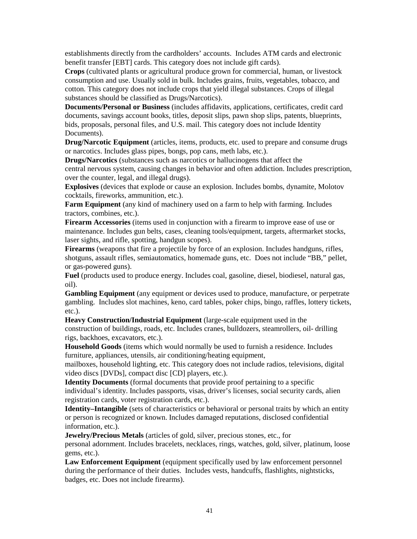establishments directly from the cardholders' accounts. Includes ATM cards and electronic benefit transfer [EBT] cards. This category does not include gift cards).

**Crops** (cultivated plants or agricultural produce grown for commercial, human, or livestock consumption and use. Usually sold in bulk. Includes grains, fruits, vegetables, tobacco, and cotton. This category does not include crops that yield illegal substances. Crops of illegal substances should be classified as Drugs/Narcotics).

**Documents/Personal or Business** (includes affidavits, applications, certificates, credit card documents, savings account books, titles, deposit slips, pawn shop slips, patents, blueprints, bids, proposals, personal files, and U.S. mail. This category does not include Identity Documents).

**Drug/Narcotic Equipment** (articles, items, products, etc. used to prepare and consume drugs or narcotics. Includes glass pipes, bongs, pop cans, meth labs, etc.).

**Drugs/Narcotics** (substances such as narcotics or hallucinogens that affect the central nervous system, causing changes in behavior and often addiction. Includes prescription, over the counter, legal, and illegal drugs).

**Explosives** (devices that explode or cause an explosion. Includes bombs, dynamite, Molotov cocktails, fireworks, ammunition, etc.).

**Farm Equipment** (any kind of machinery used on a farm to help with farming. Includes tractors, combines, etc.).

**Firearm Accessories** (items used in conjunction with a firearm to improve ease of use or maintenance. Includes gun belts, cases, cleaning tools/equipment, targets, aftermarket stocks, laser sights, and rifle, spotting, handgun scopes).

**Firearms** (weapons that fire a projectile by force of an explosion. Includes handguns, rifles, shotguns, assault rifles, semiautomatics, homemade guns, etc. Does not include "BB," pellet, or gas-powered guns).

**Fuel** (products used to produce energy. Includes coal, gasoline, diesel, biodiesel, natural gas, oil).

**Gambling Equipment** (any equipment or devices used to produce, manufacture, or perpetrate gambling. Includes slot machines, keno, card tables, poker chips, bingo, raffles, lottery tickets, etc.).

**Heavy Construction/Industrial Equipment** (large-scale equipment used in the construction of buildings, roads, etc. Includes cranes, bulldozers, steamrollers, oil- drilling rigs, backhoes, excavators, etc.).

**Household Goods** (items which would normally be used to furnish a residence. Includes furniture, appliances, utensils, air conditioning/heating equipment,

mailboxes, household lighting, etc. This category does not include radios, televisions, digital video discs [DVDs], compact disc [CD] players, etc.).

**Identity Documents** (formal documents that provide proof pertaining to a specific individual's identity. Includes passports, visas, driver's licenses, social security cards, alien registration cards, voter registration cards, etc.).

**Identity–Intangible** (sets of characteristics or behavioral or personal traits by which an entity or person is recognized or known. Includes damaged reputations, disclosed confidential information, etc.).

**Jewelry/Precious Metals** (articles of gold, silver, precious stones, etc., for personal adornment. Includes bracelets, necklaces, rings, watches, gold, silver, platinum, loose gems, etc.).

**Law Enforcement Equipment** (equipment specifically used by law enforcement personnel during the performance of their duties. Includes vests, handcuffs, flashlights, nightsticks, badges, etc. Does not include firearms).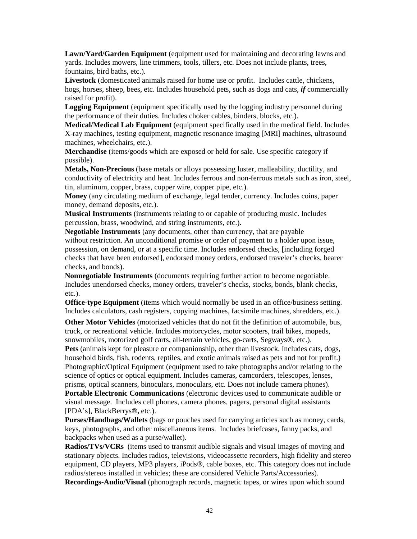**Lawn/Yard/Garden Equipment** (equipment used for maintaining and decorating lawns and yards. Includes mowers, line trimmers, tools, tillers, etc. Does not include plants, trees, fountains, bird baths, etc.).

**Livestock** (domesticated animals raised for home use or profit. Includes cattle, chickens, hogs, horses, sheep, bees, etc. Includes household pets, such as dogs and cats, *if* commercially raised for profit).

**Logging Equipment** (equipment specifically used by the logging industry personnel during the performance of their duties. Includes choker cables, binders, blocks, etc.).

**Medical/Medical Lab Equipment** (equipment specifically used in the medical field. Includes X-ray machines, testing equipment, magnetic resonance imaging [MRI] machines, ultrasound machines, wheelchairs, etc.).

**Merchandise** (items/goods which are exposed or held for sale. Use specific category if possible).

**Metals, Non-Precious** (base metals or alloys possessing luster, malleability, ductility, and conductivity of electricity and heat. Includes ferrous and non-ferrous metals such as iron, steel, tin, aluminum, copper, brass, copper wire, copper pipe, etc.).

**Money** (any circulating medium of exchange, legal tender, currency. Includes coins, paper money, demand deposits, etc.).

**Musical Instruments** (instruments relating to or capable of producing music. Includes percussion, brass, woodwind, and string instruments, etc.).

**Negotiable Instruments** (any documents, other than currency, that are payable without restriction. An unconditional promise or order of payment to a holder upon issue, possession, on demand, or at a specific time. Includes endorsed checks, [including forged checks that have been endorsed], endorsed money orders, endorsed traveler's checks, bearer checks, and bonds).

**Nonnegotiable Instruments** (documents requiring further action to become negotiable. Includes unendorsed checks, money orders, traveler's checks, stocks, bonds, blank checks, etc.).

**Office-type Equipment** (items which would normally be used in an office/business setting. Includes calculators, cash registers, copying machines, facsimile machines, shredders, etc.).

**Other Motor Vehicles** (motorized vehicles that do not fit the definition of automobile, bus, truck, or recreational vehicle. Includes motorcycles, motor scooters, trail bikes, mopeds, snowmobiles, motorized golf carts, all-terrain vehicles, go-carts, Segways®, etc.).

**Pets** (animals kept for pleasure or companionship, other than livestock. Includes cats, dogs, household birds, fish, rodents, reptiles, and exotic animals raised as pets and not for profit.) Photographic/Optical Equipment (equipment used to take photographs and/or relating to the science of optics or optical equipment. Includes cameras, camcorders, telescopes, lenses, prisms, optical scanners, binoculars, monoculars, etc. Does not include camera phones).

**Portable Electronic Communications** (electronic devices used to communicate audible or visual message. Includes cell phones, camera phones, pagers, personal digital assistants [PDA's], BlackBerrys**®,** etc.).

**Purses/Handbags/Wallets** (bags or pouches used for carrying articles such as money, cards, keys, photographs, and other miscellaneous items. Includes briefcases, fanny packs, and backpacks when used as a purse/wallet).

**Radios/TVs/VCRs** (items used to transmit audible signals and visual images of moving and stationary objects. Includes radios, televisions, videocassette recorders, high fidelity and stereo equipment, CD players, MP3 players, iPods®, cable boxes, etc. This category does not include radios/stereos installed in vehicles; these are considered Vehicle Parts/Accessories).

**Recordings-Audio/Visual** (phonograph records, magnetic tapes, or wires upon which sound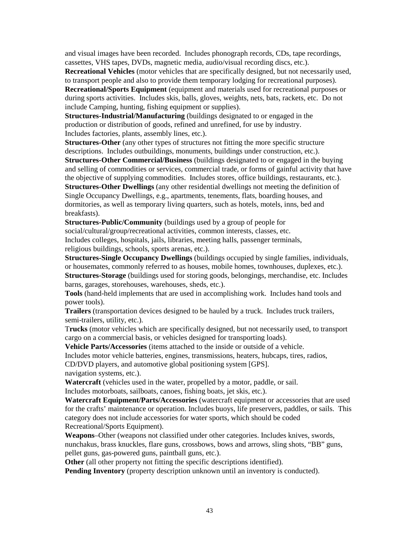and visual images have been recorded. Includes phonograph records, CDs, tape recordings, cassettes, VHS tapes, DVDs, magnetic media, audio/visual recording discs, etc.).

**Recreational Vehicles** (motor vehicles that are specifically designed, but not necessarily used, to transport people and also to provide them temporary lodging for recreational purposes).

**Recreational/Sports Equipment** (equipment and materials used for recreational purposes or during sports activities. Includes skis, balls, gloves, weights, nets, bats, rackets, etc. Do not include Camping, hunting, fishing equipment or supplies).

**Structures-Industrial/Manufacturing** (buildings designated to or engaged in the production or distribution of goods, refined and unrefined, for use by industry. Includes factories, plants, assembly lines, etc.).

**Structures-Other** (any other types of structures not fitting the more specific structure descriptions. Includes outbuildings, monuments, buildings under construction, etc.).

**Structures-Other Commercial/Business** (buildings designated to or engaged in the buying and selling of commodities or services, commercial trade, or forms of gainful activity that have the objective of supplying commodities. Includes stores, office buildings, restaurants, etc.). **Structures-Other Dwellings** (any other residential dwellings not meeting the definition of Single Occupancy Dwellings, e.g., apartments, tenements, flats, boarding houses, and dormitories, as well as temporary living quarters, such as hotels, motels, inns, bed and breakfasts).

**Structures-Public/Community** (buildings used by a group of people for social/cultural/group/recreational activities, common interests, classes, etc.

Includes colleges, hospitals, jails, libraries, meeting halls, passenger terminals, religious buildings, schools, sports arenas, etc.).

**Structures-Single Occupancy Dwellings** (buildings occupied by single families, individuals, or housemates, commonly referred to as houses, mobile homes, townhouses, duplexes, etc.). **Structures-Storage** (buildings used for storing goods, belongings, merchandise, etc. Includes

barns, garages, storehouses, warehouses, sheds, etc.).

**Tools** (hand-held implements that are used in accomplishing work. Includes hand tools and power tools).

**Trailers** (transportation devices designed to be hauled by a truck. Includes truck trailers, semi-trailers, utility, etc.).

T**rucks** (motor vehicles which are specifically designed, but not necessarily used, to transport cargo on a commercial basis, or vehicles designed for transporting loads).

**Vehicle Parts/Accessories** (items attached to the inside or outside of a vehicle.

Includes motor vehicle batteries, engines, transmissions, heaters, hubcaps, tires, radios,

CD/DVD players, and automotive global positioning system [GPS]. navigation systems, etc.).

**Watercraft** (vehicles used in the water, propelled by a motor, paddle, or sail.

Includes motorboats, sailboats, canoes, fishing boats, jet skis, etc.).

**Watercraft Equipment/Parts/Accessories** (watercraft equipment or accessories that are used for the crafts' maintenance or operation. Includes buoys, life preservers, paddles, or sails. This category does not include accessories for water sports, which should be coded Recreational/Sports Equipment).

**Weapons**–Other (weapons not classified under other categories. Includes knives, swords, nunchakus, brass knuckles, flare guns, crossbows, bows and arrows, sling shots, "BB" guns, pellet guns, gas-powered guns, paintball guns, etc.).

**Other** (all other property not fitting the specific descriptions identified).

**Pending Inventory** (property description unknown until an inventory is conducted).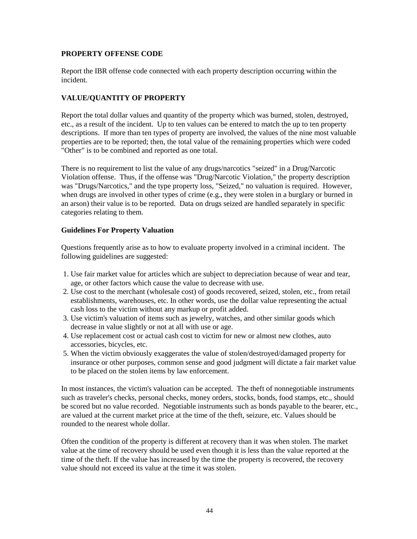#### **PROPERTY OFFENSE CODE**

Report the IBR offense code connected with each property description occurring within the incident.

# **VALUE/QUANTITY OF PROPERTY**

Report the total dollar values and quantity of the property which was burned, stolen, destroyed, etc., as a result of the incident. Up to ten values can be entered to match the up to ten property descriptions. If more than ten types of property are involved, the values of the nine most valuable properties are to be reported; then, the total value of the remaining properties which were coded "Other" is to be combined and reported as one total.

There is no requirement to list the value of any drugs/narcotics "seized" in a Drug/Narcotic Violation offense. Thus, if the offense was "Drug/Narcotic Violation," the property description was "Drugs/Narcotics," and the type property loss, "Seized," no valuation is required. However, when drugs are involved in other types of crime (e.g., they were stolen in a burglary or burned in an arson) their value is to be reported. Data on drugs seized are handled separately in specific categories relating to them.

#### **Guidelines For Property Valuation**

Questions frequently arise as to how to evaluate property involved in a criminal incident. The following guidelines are suggested:

- 1. Use fair market value for articles which are subject to depreciation because of wear and tear, age, or other factors which cause the value to decrease with use.
- 2. Use cost to the merchant (wholesale cost) of goods recovered, seized, stolen, etc., from retail establishments, warehouses, etc. In other words, use the dollar value representing the actual cash loss to the victim without any markup or profit added.
- 3. Use victim's valuation of items such as jewelry, watches, and other similar goods which decrease in value slightly or not at all with use or age.
- 4. Use replacement cost or actual cash cost to victim for new or almost new clothes, auto accessories, bicycles, etc.
- 5. When the victim obviously exaggerates the value of stolen/destroyed/damaged property for insurance or other purposes, common sense and good judgment will dictate a fair market value to be placed on the stolen items by law enforcement.

In most instances, the victim's valuation can be accepted. The theft of nonnegotiable instruments such as traveler's checks, personal checks, money orders, stocks, bonds, food stamps, etc., should be scored but no value recorded. Negotiable instruments such as bonds payable to the bearer, etc., are valued at the current market price at the time of the theft, seizure, etc. Values should be rounded to the nearest whole dollar.

Often the condition of the property is different at recovery than it was when stolen. The market value at the time of recovery should be used even though it is less than the value reported at the time of the theft. If the value has increased by the time the property is recovered, the recovery value should not exceed its value at the time it was stolen.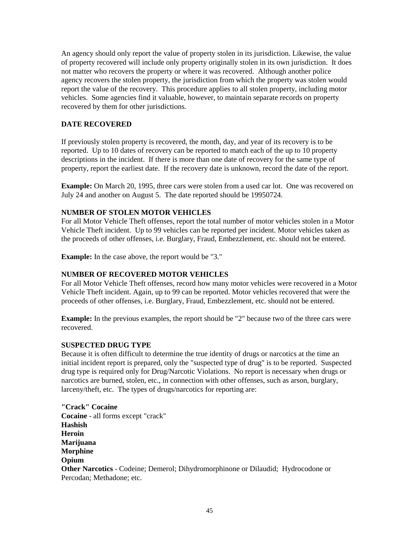An agency should only report the value of property stolen in its jurisdiction. Likewise, the value of property recovered will include only property originally stolen in its own jurisdiction. It does not matter who recovers the property or where it was recovered. Although another police agency recovers the stolen property, the jurisdiction from which the property was stolen would report the value of the recovery. This procedure applies to all stolen property, including motor vehicles. Some agencies find it valuable, however, to maintain separate records on property recovered by them for other jurisdictions.

# **DATE RECOVERED**

If previously stolen property is recovered, the month, day, and year of its recovery is to be reported. Up to 10 dates of recovery can be reported to match each of the up to 10 property descriptions in the incident. If there is more than one date of recovery for the same type of property, report the earliest date. If the recovery date is unknown, record the date of the report.

**Example:** On March 20, 1995, three cars were stolen from a used car lot. One was recovered on July 24 and another on August 5. The date reported should be 19950724.

#### **NUMBER OF STOLEN MOTOR VEHICLES**

For all Motor Vehicle Theft offenses, report the total number of motor vehicles stolen in a Motor Vehicle Theft incident. Up to 99 vehicles can be reported per incident. Motor vehicles taken as the proceeds of other offenses, i.e. Burglary, Fraud, Embezzlement, etc. should not be entered.

**Example:** In the case above, the report would be "3."

# **NUMBER OF RECOVERED MOTOR VEHICLES**

For all Motor Vehicle Theft offenses, record how many motor vehicles were recovered in a Motor Vehicle Theft incident. Again, up to 99 can be reported. Motor vehicles recovered that were the proceeds of other offenses, i.e. Burglary, Fraud, Embezzlement, etc. should not be entered.

**Example:** In the previous examples, the report should be "2" because two of the three cars were recovered.

#### **SUSPECTED DRUG TYPE**

Because it is often difficult to determine the true identity of drugs or narcotics at the time an initial incident report is prepared, only the "suspected type of drug" is to be reported. Suspected drug type is required only for Drug/Narcotic Violations. No report is necessary when drugs or narcotics are burned, stolen, etc., in connection with other offenses, such as arson, burglary, larceny/theft, etc. The types of drugs/narcotics for reporting are:

**"Crack" Cocaine Cocaine** - all forms except "crack" **Hashish Heroin Marijuana Morphine Opium Other Narcotics** - Codeine; Demerol; Dihydromorphinone or Dilaudid; Hydrocodone or Percodan; Methadone; etc.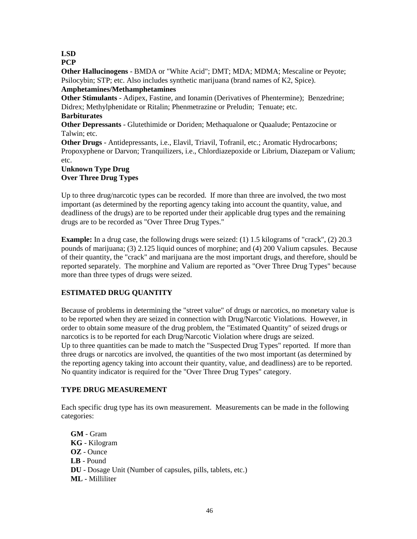# **LSD**

**PCP**

**Other Hallucinogens** - BMDA or "White Acid"; DMT; MDA; MDMA; Mescaline or Peyote; Psilocybin; STP; etc. Also includes synthetic marijuana (brand names of K2, Spice).

#### **Amphetamines/Methamphetamines**

**Other Stimulants** - Adipex, Fastine, and Ionamin (Derivatives of Phentermine); Benzedrine; Didrex; Methylphenidate or Ritalin; Phenmetrazine or Preludin; Tenuate; etc.

#### **Barbiturates**

**Other Depressants** - Glutethimide or Doriden; Methaqualone or Quaalude; Pentazocine or Talwin; etc.

**Other Drugs** - Antidepressants, i.e., Elavil, Triavil, Tofranil, etc.; Aromatic Hydrocarbons; Propoxyphene or Darvon; Tranquilizers, i.e., Chlordiazepoxide or Librium, Diazepam or Valium; etc.

#### **Unknown Type Drug Over Three Drug Types**

Up to three drug/narcotic types can be recorded. If more than three are involved, the two most important (as determined by the reporting agency taking into account the quantity, value, and deadliness of the drugs) are to be reported under their applicable drug types and the remaining drugs are to be recorded as "Over Three Drug Types."

**Example:** In a drug case, the following drugs were seized: (1) 1.5 kilograms of "crack", (2) 20.3 pounds of marijuana; (3) 2.125 liquid ounces of morphine; and (4) 200 Valium capsules. Because of their quantity, the "crack" and marijuana are the most important drugs, and therefore, should be reported separately. The morphine and Valium are reported as "Over Three Drug Types" because more than three types of drugs were seized.

# **ESTIMATED DRUG QUANTITY**

Because of problems in determining the "street value" of drugs or narcotics, no monetary value is to be reported when they are seized in connection with Drug/Narcotic Violations. However, in order to obtain some measure of the drug problem, the "Estimated Quantity" of seized drugs or narcotics is to be reported for each Drug/Narcotic Violation where drugs are seized. Up to three quantities can be made to match the "Suspected Drug Types" reported. If more than three drugs or narcotics are involved, the quantities of the two most important (as determined by the reporting agency taking into account their quantity, value, and deadliness) are to be reported. No quantity indicator is required for the "Over Three Drug Types" category.

# **TYPE DRUG MEASUREMENT**

Each specific drug type has its own measurement. Measurements can be made in the following categories:

 **GM** - Gram **KG** - Kilogram **OZ** - Ounce **LB** - Pound **DU** - Dosage Unit (Number of capsules, pills, tablets, etc.) **ML** - Milliliter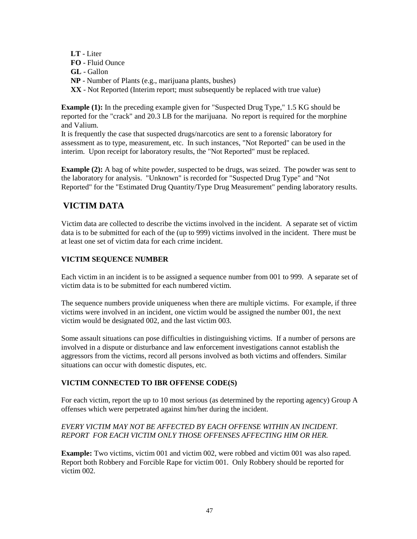**LT** - Liter **FO** - Fluid Ounce  **GL** - Gallon **NP** - Number of Plants (e.g., marijuana plants, bushes) **XX** - Not Reported (Interim report; must subsequently be replaced with true value)

**Example (1):** In the preceding example given for "Suspected Drug Type," 1.5 KG should be reported for the "crack" and 20.3 LB for the marijuana. No report is required for the morphine and Valium.

It is frequently the case that suspected drugs/narcotics are sent to a forensic laboratory for assessment as to type, measurement, etc. In such instances, "Not Reported" can be used in the interim. Upon receipt for laboratory results, the "Not Reported" must be replaced.

**Example (2):** A bag of white powder, suspected to be drugs, was seized. The powder was sent to the laboratory for analysis. "Unknown" is recorded for "Suspected Drug Type" and "Not Reported" for the "Estimated Drug Quantity/Type Drug Measurement" pending laboratory results.

# **VICTIM DATA**

Victim data are collected to describe the victims involved in the incident. A separate set of victim data is to be submitted for each of the (up to 999) victims involved in the incident. There must be at least one set of victim data for each crime incident.

# **VICTIM SEQUENCE NUMBER**

Each victim in an incident is to be assigned a sequence number from 001 to 999. A separate set of victim data is to be submitted for each numbered victim.

The sequence numbers provide uniqueness when there are multiple victims. For example, if three victims were involved in an incident, one victim would be assigned the number 001, the next victim would be designated 002, and the last victim 003.

Some assault situations can pose difficulties in distinguishing victims. If a number of persons are involved in a dispute or disturbance and law enforcement investigations cannot establish the aggressors from the victims, record all persons involved as both victims and offenders. Similar situations can occur with domestic disputes, etc.

# **VICTIM CONNECTED TO IBR OFFENSE CODE(S)**

For each victim, report the up to 10 most serious (as determined by the reporting agency) Group A offenses which were perpetrated against him/her during the incident.

# *EVERY VICTIM MAY NOT BE AFFECTED BY EACH OFFENSE WITHIN AN INCIDENT. REPORT FOR EACH VICTIM ONLY THOSE OFFENSES AFFECTING HIM OR HER.*

**Example:** Two victims, victim 001 and victim 002, were robbed and victim 001 was also raped. Report both Robbery and Forcible Rape for victim 001. Only Robbery should be reported for victim 002.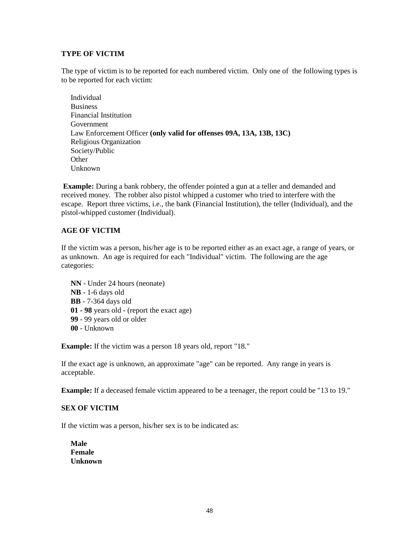#### **TYPE OF VICTIM**

The type of victim is to be reported for each numbered victim. Only one of the following types is to be reported for each victim:

 Individual **Business**  Financial Institution Government Law Enforcement Officer **(only valid for offenses 09A, 13A, 13B, 13C)** Religious Organization Society/Public **Other** Unknown

**Example:** During a bank robbery, the offender pointed a gun at a teller and demanded and received money. The robber also pistol whipped a customer who tried to interfere with the escape. Report three victims, i.e., the bank (Financial Institution), the teller (Individual), and the pistol-whipped customer (Individual).

#### **AGE OF VICTIM**

If the victim was a person, his/her age is to be reported either as an exact age, a range of years, or as unknown. An age is required for each "Individual" victim. The following are the age categories:

 **NN** - Under 24 hours (neonate) **NB** - 1-6 days old **BB** - 7-364 days old **01 - 98** years old - (report the exact age) **99** - 99 years old or older **00** - Unknown

**Example:** If the victim was a person 18 years old, report "18."

If the exact age is unknown, an approximate "age" can be reported. Any range in years is acceptable.

**Example:** If a deceased female victim appeared to be a teenager, the report could be "13 to 19."

#### **SEX OF VICTIM**

If the victim was a person, his/her sex is to be indicated as:

 **Male Female Unknown**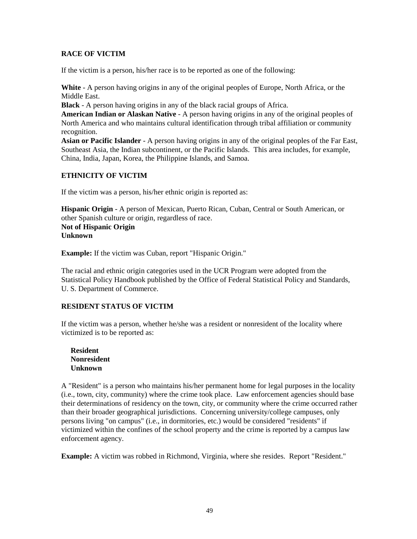#### **RACE OF VICTIM**

If the victim is a person, his/her race is to be reported as one of the following:

**White** - A person having origins in any of the original peoples of Europe, North Africa, or the Middle East.

**Black** - A person having origins in any of the black racial groups of Africa.

**American Indian or Alaskan Native** - A person having origins in any of the original peoples of North America and who maintains cultural identification through tribal affiliation or community recognition.

**Asian or Pacific Islander** - A person having origins in any of the original peoples of the Far East, Southeast Asia, the Indian subcontinent, or the Pacific Islands. This area includes, for example, China, India, Japan, Korea, the Philippine Islands, and Samoa.

#### **ETHNICITY OF VICTIM**

If the victim was a person, his/her ethnic origin is reported as:

**Hispanic Origin** - A person of Mexican, Puerto Rican, Cuban, Central or South American, or other Spanish culture or origin, regardless of race. **Not of Hispanic Origin Unknown**

**Example:** If the victim was Cuban, report "Hispanic Origin."

The racial and ethnic origin categories used in the UCR Program were adopted from the Statistical Policy Handbook published by the Office of Federal Statistical Policy and Standards, U. S. Department of Commerce.

#### **RESIDENT STATUS OF VICTIM**

If the victim was a person, whether he/she was a resident or nonresident of the locality where victimized is to be reported as:

 **Resident Nonresident Unknown**

A "Resident" is a person who maintains his/her permanent home for legal purposes in the locality (i.e., town, city, community) where the crime took place. Law enforcement agencies should base their determinations of residency on the town, city, or community where the crime occurred rather than their broader geographical jurisdictions. Concerning university/college campuses, only persons living "on campus" (i.e., in dormitories, etc.) would be considered "residents" if victimized within the confines of the school property and the crime is reported by a campus law enforcement agency.

**Example:** A victim was robbed in Richmond, Virginia, where she resides. Report "Resident."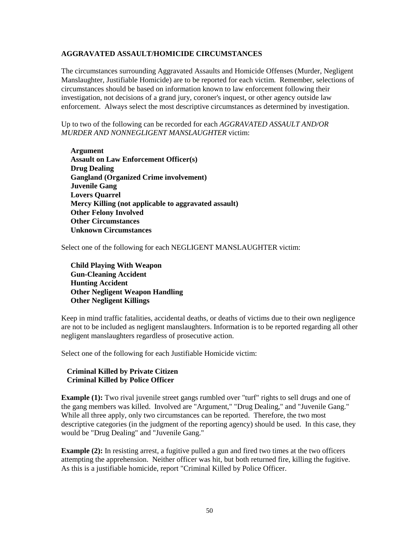#### **AGGRAVATED ASSAULT/HOMICIDE CIRCUMSTANCES**

The circumstances surrounding Aggravated Assaults and Homicide Offenses (Murder, Negligent Manslaughter, Justifiable Homicide) are to be reported for each victim. Remember, selections of circumstances should be based on information known to law enforcement following their investigation, not decisions of a grand jury, coroner's inquest, or other agency outside law enforcement. Always select the most descriptive circumstances as determined by investigation.

Up to two of the following can be recorded for each *AGGRAVATED ASSAULT AND/OR MURDER AND NONNEGLIGENT MANSLAUGHTER* victim:

 **Argument Assault on Law Enforcement Officer(s) Drug Dealing Gangland (Organized Crime involvement) Juvenile Gang Lovers Quarrel Mercy Killing (not applicable to aggravated assault) Other Felony Involved Other Circumstances Unknown Circumstances**

Select one of the following for each NEGLIGENT MANSLAUGHTER victim:

 **Child Playing With Weapon Gun-Cleaning Accident Hunting Accident Other Negligent Weapon Handling Other Negligent Killings**

Keep in mind traffic fatalities, accidental deaths, or deaths of victims due to their own negligence are not to be included as negligent manslaughters. Information is to be reported regarding all other negligent manslaughters regardless of prosecutive action.

Select one of the following for each Justifiable Homicide victim:

#### **Criminal Killed by Private Citizen Criminal Killed by Police Officer**

**Example (1):** Two rival juvenile street gangs rumbled over "turf" rights to sell drugs and one of the gang members was killed. Involved are "Argument," "Drug Dealing," and "Juvenile Gang." While all three apply, only two circumstances can be reported. Therefore, the two most descriptive categories (in the judgment of the reporting agency) should be used. In this case, they would be "Drug Dealing" and "Juvenile Gang."

**Example (2):** In resisting arrest, a fugitive pulled a gun and fired two times at the two officers attempting the apprehension. Neither officer was hit, but both returned fire, killing the fugitive. As this is a justifiable homicide, report "Criminal Killed by Police Officer.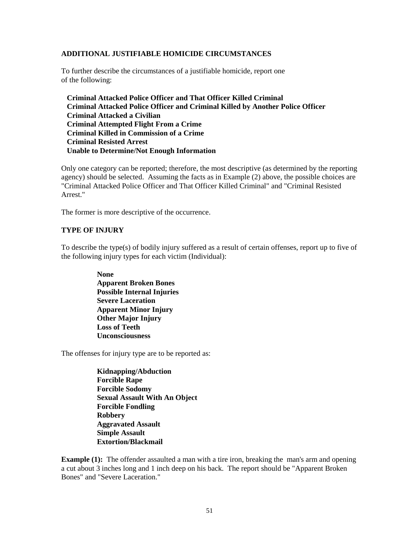#### **ADDITIONAL JUSTIFIABLE HOMICIDE CIRCUMSTANCES**

To further describe the circumstances of a justifiable homicide, report one of the following:

 **Criminal Attacked Police Officer and That Officer Killed Criminal Criminal Attacked Police Officer and Criminal Killed by Another Police Officer Criminal Attacked a Civilian Criminal Attempted Flight From a Crime Criminal Killed in Commission of a Crime Criminal Resisted Arrest Unable to Determine/Not Enough Information**

Only one category can be reported; therefore, the most descriptive (as determined by the reporting agency) should be selected. Assuming the facts as in Example (2) above, the possible choices are "Criminal Attacked Police Officer and That Officer Killed Criminal" and "Criminal Resisted Arrest."

The former is more descriptive of the occurrence.

#### **TYPE OF INJURY**

To describe the type(s) of bodily injury suffered as a result of certain offenses, report up to five of the following injury types for each victim (Individual):

> **None Apparent Broken Bones Possible Internal Injuries Severe Laceration Apparent Minor Injury Other Major Injury Loss of Teeth Unconsciousness**

The offenses for injury type are to be reported as:

 **Kidnapping/Abduction Forcible Rape Forcible Sodomy Sexual Assault With An Object Forcible Fondling Robbery Aggravated Assault Simple Assault Extortion/Blackmail**

**Example (1):** The offender assaulted a man with a tire iron, breaking the man's arm and opening a cut about 3 inches long and 1 inch deep on his back. The report should be "Apparent Broken Bones" and "Severe Laceration."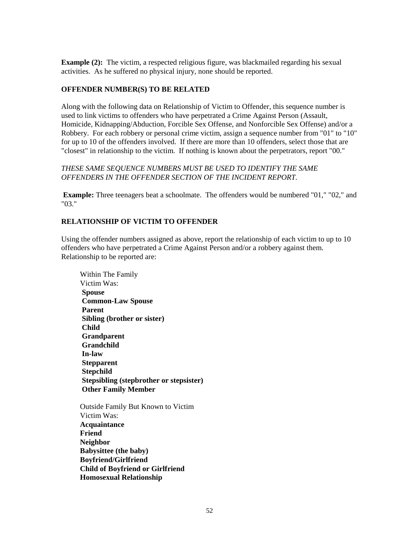**Example (2):** The victim, a respected religious figure, was blackmailed regarding his sexual activities. As he suffered no physical injury, none should be reported.

#### **OFFENDER NUMBER(S) TO BE RELATED**

Along with the following data on Relationship of Victim to Offender, this sequence number is used to link victims to offenders who have perpetrated a Crime Against Person (Assault, Homicide, Kidnapping/Abduction, Forcible Sex Offense, and Nonforcible Sex Offense) and/or a Robbery. For each robbery or personal crime victim, assign a sequence number from "01" to "10" for up to 10 of the offenders involved. If there are more than 10 offenders, select those that are "closest" in relationship to the victim. If nothing is known about the perpetrators, report "00."

#### *THESE SAME SEQUENCE NUMBERS MUST BE USED TO IDENTIFY THE SAME OFFENDERS IN THE OFFENDER SECTION OF THE INCIDENT REPORT.*

**Example:** Three teenagers beat a schoolmate. The offenders would be numbered "01," "02," and "03."

# **RELATIONSHIP OF VICTIM TO OFFENDER**

Using the offender numbers assigned as above, report the relationship of each victim to up to 10 offenders who have perpetrated a Crime Against Person and/or a robbery against them. Relationship to be reported are:

 Within The Family Victim Was: **Spouse Common-Law Spouse Parent Sibling (brother or sister) Child Grandparent Grandchild In-law Stepparent Stepchild Stepsibling (stepbrother or stepsister) Other Family Member** Outside Family But Known to Victim Victim Was: **Acquaintance Friend Neighbor Babysittee (the baby) Boyfriend/Girlfriend Child of Boyfriend or Girlfriend Homosexual Relationship**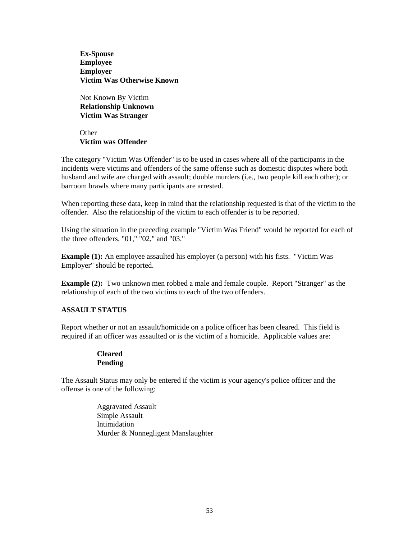**Ex-Spouse Employee Employer Victim Was Otherwise Known**

 Not Known By Victim  **Relationship Unknown Victim Was Stranger**

**Other Victim was Offender**

The category "Victim Was Offender" is to be used in cases where all of the participants in the incidents were victims and offenders of the same offense such as domestic disputes where both husband and wife are charged with assault; double murders (i.e., two people kill each other); or barroom brawls where many participants are arrested.

When reporting these data, keep in mind that the relationship requested is that of the victim to the offender. Also the relationship of the victim to each offender is to be reported.

Using the situation in the preceding example "Victim Was Friend" would be reported for each of the three offenders, "01," "02," and "03."

**Example (1):** An employee assaulted his employer (a person) with his fists. "Victim Was Employer" should be reported.

**Example (2):** Two unknown men robbed a male and female couple. Report "Stranger" as the relationship of each of the two victims to each of the two offenders.

#### **ASSAULT STATUS**

Report whether or not an assault/homicide on a police officer has been cleared. This field is required if an officer was assaulted or is the victim of a homicide. Applicable values are:

#### **Cleared Pending**

The Assault Status may only be entered if the victim is your agency's police officer and the offense is one of the following:

> Aggravated Assault Simple Assault Intimidation Murder & Nonnegligent Manslaughter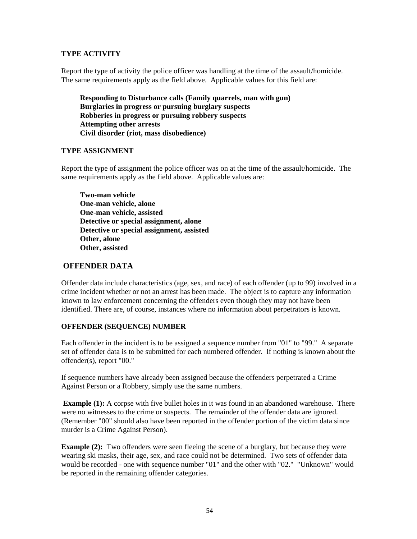#### **TYPE ACTIVITY**

Report the type of activity the police officer was handling at the time of the assault/homicide. The same requirements apply as the field above. Applicable values for this field are:

 **Responding to Disturbance calls (Family quarrels, man with gun) Burglaries in progress or pursuing burglary suspects Robberies in progress or pursuing robbery suspects Attempting other arrests Civil disorder (riot, mass disobedience)**

#### **TYPE ASSIGNMENT**

Report the type of assignment the police officer was on at the time of the assault/homicide. The same requirements apply as the field above. Applicable values are:

 **Two-man vehicle One-man vehicle, alone One-man vehicle, assisted Detective or special assignment, alone Detective or special assignment, assisted Other, alone Other, assisted**

#### **OFFENDER DATA**

Offender data include characteristics (age, sex, and race) of each offender (up to 99) involved in a crime incident whether or not an arrest has been made. The object is to capture any information known to law enforcement concerning the offenders even though they may not have been identified. There are, of course, instances where no information about perpetrators is known.

#### **OFFENDER (SEQUENCE) NUMBER**

Each offender in the incident is to be assigned a sequence number from "01" to "99." A separate set of offender data is to be submitted for each numbered offender. If nothing is known about the offender(s), report "00."

If sequence numbers have already been assigned because the offenders perpetrated a Crime Against Person or a Robbery, simply use the same numbers.

**Example (1):** A corpse with five bullet holes in it was found in an abandoned warehouse. There were no witnesses to the crime or suspects. The remainder of the offender data are ignored. (Remember "00" should also have been reported in the offender portion of the victim data since murder is a Crime Against Person).

**Example (2):** Two offenders were seen fleeing the scene of a burglary, but because they were wearing ski masks, their age, sex, and race could not be determined. Two sets of offender data would be recorded - one with sequence number "01" and the other with "02." "Unknown" would be reported in the remaining offender categories.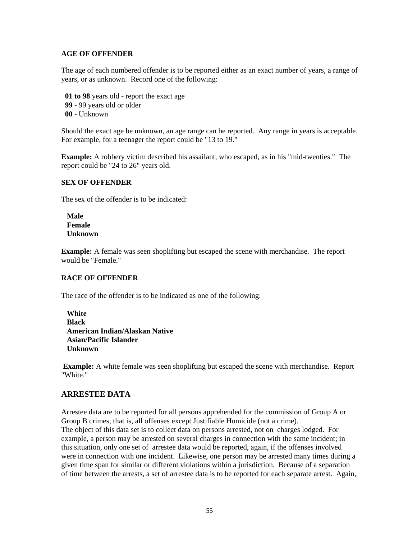#### **AGE OF OFFENDER**

The age of each numbered offender is to be reported either as an exact number of years, a range of years, or as unknown. Record one of the following:

**01 to 98** years old - report the exact age **99** - 99 years old or older **00** - Unknown

Should the exact age be unknown, an age range can be reported. Any range in years is acceptable. For example, for a teenager the report could be "13 to 19."

**Example:** A robbery victim described his assailant, who escaped, as in his "mid-twenties." The report could be "24 to 26" years old.

#### **SEX OF OFFENDER**

The sex of the offender is to be indicated:

| Male    |
|---------|
| Female  |
| Unknown |

**Example:** A female was seen shoplifting but escaped the scene with merchandise. The report would be "Female."

#### **RACE OF OFFENDER**

The race of the offender is to be indicated as one of the following:

 **White Black American Indian/Alaskan Native Asian/Pacific Islander Unknown**

**Example:** A white female was seen shoplifting but escaped the scene with merchandise. Report "White."

#### **ARRESTEE DATA**

Arrestee data are to be reported for all persons apprehended for the commission of Group A or Group B crimes, that is, all offenses except Justifiable Homicide (not a crime). The object of this data set is to collect data on persons arrested, not on charges lodged. For example, a person may be arrested on several charges in connection with the same incident; in this situation, only one set of arrestee data would be reported, again, if the offenses involved were in connection with one incident. Likewise, one person may be arrested many times during a given time span for similar or different violations within a jurisdiction. Because of a separation of time between the arrests, a set of arrestee data is to be reported for each separate arrest. Again,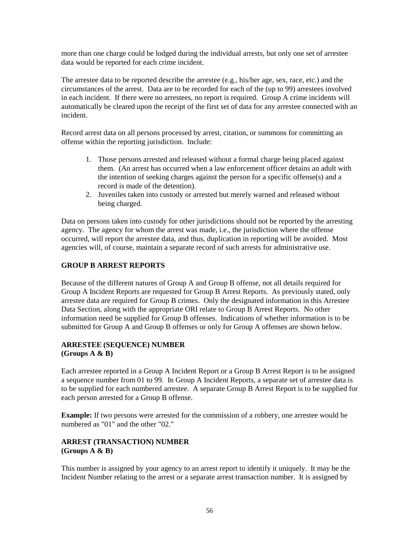more than one charge could be lodged during the individual arrests, but only one set of arrestee data would be reported for each crime incident.

The arrestee data to be reported describe the arrestee (e.g., his/her age, sex, race, etc.) and the circumstances of the arrest. Data are to be recorded for each of the (up to 99) arrestees involved in each incident. If there were no arrestees, no report is required. Group A crime incidents will automatically be cleared upon the receipt of the first set of data for any arrestee connected with an incident.

Record arrest data on all persons processed by arrest, citation, or summons for committing an offense within the reporting jurisdiction. Include:

- 1. Those persons arrested and released without a formal charge being placed against them. (An arrest has occurred when a law enforcement officer detains an adult with the intention of seeking charges against the person for a specific offense(s) and a record is made of the detention).
- 2. Juveniles taken into custody or arrested but merely warned and released without being charged.

Data on persons taken into custody for other jurisdictions should not be reported by the arresting agency. The agency for whom the arrest was made, i.e., the jurisdiction where the offense occurred, will report the arrestee data, and thus, duplication in reporting will be avoided. Most agencies will, of course, maintain a separate record of such arrests for administrative use.

# **GROUP B ARREST REPORTS**

Because of the different natures of Group A and Group B offense, not all details required for Group A Incident Reports are requested for Group B Arrest Reports. As previously stated, only arrestee data are required for Group B crimes. Only the designated information in this Arrestee Data Section, along with the appropriate ORI relate to Group B Arrest Reports. No other information need be supplied for Group B offenses. Indications of whether information is to be submitted for Group A and Group B offenses or only for Group A offenses are shown below.

# **ARRESTEE (SEQUENCE) NUMBER (Groups A & B)**

Each arrestee reported in a Group A Incident Report or a Group B Arrest Report is to be assigned a sequence number from 01 to 99. In Group A Incident Reports, a separate set of arrestee data is to be supplied for each numbered arrestee. A separate Group B Arrest Report is to be supplied for each person arrested for a Group B offense.

**Example:** If two persons were arrested for the commission of a robbery, one arrestee would be numbered as "01" and the other "02."

#### **ARREST (TRANSACTION) NUMBER (Groups A & B)**

This number is assigned by your agency to an arrest report to identify it uniquely. It may be the Incident Number relating to the arrest or a separate arrest transaction number. It is assigned by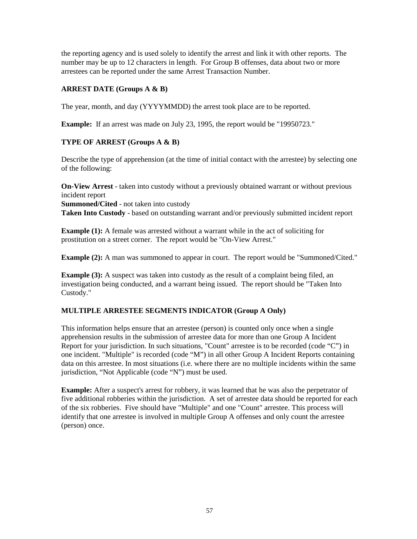the reporting agency and is used solely to identify the arrest and link it with other reports. The number may be up to 12 characters in length. For Group B offenses, data about two or more arrestees can be reported under the same Arrest Transaction Number.

#### **ARREST DATE (Groups A & B)**

The year, month, and day (YYYYMMDD) the arrest took place are to be reported.

**Example:** If an arrest was made on July 23, 1995, the report would be "19950723."

# **TYPE OF ARREST (Groups A & B)**

Describe the type of apprehension (at the time of initial contact with the arrestee) by selecting one of the following:

**On-View Arrest** - taken into custody without a previously obtained warrant or without previous incident report **Summoned/Cited** - not taken into custody **Taken Into Custody** - based on outstanding warrant and/or previously submitted incident report

**Example (1):** A female was arrested without a warrant while in the act of soliciting for prostitution on a street corner. The report would be "On-View Arrest."

**Example (2):** A man was summoned to appear in court. The report would be "Summoned/Cited."

**Example (3):** A suspect was taken into custody as the result of a complaint being filed, an investigation being conducted, and a warrant being issued. The report should be "Taken Into Custody."

# **MULTIPLE ARRESTEE SEGMENTS INDICATOR (Group A Only)**

This information helps ensure that an arrestee (person) is counted only once when a single apprehension results in the submission of arrestee data for more than one Group A Incident Report for your jurisdiction. In such situations, "Count" arrestee is to be recorded (code "C") in one incident. "Multiple" is recorded (code "M") in all other Group A Incident Reports containing data on this arrestee. In most situations (i.e. where there are no multiple incidents within the same jurisdiction, "Not Applicable (code "N") must be used.

**Example:** After a suspect's arrest for robbery, it was learned that he was also the perpetrator of five additional robberies within the jurisdiction. A set of arrestee data should be reported for each of the six robberies. Five should have "Multiple" and one "Count" arrestee. This process will identify that one arrestee is involved in multiple Group A offenses and only count the arrestee (person) once.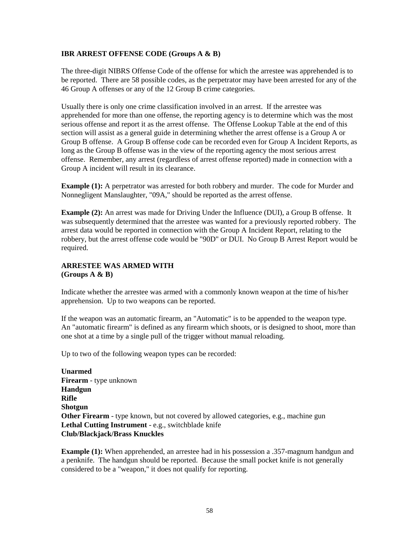#### **IBR ARREST OFFENSE CODE (Groups A & B)**

The three-digit NIBRS Offense Code of the offense for which the arrestee was apprehended is to be reported. There are 58 possible codes, as the perpetrator may have been arrested for any of the 46 Group A offenses or any of the 12 Group B crime categories.

Usually there is only one crime classification involved in an arrest. If the arrestee was apprehended for more than one offense, the reporting agency is to determine which was the most serious offense and report it as the arrest offense. The Offense Lookup Table at the end of this section will assist as a general guide in determining whether the arrest offense is a Group A or Group B offense. A Group B offense code can be recorded even for Group A Incident Reports, as long as the Group B offense was in the view of the reporting agency the most serious arrest offense. Remember, any arrest (regardless of arrest offense reported) made in connection with a Group A incident will result in its clearance.

**Example (1):** A perpetrator was arrested for both robbery and murder. The code for Murder and Nonnegligent Manslaughter, "09A," should be reported as the arrest offense.

**Example (2):** An arrest was made for Driving Under the Influence (DUI), a Group B offense. It was subsequently determined that the arrestee was wanted for a previously reported robbery. The arrest data would be reported in connection with the Group A Incident Report, relating to the robbery, but the arrest offense code would be "90D" or DUI. No Group B Arrest Report would be required.

# **ARRESTEE WAS ARMED WITH (Groups A & B)**

Indicate whether the arrestee was armed with a commonly known weapon at the time of his/her apprehension. Up to two weapons can be reported.

If the weapon was an automatic firearm, an "Automatic" is to be appended to the weapon type. An "automatic firearm" is defined as any firearm which shoots, or is designed to shoot, more than one shot at a time by a single pull of the trigger without manual reloading.

Up to two of the following weapon types can be recorded:

**Unarmed Firearm** - type unknown **Handgun Rifle Shotgun Other Firearm** - type known, but not covered by allowed categories, e.g., machine gun **Lethal Cutting Instrument** - e.g., switchblade knife **Club/Blackjack/Brass Knuckles**

**Example (1):** When apprehended, an arrestee had in his possession a .357-magnum handgun and a penknife. The handgun should be reported. Because the small pocket knife is not generally considered to be a "weapon," it does not qualify for reporting.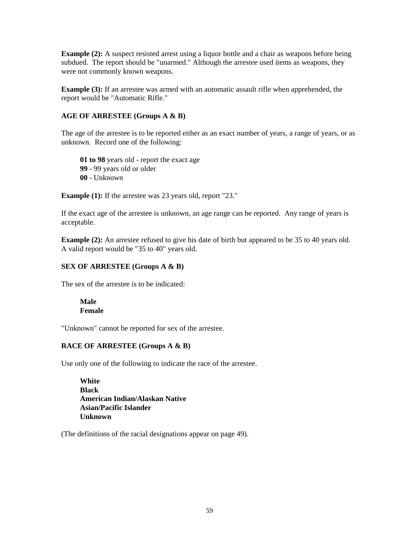**Example (2):** A suspect resisted arrest using a liquor bottle and a chair as weapons before being subdued. The report should be "unarmed." Although the arrestee used items as weapons, they were not commonly known weapons.

**Example (3):** If an arrestee was armed with an automatic assault rifle when apprehended, the report would be "Automatic Rifle."

#### **AGE OF ARRESTEE (Groups A & B)**

The age of the arrestee is to be reported either as an exact number of years, a range of years, or as unknown. Record one of the following:

 **01 to 98** years old - report the exact age  **99** - 99 years old or older **00** - Unknown

**Example (1):** If the arrestee was 23 years old, report "23."

If the exact age of the arrestee is unknown, an age range can be reported. Any range of years is acceptable.

**Example (2):** An arrestee refused to give his date of birth but appeared to be 35 to 40 years old. A valid report would be "35 to 40" years old.

#### **SEX OF ARRESTEE (Groups A & B)**

The sex of the arrestee is to be indicated:

 **Male Female**

"Unknown" cannot be reported for sex of the arrestee.

#### **RACE OF ARRESTEE (Groups A & B)**

Use only one of the following to indicate the race of the arrestee.

 **White Black American Indian/Alaskan Native Asian/Pacific Islander Unknown**

(The definitions of the racial designations appear on page 49).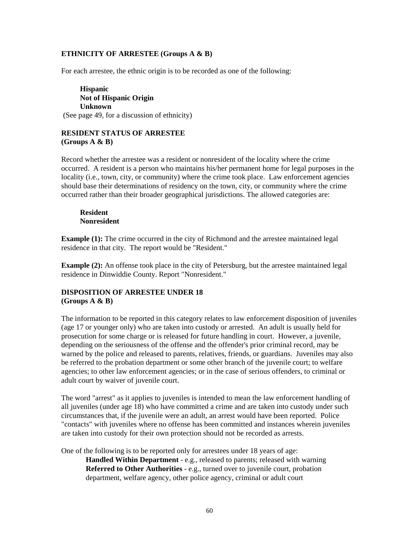#### **ETHNICITY OF ARRESTEE (Groups A & B)**

For each arrestee, the ethnic origin is to be recorded as one of the following:

 **Hispanic Not of Hispanic Origin Unknown** (See page 49, for a discussion of ethnicity)

#### **RESIDENT STATUS OF ARRESTEE (Groups A & B)**

Record whether the arrestee was a resident or nonresident of the locality where the crime occurred. A resident is a person who maintains his/her permanent home for legal purposes in the locality (i.e., town, city, or community) where the crime took place. Law enforcement agencies should base their determinations of residency on the town, city, or community where the crime occurred rather than their broader geographical jurisdictions. The allowed categories are:

#### **Resident Nonresident**

**Example (1):** The crime occurred in the city of Richmond and the arrestee maintained legal residence in that city. The report would be "Resident."

**Example (2):** An offense took place in the city of Petersburg, but the arrestee maintained legal residence in Dinwiddie County. Report "Nonresident."

# **DISPOSITION OF ARRESTEE UNDER 18 (Groups A & B)**

The information to be reported in this category relates to law enforcement disposition of juveniles (age 17 or younger only) who are taken into custody or arrested. An adult is usually held for prosecution for some charge or is released for future handling in court. However, a juvenile, depending on the seriousness of the offense and the offender's prior criminal record, may be warned by the police and released to parents, relatives, friends, or guardians. Juveniles may also be referred to the probation department or some other branch of the juvenile court; to welfare agencies; to other law enforcement agencies; or in the case of serious offenders, to criminal or adult court by waiver of juvenile court.

The word "arrest" as it applies to juveniles is intended to mean the law enforcement handling of all juveniles (under age 18) who have committed a crime and are taken into custody under such circumstances that, if the juvenile were an adult, an arrest would have been reported. Police "contacts" with juveniles where no offense has been committed and instances wherein juveniles are taken into custody for their own protection should not be recorded as arrests.

One of the following is to be reported only for arrestees under 18 years of age: **Handled Within Department** - e.g., released to parents; released with warning **Referred to Other Authorities** - e.g., turned over to juvenile court, probation department, welfare agency, other police agency, criminal or adult court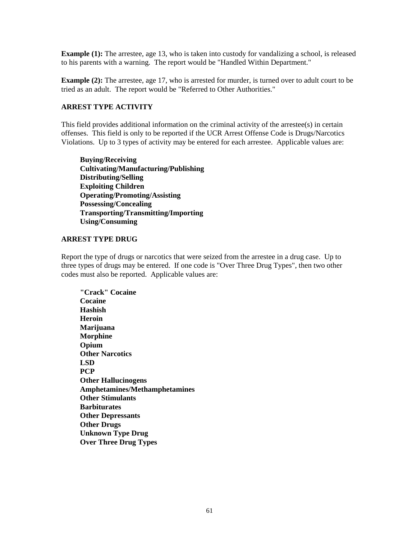**Example (1):** The arrestee, age 13, who is taken into custody for vandalizing a school, is released to his parents with a warning. The report would be "Handled Within Department."

**Example (2):** The arrestee, age 17, who is arrested for murder, is turned over to adult court to be tried as an adult. The report would be "Referred to Other Authorities."

#### **ARREST TYPE ACTIVITY**

This field provides additional information on the criminal activity of the arrestee(s) in certain offenses. This field is only to be reported if the UCR Arrest Offense Code is Drugs/Narcotics Violations. Up to 3 types of activity may be entered for each arrestee. Applicable values are:

 **Buying/Receiving Cultivating/Manufacturing/Publishing Distributing/Selling Exploiting Children Operating/Promoting/Assisting Possessing/Concealing Transporting/Transmitting/Importing Using/Consuming**

#### **ARREST TYPE DRUG**

Report the type of drugs or narcotics that were seized from the arrestee in a drug case. Up to three types of drugs may be entered. If one code is "Over Three Drug Types", then two other codes must also be reported. Applicable values are:

 **"Crack" Cocaine Cocaine Hashish Heroin Marijuana Morphine Opium Other Narcotics LSD PCP Other Hallucinogens Amphetamines/Methamphetamines Other Stimulants Barbiturates Other Depressants Other Drugs Unknown Type Drug Over Three Drug Types**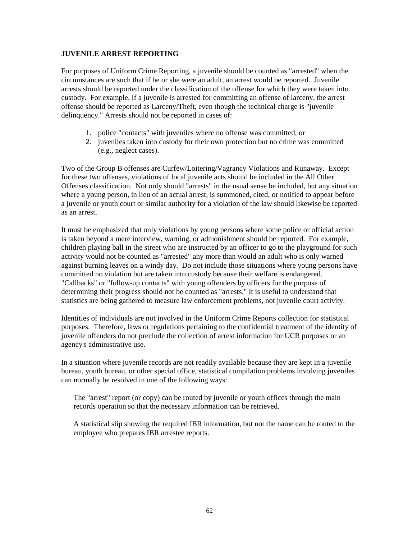#### **JUVENILE ARREST REPORTING**

For purposes of Uniform Crime Reporting, a juvenile should be counted as "arrested" when the circumstances are such that if he or she were an adult, an arrest would be reported. Juvenile arrests should be reported under the classification of the offense for which they were taken into custody. For example, if a juvenile is arrested for committing an offense of larceny, the arrest offense should be reported as Larceny/Theft, even though the technical charge is "juvenile delinquency." Arrests should not be reported in cases of:

- 1. police "contacts" with juveniles where no offense was committed, or
- 2. juveniles taken into custody for their own protection but no crime was committed (e.g., neglect cases).

Two of the Group B offenses are Curfew/Loitering/Vagrancy Violations and Runaway. Except for these two offenses, violations of local juvenile acts should be included in the All Other Offenses classification. Not only should "arrests" in the usual sense be included, but any situation where a young person, in lieu of an actual arrest, is summoned, cited, or notified to appear before a juvenile or youth court or similar authority for a violation of the law should likewise be reported as an arrest.

It must be emphasized that only violations by young persons where some police or official action is taken beyond a mere interview, warning, or admonishment should be reported. For example, children playing ball in the street who are instructed by an officer to go to the playground for such activity would not be counted as "arrested" any more than would an adult who is only warned against burning leaves on a windy day. Do not include those situations where young persons have committed no violation but are taken into custody because their welfare is endangered. "Callbacks" or "follow-up contacts" with young offenders by officers for the purpose of determining their progress should not be counted as "arrests." It is useful to understand that statistics are being gathered to measure law enforcement problems, not juvenile court activity.

Identities of individuals are not involved in the Uniform Crime Reports collection for statistical purposes. Therefore, laws or regulations pertaining to the confidential treatment of the identity of juvenile offenders do not preclude the collection of arrest information for UCR purposes or an agency's administrative use.

In a situation where juvenile records are not readily available because they are kept in a juvenile bureau, youth bureau, or other special office, statistical compilation problems involving juveniles can normally be resolved in one of the following ways:

The "arrest" report (or copy) can be routed by juvenile or youth offices through the main records operation so that the necessary information can be retrieved.

A statistical slip showing the required IBR information, but not the name can be routed to the employee who prepares IBR arrestee reports.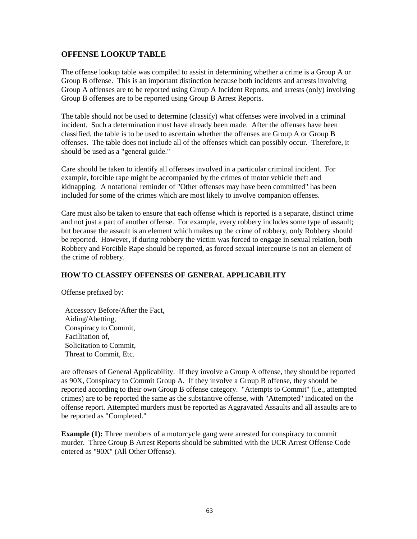# **OFFENSE LOOKUP TABLE**

The offense lookup table was compiled to assist in determining whether a crime is a Group A or Group B offense. This is an important distinction because both incidents and arrests involving Group A offenses are to be reported using Group A Incident Reports, and arrests (only) involving Group B offenses are to be reported using Group B Arrest Reports.

The table should not be used to determine (classify) what offenses were involved in a criminal incident. Such a determination must have already been made. After the offenses have been classified, the table is to be used to ascertain whether the offenses are Group A or Group B offenses. The table does not include all of the offenses which can possibly occur. Therefore, it should be used as a "general guide."

Care should be taken to identify all offenses involved in a particular criminal incident. For example, forcible rape might be accompanied by the crimes of motor vehicle theft and kidnapping. A notational reminder of "Other offenses may have been committed" has been included for some of the crimes which are most likely to involve companion offenses.

Care must also be taken to ensure that each offense which is reported is a separate, distinct crime and not just a part of another offense. For example, every robbery includes some type of assault; but because the assault is an element which makes up the crime of robbery, only Robbery should be reported. However, if during robbery the victim was forced to engage in sexual relation, both Robbery and Forcible Rape should be reported, as forced sexual intercourse is not an element of the crime of robbery.

# **HOW TO CLASSIFY OFFENSES OF GENERAL APPLICABILITY**

Offense prefixed by:

 Accessory Before/After the Fact, Aiding/Abetting, Conspiracy to Commit, Facilitation of, Solicitation to Commit, Threat to Commit, Etc.

are offenses of General Applicability. If they involve a Group A offense, they should be reported as 90X, Conspiracy to Commit Group A.If they involve a Group B offense, they should be reported according to their own Group B offense category. "Attempts to Commit" (i.e., attempted crimes) are to be reported the same as the substantive offense, with "Attempted" indicated on the offense report. Attempted murders must be reported as Aggravated Assaults and all assaults are to be reported as "Completed."

**Example (1):** Three members of a motorcycle gang were arrested for conspiracy to commit murder. Three Group B Arrest Reports should be submitted with the UCR Arrest Offense Code entered as "90X" (All Other Offense).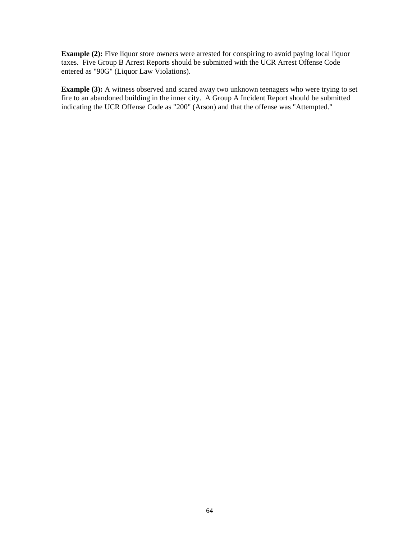**Example (2):** Five liquor store owners were arrested for conspiring to avoid paying local liquor taxes. Five Group B Arrest Reports should be submitted with the UCR Arrest Offense Code entered as "90G" (Liquor Law Violations).

**Example (3):** A witness observed and scared away two unknown teenagers who were trying to set fire to an abandoned building in the inner city. A Group A Incident Report should be submitted indicating the UCR Offense Code as "200" (Arson) and that the offense was "Attempted."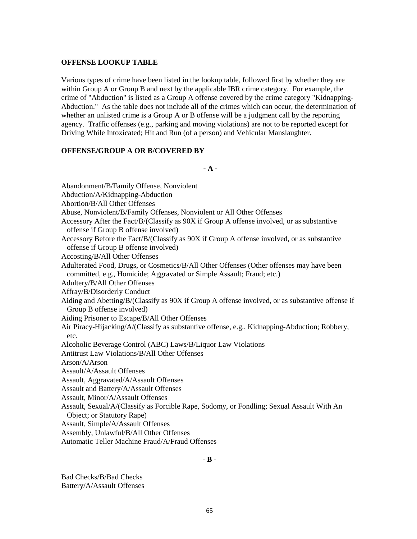#### **OFFENSE LOOKUP TABLE**

Various types of crime have been listed in the lookup table, followed first by whether they are within Group A or Group B and next by the applicable IBR crime category. For example, the crime of "Abduction" is listed as a Group A offense covered by the crime category "Kidnapping-Abduction." As the table does not include all of the crimes which can occur, the determination of whether an unlisted crime is a Group A or B offense will be a judgment call by the reporting agency. Traffic offenses (e.g., parking and moving violations) are not to be reported except for Driving While Intoxicated; Hit and Run (of a person) and Vehicular Manslaughter.

#### **OFFENSE/GROUP A OR B/COVERED BY**

**- A -**

| Abandonment/B/Family Offense, Nonviolent                                                                                                                          |
|-------------------------------------------------------------------------------------------------------------------------------------------------------------------|
| Abduction/A/Kidnapping-Abduction                                                                                                                                  |
| Abortion/B/All Other Offenses                                                                                                                                     |
| Abuse, Nonviolent/B/Family Offenses, Nonviolent or All Other Offenses                                                                                             |
| Accessory After the Fact/B/(Classify as 90X if Group A offense involved, or as substantive<br>offense if Group B offense involved)                                |
| Accessory Before the Fact/B/(Classify as 90X if Group A offense involved, or as substantive                                                                       |
| offense if Group B offense involved)                                                                                                                              |
| Accosting/B/All Other Offenses                                                                                                                                    |
| Adulterated Food, Drugs, or Cosmetics/B/All Other Offenses (Other offenses may have been<br>committed, e.g., Homicide; Aggravated or Simple Assault; Fraud; etc.) |
| Adultery/B/All Other Offenses                                                                                                                                     |
| Affray/B/Disorderly Conduct                                                                                                                                       |
| Aiding and Abetting/B/(Classify as 90X if Group A offense involved, or as substantive offense if                                                                  |
| Group B offense involved)                                                                                                                                         |
| Aiding Prisoner to Escape/B/All Other Offenses                                                                                                                    |
| Air Piracy-Hijacking/A/(Classify as substantive offense, e.g., Kidnapping-Abduction; Robbery,<br>etc.                                                             |
| Alcoholic Beverage Control (ABC) Laws/B/Liquor Law Violations                                                                                                     |
| <b>Antitrust Law Violations/B/All Other Offenses</b>                                                                                                              |
| Arson/A/Arson                                                                                                                                                     |
| Assault/A/Assault Offenses                                                                                                                                        |
| Assault, Aggravated/A/Assault Offenses                                                                                                                            |
| Assault and Battery/A/Assault Offenses                                                                                                                            |
| Assault, Minor/A/Assault Offenses                                                                                                                                 |
| Assault, Sexual/A/(Classify as Forcible Rape, Sodomy, or Fondling; Sexual Assault With An                                                                         |
| Object; or Statutory Rape)                                                                                                                                        |
| Assault, Simple/A/Assault Offenses                                                                                                                                |
| Assembly, Unlawful/B/All Other Offenses                                                                                                                           |
| Automatic Teller Machine Fraud/A/Fraud Offenses                                                                                                                   |
|                                                                                                                                                                   |

**- B -**

Bad Checks/B/Bad Checks Battery/A/Assault Offenses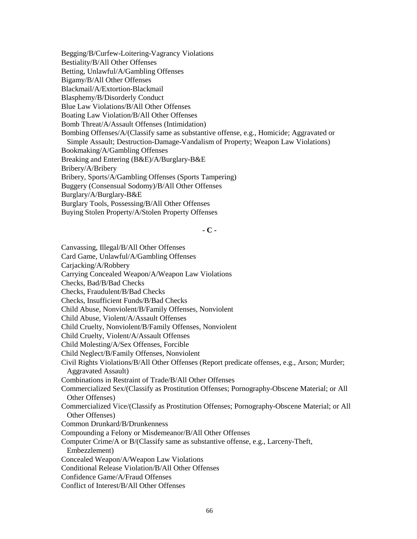Begging/B/Curfew-Loitering-Vagrancy Violations Bestiality/B/All Other Offenses Betting, Unlawful/A/Gambling Offenses Bigamy/B/All Other Offenses Blackmail/A/Extortion-Blackmail Blasphemy/B/Disorderly Conduct Blue Law Violations/B/All Other Offenses Boating Law Violation/B/All Other Offenses Bomb Threat/A/Assault Offenses (Intimidation) Bombing Offenses/A/(Classify same as substantive offense, e.g., Homicide; Aggravated or Simple Assault; Destruction-Damage-Vandalism of Property; Weapon Law Violations) Bookmaking/A/Gambling Offenses Breaking and Entering (B&E)/A/Burglary-B&E Bribery/A/Bribery Bribery, Sports/A/Gambling Offenses (Sports Tampering) Buggery (Consensual Sodomy)/B/All Other Offenses Burglary/A/Burglary-B&E Burglary Tools, Possessing/B/All Other Offenses Buying Stolen Property/A/Stolen Property Offenses

#### **- C -**

Canvassing, Illegal/B/All Other Offenses Card Game, Unlawful/A/Gambling Offenses Carjacking/A/Robbery Carrying Concealed Weapon/A/Weapon Law Violations Checks, Bad/B/Bad Checks Checks, Fraudulent/B/Bad Checks Checks, Insufficient Funds/B/Bad Checks Child Abuse, Nonviolent/B/Family Offenses, Nonviolent Child Abuse, Violent/A/Assault Offenses Child Cruelty, Nonviolent/B/Family Offenses, Nonviolent Child Cruelty, Violent/A/Assault Offenses Child Molesting/A/Sex Offenses, Forcible Child Neglect/B/Family Offenses, Nonviolent Civil Rights Violations/B/All Other Offenses (Report predicate offenses, e.g., Arson; Murder; Aggravated Assault) Combinations in Restraint of Trade/B/All Other Offenses Commercialized Sex/(Classify as Prostitution Offenses; Pornography-Obscene Material; or All Other Offenses) Commercialized Vice/(Classify as Prostitution Offenses; Pornography-Obscene Material; or All Other Offenses) Common Drunkard/B/Drunkenness Compounding a Felony or Misdemeanor/B/All Other Offenses Computer Crime/A or B/(Classify same as substantive offense, e.g., Larceny-Theft, Embezzlement) Concealed Weapon/A/Weapon Law Violations Conditional Release Violation/B/All Other Offenses Confidence Game/A/Fraud Offenses Conflict of Interest/B/All Other Offenses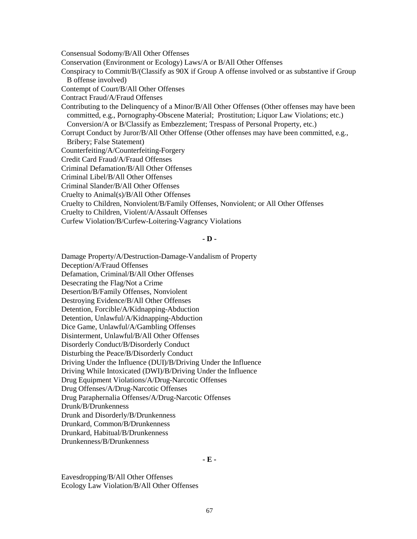Consensual Sodomy/B/All Other Offenses Conservation (Environment or Ecology) Laws/A or B/All Other Offenses Conspiracy to Commit/B/(Classify as 90X if Group A offense involved or as substantive if Group B offense involved) Contempt of Court/B/All Other Offenses Contract Fraud/A/Fraud Offenses Contributing to the Delinquency of a Minor/B/All Other Offenses (Other offenses may have been committed, e.g., Pornography-Obscene Material; Prostitution; Liquor Law Violations; etc.) Conversion/A or B/Classify as Embezzlement; Trespass of Personal Property, etc.) Corrupt Conduct by Juror/B/All Other Offense (Other offenses may have been committed, e.g., Bribery; False Statement) Counterfeiting/A/Counterfeiting-Forgery Credit Card Fraud/A/Fraud Offenses Criminal Defamation/B/All Other Offenses Criminal Libel/B/All Other Offenses Criminal Slander/B/All Other Offenses Cruelty to Animal(s)/B/All Other Offenses Cruelty to Children, Nonviolent/B/Family Offenses, Nonviolent; or All Other Offenses Cruelty to Children, Violent/A/Assault Offenses Curfew Violation/B/Curfew-Loitering-Vagrancy Violations

#### **- D -**

Damage Property/A/Destruction-Damage-Vandalism of Property Deception/A/Fraud Offenses Defamation, Criminal/B/All Other Offenses Desecrating the Flag/Not a Crime Desertion/B/Family Offenses, Nonviolent Destroying Evidence/B/All Other Offenses Detention, Forcible/A/Kidnapping-Abduction Detention, Unlawful/A/Kidnapping-Abduction Dice Game, Unlawful/A/Gambling Offenses Disinterment, Unlawful/B/All Other Offenses Disorderly Conduct/B/Disorderly Conduct Disturbing the Peace/B/Disorderly Conduct Driving Under the Influence (DUI)/B/Driving Under the Influence Driving While Intoxicated (DWI)/B/Driving Under the Influence Drug Equipment Violations/A/Drug-Narcotic Offenses Drug Offenses/A/Drug-Narcotic Offenses Drug Paraphernalia Offenses/A/Drug-Narcotic Offenses Drunk/B/Drunkenness Drunk and Disorderly/B/Drunkenness Drunkard, Common/B/Drunkenness Drunkard, Habitual/B/Drunkenness Drunkenness/B/Drunkenness

**- E -**

Eavesdropping/B/All Other Offenses Ecology Law Violation/B/All Other Offenses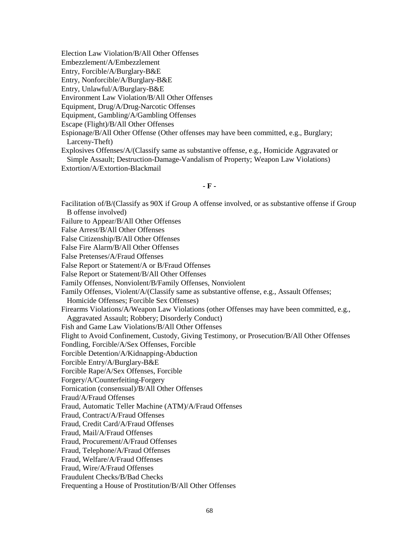Election Law Violation/B/All Other Offenses

Embezzlement/A/Embezzlement

Entry, Forcible/A/Burglary-B&E

Entry, Nonforcible/A/Burglary-B&E

Entry, Unlawful/A/Burglary-B&E

Environment Law Violation/B/All Other Offenses

Equipment, Drug/A/Drug-Narcotic Offenses

Equipment, Gambling/A/Gambling Offenses

Escape (Flight)/B/All Other Offenses

Espionage/B/All Other Offense (Other offenses may have been committed, e.g., Burglary; Larceny-Theft)

Explosives Offenses/A/(Classify same as substantive offense, e.g., Homicide Aggravated or Simple Assault; Destruction-Damage-Vandalism of Property; Weapon Law Violations) Extortion/A/Extortion-Blackmail

#### **- F -**

Facilitation of/B/(Classify as 90X if Group A offense involved, or as substantive offense if Group B offense involved)

Failure to Appear/B/All Other Offenses

False Arrest/B/All Other Offenses

False Citizenship/B/All Other Offenses

False Fire Alarm/B/All Other Offenses

False Pretenses/A/Fraud Offenses

False Report or Statement/A or B/Fraud Offenses

False Report or Statement/B/All Other Offenses

Family Offenses, Nonviolent/B/Family Offenses, Nonviolent

Family Offenses, Violent/A/(Classify same as substantive offense, e.g., Assault Offenses;

Homicide Offenses; Forcible Sex Offenses)

Firearms Violations/A/Weapon Law Violations (other Offenses may have been committed, e.g.,

Aggravated Assault; Robbery; Disorderly Conduct)

Fish and Game Law Violations/B/All Other Offenses

Flight to Avoid Confinement, Custody, Giving Testimony, or Prosecution/B/All Other Offenses

Fondling, Forcible/A/Sex Offenses, Forcible

Forcible Detention/A/Kidnapping-Abduction

Forcible Entry/A/Burglary-B&E

Forcible Rape/A/Sex Offenses, Forcible

Forgery/A/Counterfeiting-Forgery

Fornication (consensual)/B/All Other Offenses

Fraud/A/Fraud Offenses

Fraud, Automatic Teller Machine (ATM)/A/Fraud Offenses

Fraud, Contract/A/Fraud Offenses

Fraud, Credit Card/A/Fraud Offenses

Fraud, Mail/A/Fraud Offenses

Fraud, Procurement/A/Fraud Offenses

Fraud, Telephone/A/Fraud Offenses

Fraud, Welfare/A/Fraud Offenses

Fraud, Wire/A/Fraud Offenses

Fraudulent Checks/B/Bad Checks

Frequenting a House of Prostitution/B/All Other Offenses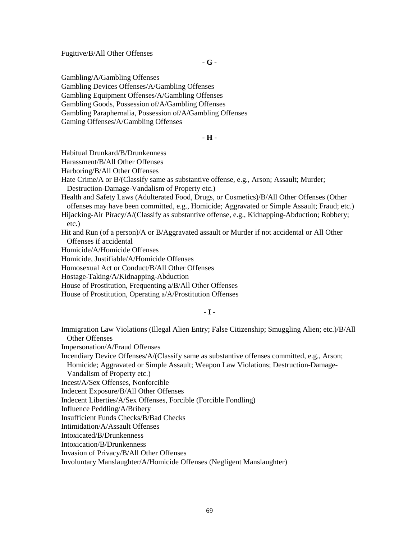Fugitive/B/All Other Offenses

**- G -**

Gambling/A/Gambling Offenses Gambling Devices Offenses/A/Gambling Offenses Gambling Equipment Offenses/A/Gambling Offenses Gambling Goods, Possession of/A/Gambling Offenses Gambling Paraphernalia, Possession of/A/Gambling Offenses Gaming Offenses/A/Gambling Offenses

### **- H -**

Habitual Drunkard/B/Drunkenness

Harassment/B/All Other Offenses

Harboring/B/All Other Offenses

Hate Crime/A or B/(Classify same as substantive offense, e.g., Arson; Assault; Murder; Destruction-Damage-Vandalism of Property etc.)

Health and Safety Laws (Adulterated Food, Drugs, or Cosmetics)/B/All Other Offenses (Other offenses may have been committed, e.g., Homicide; Aggravated or Simple Assault; Fraud; etc.)

Hijacking-Air Piracy/A/(Classify as substantive offense, e.g., Kidnapping-Abduction; Robbery; etc.)

Hit and Run (of a person)/A or B/Aggravated assault or Murder if not accidental or All Other Offenses if accidental

Homicide/A/Homicide Offenses

Homicide, Justifiable/A/Homicide Offenses

Homosexual Act or Conduct/B/All Other Offenses

Hostage-Taking/A/Kidnapping-Abduction

House of Prostitution, Frequenting a/B/All Other Offenses

House of Prostitution, Operating a/A/Prostitution Offenses

**- I -**

Immigration Law Violations (Illegal Alien Entry; False Citizenship; Smuggling Alien; etc.)/B/All Other Offenses

Impersonation/A/Fraud Offenses

Incendiary Device Offenses/A/(Classify same as substantive offenses committed, e.g., Arson; Homicide; Aggravated or Simple Assault; Weapon Law Violations; Destruction-Damage-

Vandalism of Property etc.)

Incest/A/Sex Offenses, Nonforcible

Indecent Exposure/B/All Other Offenses

Indecent Liberties/A/Sex Offenses, Forcible (Forcible Fondling)

Influence Peddling/A/Bribery

Insufficient Funds Checks/B/Bad Checks

Intimidation/A/Assault Offenses

Intoxicated/B/Drunkenness

Intoxication/B/Drunkenness

Invasion of Privacy/B/All Other Offenses

Involuntary Manslaughter/A/Homicide Offenses (Negligent Manslaughter)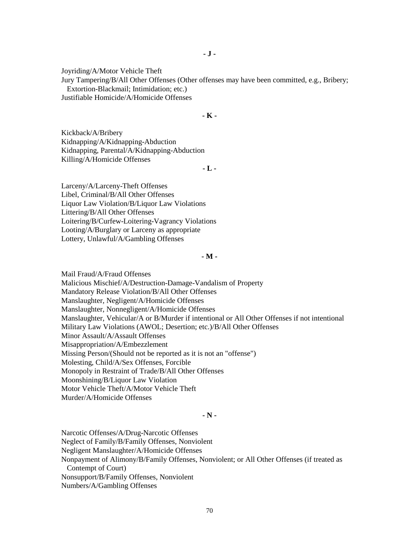**- J -**

Joyriding/A/Motor Vehicle Theft

Jury Tampering/B/All Other Offenses (Other offenses may have been committed, e.g., Bribery; Extortion-Blackmail; Intimidation; etc.) Justifiable Homicide/A/Homicide Offenses

### **- K -**

Kickback/A/Bribery Kidnapping/A/Kidnapping-Abduction Kidnapping, Parental/A/Kidnapping-Abduction Killing/A/Homicide Offenses

**- L -**

Larceny/A/Larceny-Theft Offenses Libel, Criminal/B/All Other Offenses Liquor Law Violation/B/Liquor Law Violations Littering/B/All Other Offenses Loitering/B/Curfew-Loitering-Vagrancy Violations Looting/A/Burglary or Larceny as appropriate Lottery, Unlawful/A/Gambling Offenses

#### **- M -**

Mail Fraud/A/Fraud Offenses Malicious Mischief/A/Destruction-Damage-Vandalism of Property Mandatory Release Violation/B/All Other Offenses Manslaughter, Negligent/A/Homicide Offenses Manslaughter, Nonnegligent/A/Homicide Offenses Manslaughter, Vehicular/A or B/Murder if intentional or All Other Offenses if not intentional Military Law Violations (AWOL; Desertion; etc.)/B/All Other Offenses Minor Assault/A/Assault Offenses Misappropriation/A/Embezzlement Missing Person/(Should not be reported as it is not an "offense") Molesting, Child/A/Sex Offenses, Forcible Monopoly in Restraint of Trade/B/All Other Offenses Moonshining/B/Liquor Law Violation Motor Vehicle Theft/A/Motor Vehicle Theft Murder/A/Homicide Offenses

### **- N -**

Narcotic Offenses/A/Drug-Narcotic Offenses Neglect of Family/B/Family Offenses, Nonviolent Negligent Manslaughter/A/Homicide Offenses Nonpayment of Alimony/B/Family Offenses, Nonviolent; or All Other Offenses (if treated as Contempt of Court) Nonsupport/B/Family Offenses, Nonviolent Numbers/A/Gambling Offenses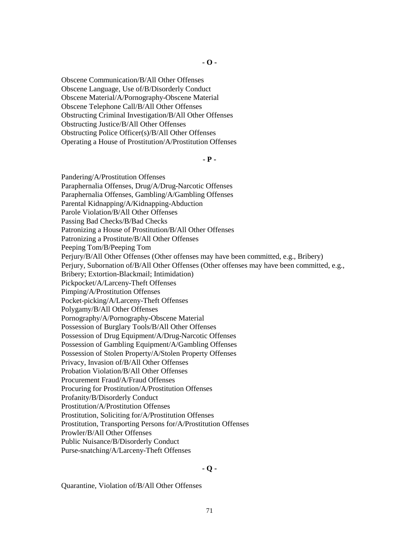Obscene Communication/B/All Other Offenses Obscene Language, Use of/B/Disorderly Conduct Obscene Material/A/Pornography-Obscene Material Obscene Telephone Call/B/All Other Offenses Obstructing Criminal Investigation/B/All Other Offenses Obstructing Justice/B/All Other Offenses Obstructing Police Officer(s)/B/All Other Offenses Operating a House of Prostitution/A/Prostitution Offenses

### **- P -**

Pandering/A/Prostitution Offenses Paraphernalia Offenses, Drug/A/Drug-Narcotic Offenses Paraphernalia Offenses, Gambling/A/Gambling Offenses Parental Kidnapping/A/Kidnapping-Abduction Parole Violation/B/All Other Offenses Passing Bad Checks/B/Bad Checks Patronizing a House of Prostitution/B/All Other Offenses Patronizing a Prostitute/B/All Other Offenses Peeping Tom/B/Peeping Tom Perjury/B/All Other Offenses (Other offenses may have been committed, e.g., Bribery) Perjury, Subornation of/B/All Other Offenses (Other offenses may have been committed, e.g., Bribery; Extortion-Blackmail; Intimidation) Pickpocket/A/Larceny-Theft Offenses Pimping/A/Prostitution Offenses Pocket-picking/A/Larceny-Theft Offenses Polygamy/B/All Other Offenses Pornography/A/Pornography-Obscene Material Possession of Burglary Tools/B/All Other Offenses Possession of Drug Equipment/A/Drug-Narcotic Offenses Possession of Gambling Equipment/A/Gambling Offenses Possession of Stolen Property/A/Stolen Property Offenses Privacy, Invasion of/B/All Other Offenses Probation Violation/B/All Other Offenses Procurement Fraud/A/Fraud Offenses Procuring for Prostitution/A/Prostitution Offenses Profanity/B/Disorderly Conduct Prostitution/A/Prostitution Offenses Prostitution, Soliciting for/A/Prostitution Offenses Prostitution, Transporting Persons for/A/Prostitution Offenses Prowler/B/All Other Offenses Public Nuisance/B/Disorderly Conduct

Purse-snatching/A/Larceny-Theft Offenses

# **- Q -**

Quarantine, Violation of/B/All Other Offenses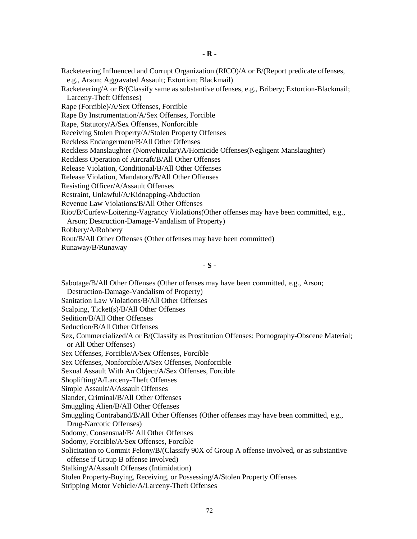Racketeering Influenced and Corrupt Organization (RICO)/A or B/(Report predicate offenses,

e.g., Arson; Aggravated Assault; Extortion; Blackmail)

Racketeering/A or B/(Classify same as substantive offenses, e.g., Bribery; Extortion-Blackmail; Larceny-Theft Offenses)

Rape (Forcible)/A/Sex Offenses, Forcible

Rape By Instrumentation/A/Sex Offenses, Forcible

Rape, Statutory/A/Sex Offenses, Nonforcible

Receiving Stolen Property/A/Stolen Property Offenses

Reckless Endangerment/B/All Other Offenses

Reckless Manslaughter (Nonvehicular)/A/Homicide Offenses(Negligent Manslaughter)

Reckless Operation of Aircraft/B/All Other Offenses

Release Violation, Conditional/B/All Other Offenses

Release Violation, Mandatory/B/All Other Offenses

Resisting Officer/A/Assault Offenses

Restraint, Unlawful/A/Kidnapping-Abduction

Revenue Law Violations/B/All Other Offenses

Riot/B/Curfew-Loitering-Vagrancy Violations(Other offenses may have been committed, e.g.,

Arson; Destruction-Damage-Vandalism of Property)

Robbery/A/Robbery

Rout/B/All Other Offenses (Other offenses may have been committed)

Runaway/B/Runaway

# **- S -**

Sabotage/B/All Other Offenses (Other offenses may have been committed, e.g., Arson;

Destruction-Damage-Vandalism of Property)

Sanitation Law Violations/B/All Other Offenses

Scalping, Ticket(s)/B/All Other Offenses

Sedition/B/All Other Offenses

Seduction/B/All Other Offenses

Sex, Commercialized/A or B/(Classify as Prostitution Offenses; Pornography-Obscene Material; or All Other Offenses)

Sex Offenses, Forcible/A/Sex Offenses, Forcible

Sex Offenses, Nonforcible/A/Sex Offenses, Nonforcible

Sexual Assault With An Object/A/Sex Offenses, Forcible

Shoplifting/A/Larceny-Theft Offenses

Simple Assault/A/Assault Offenses

Slander, Criminal/B/All Other Offenses

Smuggling Alien/B/All Other Offenses

Smuggling Contraband/B/All Other Offenses (Other offenses may have been committed, e.g., Drug-Narcotic Offenses)

Sodomy, Consensual/B/ All Other Offenses

Sodomy, Forcible/A/Sex Offenses, Forcible

Solicitation to Commit Felony/B/(Classify 90X of Group A offense involved, or as substantive offense if Group B offense involved)

Stalking/A/Assault Offenses (Intimidation)

Stolen Property-Buying, Receiving, or Possessing/A/Stolen Property Offenses

Stripping Motor Vehicle/A/Larceny-Theft Offenses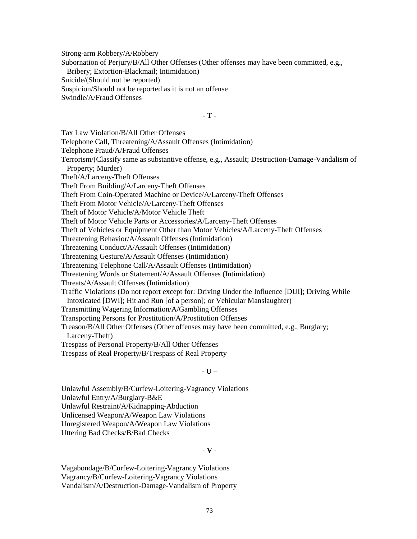Strong-arm Robbery/A/Robbery

Subornation of Perjury/B/All Other Offenses (Other offenses may have been committed, e.g.,

Bribery; Extortion-Blackmail; Intimidation)

Suicide/(Should not be reported)

Suspicion/Should not be reported as it is not an offense

Swindle/A/Fraud Offenses

#### **- T -**

Tax Law Violation/B/All Other Offenses

Telephone Call, Threatening/A/Assault Offenses (Intimidation)

Telephone Fraud/A/Fraud Offenses

Terrorism/(Classify same as substantive offense, e.g., Assault; Destruction-Damage-Vandalism of Property; Murder)

Theft/A/Larceny-Theft Offenses

Theft From Building/A/Larceny-Theft Offenses

Theft From Coin-Operated Machine or Device/A/Larceny-Theft Offenses

Theft From Motor Vehicle/A/Larceny-Theft Offenses

Theft of Motor Vehicle/A/Motor Vehicle Theft

Theft of Motor Vehicle Parts or Accessories/A/Larceny-Theft Offenses

Theft of Vehicles or Equipment Other than Motor Vehicles/A/Larceny-Theft Offenses

Threatening Behavior/A/Assault Offenses (Intimidation)

Threatening Conduct/A/Assault Offenses (Intimidation)

Threatening Gesture/A/Assault Offenses (Intimidation)

Threatening Telephone Call/A/Assault Offenses (Intimidation)

Threatening Words or Statement/A/Assault Offenses (Intimidation)

Threats/A/Assault Offenses (Intimidation)

Traffic Violations (Do not report except for: Driving Under the Influence [DUI]; Driving While

Intoxicated [DWI]; Hit and Run [of a person]; or Vehicular Manslaughter)

Transmitting Wagering Information/A/Gambling Offenses

Transporting Persons for Prostitution/A/Prostitution Offenses

Treason/B/All Other Offenses (Other offenses may have been committed, e.g., Burglary; Larceny-Theft)

Trespass of Personal Property/B/All Other Offenses

Trespass of Real Property/B/Trespass of Real Property

## **- U –**

Unlawful Assembly/B/Curfew-Loitering-Vagrancy Violations Unlawful Entry/A/Burglary-B&E Unlawful Restraint/A/Kidnapping-Abduction Unlicensed Weapon/A/Weapon Law Violations Unregistered Weapon/A/Weapon Law Violations

Uttering Bad Checks/B/Bad Checks

# **- V -**

Vagabondage/B/Curfew-Loitering-Vagrancy Violations Vagrancy/B/Curfew-Loitering-Vagrancy Violations Vandalism/A/Destruction-Damage-Vandalism of Property